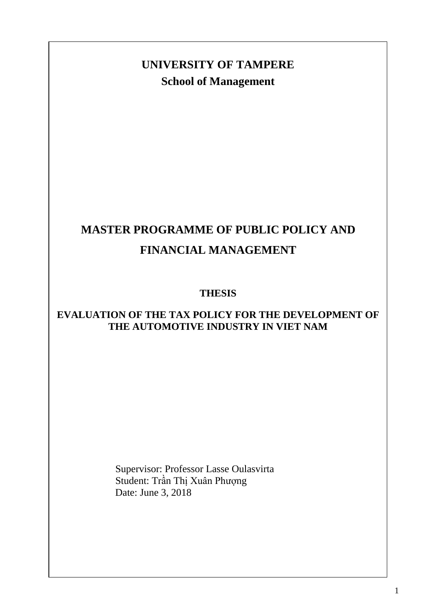# **School of Management UNIVERSITY OF TAMPERE**

# **MASTER PROGRAMME OF PUBLIC POLICY AND FINANCIAL MANAGEMENT**

# **THESIS**

## **EVALUATION OF THE TAX POLICY FOR THE DEVELOPMENT OF THE AUTOMOTIVE INDUSTRY IN VIET NAM**

Supervisor: Professor Lasse Oulasvirta Student: Trần Thị Xuân Phượng Date: June 3, 2018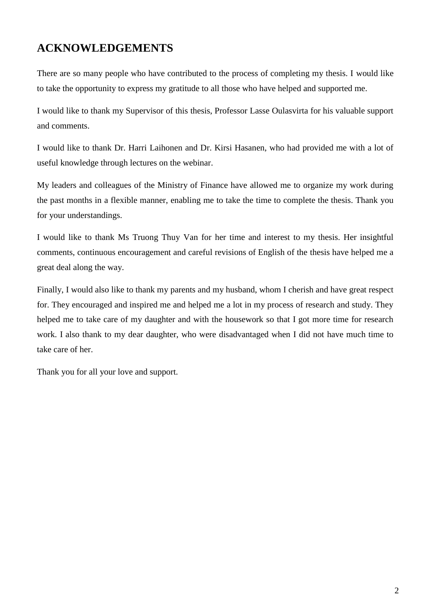# <span id="page-1-0"></span>**ACKNOWLEDGEMENTS**

There are so many people who have contributed to the process of completing my thesis. I would like to take the opportunity to express my gratitude to all those who have helped and supported me.

I would like to thank my Supervisor of this thesis, Professor Lasse Oulasvirta for his valuable support and comments.

I would like to thank Dr. Harri Laihonen and Dr. Kirsi Hasanen, who had provided me with a lot of useful knowledge through lectures on the webinar.

My leaders and colleagues of the Ministry of Finance have allowed me to organize my work during the past months in a flexible manner, enabling me to take the time to complete the thesis. Thank you for your understandings.

I would like to thank Ms Truong Thuy Van for her time and interest to my thesis. Her insightful comments, continuous encouragement and careful revisions of English of the thesis have helped me a great deal along the way.

Finally, I would also like to thank my parents and my husband, whom I cherish and have great respect for. They encouraged and inspired me and helped me a lot in my process of research and study. They helped me to take care of my daughter and with the housework so that I got more time for research work. I also thank to my dear daughter, who were disadvantaged when I did not have much time to take care of her.

Thank you for all your love and support.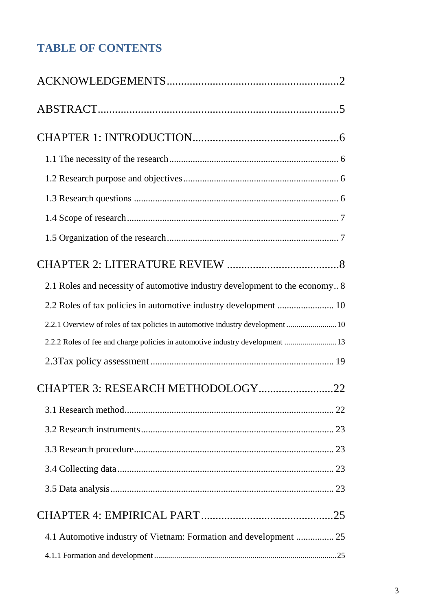# **TABLE OF CONTENTS**

| 2.1 Roles and necessity of automotive industry development to the economy 8    |
|--------------------------------------------------------------------------------|
|                                                                                |
| 2.2.1 Overview of roles of tax policies in automotive industry development  10 |
| 2.2.2 Roles of fee and charge policies in automotive industry development  13  |
|                                                                                |
| CHAPTER 3: RESEARCH METHODOLOGY22                                              |
|                                                                                |
|                                                                                |
|                                                                                |
|                                                                                |
|                                                                                |
|                                                                                |
| 4.1 Automotive industry of Vietnam: Formation and development  25              |
|                                                                                |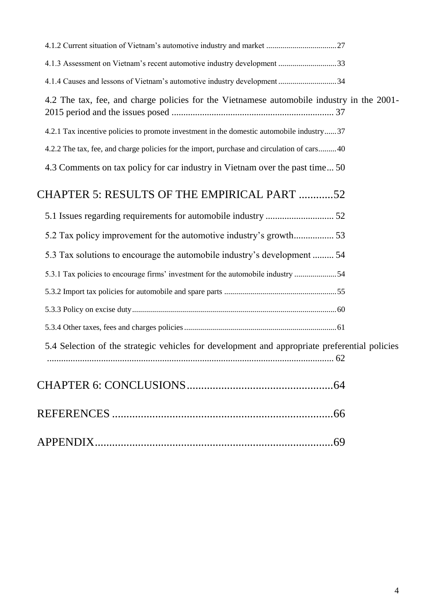| 4.1.3 Assessment on Vietnam's recent automotive industry development 33                       |  |
|-----------------------------------------------------------------------------------------------|--|
| 4.1.4 Causes and lessons of Vietnam's automotive industry development 34                      |  |
| 4.2 The tax, fee, and charge policies for the Vietnamese automobile industry in the 2001-     |  |
| 4.2.1 Tax incentive policies to promote investment in the domestic automobile industry37      |  |
| 4.2.2 The tax, fee, and charge policies for the import, purchase and circulation of cars 40   |  |
| 4.3 Comments on tax policy for car industry in Vietnam over the past time 50                  |  |
| CHAPTER 5: RESULTS OF THE EMPIRICAL PART 52                                                   |  |
|                                                                                               |  |
| 5.2 Tax policy improvement for the automotive industry's growth 53                            |  |
| 5.3 Tax solutions to encourage the automobile industry's development  54                      |  |
| 5.3.1 Tax policies to encourage firms' investment for the automobile industry 54              |  |
|                                                                                               |  |
|                                                                                               |  |
|                                                                                               |  |
| 5.4 Selection of the strategic vehicles for development and appropriate preferential policies |  |
|                                                                                               |  |
|                                                                                               |  |
|                                                                                               |  |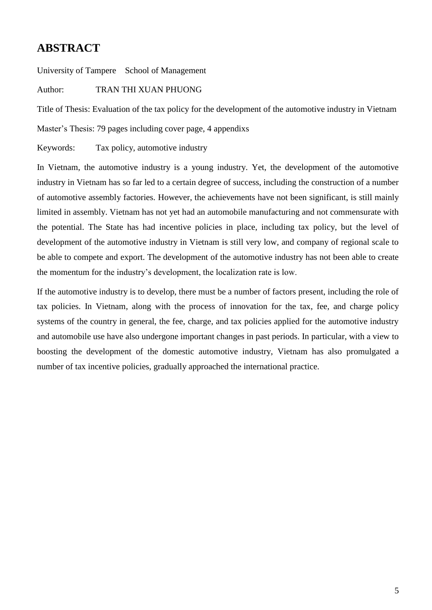# <span id="page-4-0"></span>**ABSTRACT**

University of Tampere School of Management

Author: TRAN THI XUAN PHUONG

Title of Thesis: Evaluation of the tax policy for the development of the automotive industry in Vietnam

Master's Thesis: 79 pages including cover page, 4 appendixs

Keywords: Tax policy, automotive industry

In Vietnam, the automotive industry is a young industry. Yet, the development of the automotive industry in Vietnam has so far led to a certain degree of success, including the construction of a number of automotive assembly factories. However, the achievements have not been significant, is still mainly limited in assembly. Vietnam has not yet had an automobile manufacturing and not commensurate with the potential. The State has had incentive policies in place, including tax policy, but the level of development of the automotive industry in Vietnam is still very low, and company of regional scale to be able to compete and export. The development of the automotive industry has not been able to create the momentum for the industry's development, the localization rate is low.

If the automotive industry is to develop, there must be a number of factors present, including the role of tax policies. In Vietnam, along with the process of innovation for the tax, fee, and charge policy systems of the country in general, the fee, charge, and tax policies applied for the automotive industry and automobile use have also undergone important changes in past periods. In particular, with a view to boosting the development of the domestic automotive industry, Vietnam has also promulgated a number of tax incentive policies, gradually approached the international practice.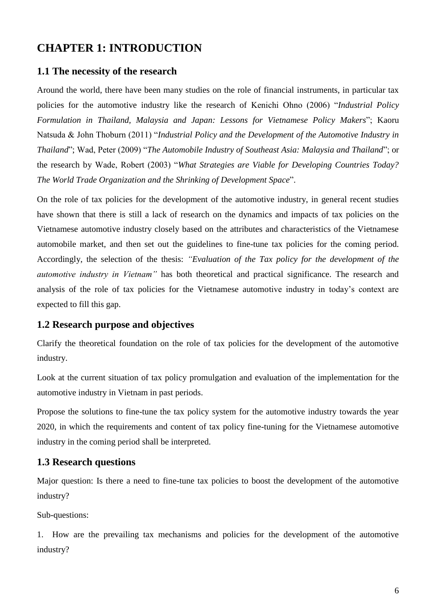# <span id="page-5-0"></span>**CHAPTER 1: INTRODUCTION**

#### <span id="page-5-1"></span>**1.1 The necessity of the research**

Around the world, there have been many studies on the role of financial instruments, in particular tax policies for the automotive industry like the research of Kenichi Ohno (2006) "*Industrial Policy Formulation in Thailand, Malaysia and Japan: Lessons for Vietnamese Policy Makers*"; Kaoru Natsuda & John Thoburn (2011) "*Industrial Policy and the Development of the Automotive Industry in Thailand*"; Wad, Peter (2009) "*The Automobile Industry of Southeast Asia: Malaysia and Thailand*"; or the research by Wade, Robert (2003) "*What Strategies are Viable for Developing Countries Today? The World Trade Organization and the Shrinking of Development Space*".

On the role of tax policies for the development of the automotive industry, in general recent studies have shown that there is still a lack of research on the dynamics and impacts of tax policies on the Vietnamese automotive industry closely based on the attributes and characteristics of the Vietnamese automobile market, and then set out the guidelines to fine-tune tax policies for the coming period. Accordingly, the selection of the thesis: *"Evaluation of the Tax policy for the development of the automotive industry in Vietnam"* has both theoretical and practical significance. The research and analysis of the role of tax policies for the Vietnamese automotive industry in today's context are expected to fill this gap.

#### <span id="page-5-2"></span>**1.2 Research purpose and objectives**

Clarify the theoretical foundation on the role of tax policies for the development of the automotive industry.

Look at the current situation of tax policy promulgation and evaluation of the implementation for the automotive industry in Vietnam in past periods.

Propose the solutions to fine-tune the tax policy system for the automotive industry towards the year 2020, in which the requirements and content of tax policy fine-tuning for the Vietnamese automotive industry in the coming period shall be interpreted.

#### <span id="page-5-3"></span>**1.3 Research questions**

Major question: Is there a need to fine-tune tax policies to boost the development of the automotive industry?

Sub-questions:

1. How are the prevailing tax mechanisms and policies for the development of the automotive industry?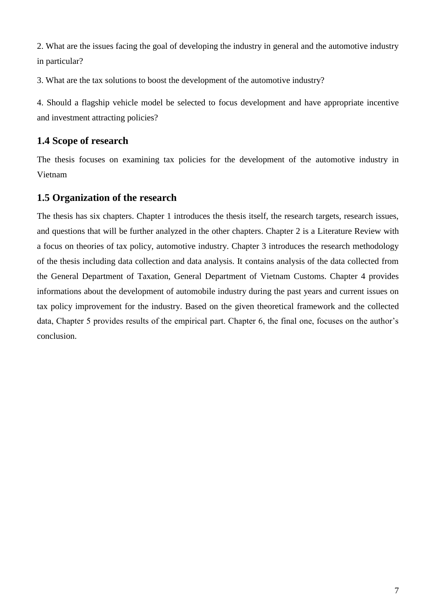2. What are the issues facing the goal of developing the industry in general and the automotive industry in particular?

3. What are the tax solutions to boost the development of the automotive industry?

4. Should a flagship vehicle model be selected to focus development and have appropriate incentive and investment attracting policies?

## <span id="page-6-0"></span>**1.4 Scope of research**

The thesis focuses on examining tax policies for the development of the automotive industry in Vietnam

## <span id="page-6-1"></span>**1.5 Organization of the research**

The thesis has six chapters. Chapter 1 introduces the thesis itself, the research targets, research issues, and questions that will be further analyzed in the other chapters. Chapter 2 is a Literature Review with a focus on theories of tax policy, automotive industry. Chapter 3 introduces the research methodology of the thesis including data collection and data analysis. It contains analysis of the data collected from the General Department of Taxation, General Department of Vietnam Customs. Chapter 4 provides informations about the development of automobile industry during the past years and current issues on tax policy improvement for the industry. Based on the given theoretical framework and the collected data, Chapter 5 provides results of the empirical part. Chapter 6, the final one, focuses on the author's conclusion.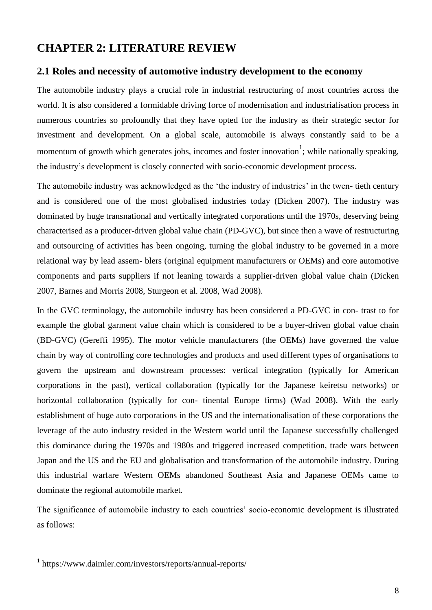# <span id="page-7-0"></span>**CHAPTER 2: LITERATURE REVIEW**

#### <span id="page-7-1"></span>**2.1 Roles and necessity of automotive industry development to the economy**

The automobile industry plays a crucial role in industrial restructuring of most countries across the world. It is also considered a formidable driving force of modernisation and industrialisation process in numerous countries so profoundly that they have opted for the industry as their strategic sector for investment and development. On a global scale, automobile is always constantly said to be a momentum of growth which generates jobs, incomes and foster innovation<sup>1</sup>; while nationally speaking, the industry's development is closely connected with socio-economic development process.

The automobile industry was acknowledged as the 'the industry of industries' in the twen- tieth century and is considered one of the most globalised industries today (Dicken 2007). The industry was dominated by huge transnational and vertically integrated corporations until the 1970s, deserving being characterised as a producer-driven global value chain (PD-GVC), but since then a wave of restructuring and outsourcing of activities has been ongoing, turning the global industry to be governed in a more relational way by lead assem- blers (original equipment manufacturers or OEMs) and core automotive components and parts suppliers if not leaning towards a supplier-driven global value chain (Dicken 2007, Barnes and Morris 2008, Sturgeon et al. 2008, Wad 2008).

In the GVC terminology, the automobile industry has been considered a PD-GVC in con- trast to for example the global garment value chain which is considered to be a buyer-driven global value chain (BD-GVC) (Gereffi 1995). The motor vehicle manufacturers (the OEMs) have governed the value chain by way of controlling core technologies and products and used different types of organisations to govern the upstream and downstream processes: vertical integration (typically for American corporations in the past), vertical collaboration (typically for the Japanese keiretsu networks) or horizontal collaboration (typically for con- tinental Europe firms) (Wad 2008). With the early establishment of huge auto corporations in the US and the internationalisation of these corporations the leverage of the auto industry resided in the Western world until the Japanese successfully challenged this dominance during the 1970s and 1980s and triggered increased competition, trade wars between Japan and the US and the EU and globalisation and transformation of the automobile industry. During this industrial warfare Western OEMs abandoned Southeast Asia and Japanese OEMs came to dominate the regional automobile market.

The significance of automobile industry to each countries' socio-economic development is illustrated as follows:

<sup>1</sup> https://www.daimler.com/investors/reports/annual-reports/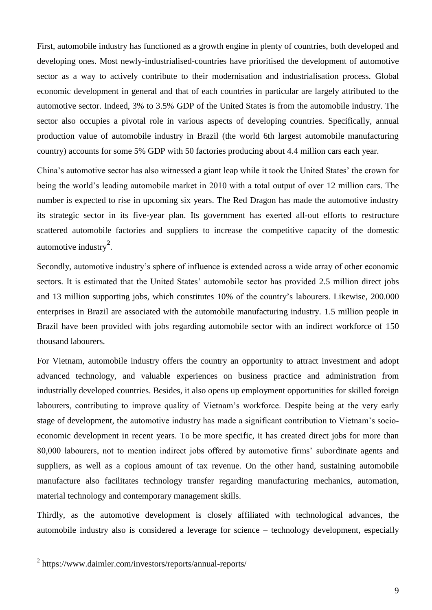First, automobile industry has functioned as a growth engine in plenty of countries, both developed and developing ones. Most newly-industrialised-countries have prioritised the development of automotive sector as a way to actively contribute to their modernisation and industrialisation process. Global economic development in general and that of each countries in particular are largely attributed to the automotive sector. Indeed, 3% to 3.5% GDP of the United States is from the automobile industry. The sector also occupies a pivotal role in various aspects of developing countries. Specifically, annual production value of automobile industry in Brazil (the world 6th largest automobile manufacturing country) accounts for some 5% GDP with 50 factories producing about 4.4 million cars each year.

China's automotive sector has also witnessed a giant leap while it took the United States' the crown for being the world's leading automobile market in 2010 with a total output of over 12 million cars. The number is expected to rise in upcoming six years. The Red Dragon has made the automotive industry its strategic sector in its five-year plan. Its government has exerted all-out efforts to restructure scattered automobile factories and suppliers to increase the competitive capacity of the domestic automotive industry**<sup>2</sup>** .

Secondly, automotive industry's sphere of influence is extended across a wide array of other economic sectors. It is estimated that the United States' automobile sector has provided 2.5 million direct jobs and 13 million supporting jobs, which constitutes 10% of the country's labourers. Likewise, 200.000 enterprises in Brazil are associated with the automobile manufacturing industry. 1.5 million people in Brazil have been provided with jobs regarding automobile sector with an indirect workforce of 150 thousand labourers.

For Vietnam, automobile industry offers the country an opportunity to attract investment and adopt advanced technology, and valuable experiences on business practice and administration from industrially developed countries. Besides, it also opens up employment opportunities for skilled foreign labourers, contributing to improve quality of Vietnam's workforce. Despite being at the very early stage of development, the automotive industry has made a significant contribution to Vietnam's socioeconomic development in recent years. To be more specific, it has created direct jobs for more than 80,000 labourers, not to mention indirect jobs offered by automotive firms' subordinate agents and suppliers, as well as a copious amount of tax revenue. On the other hand, sustaining automobile manufacture also facilitates technology transfer regarding manufacturing mechanics, automation, material technology and contemporary management skills.

Thirdly, as the automotive development is closely affiliated with technological advances, the automobile industry also is considered a leverage for science – technology development, especially

<sup>2</sup> https://www.daimler.com/investors/reports/annual-reports/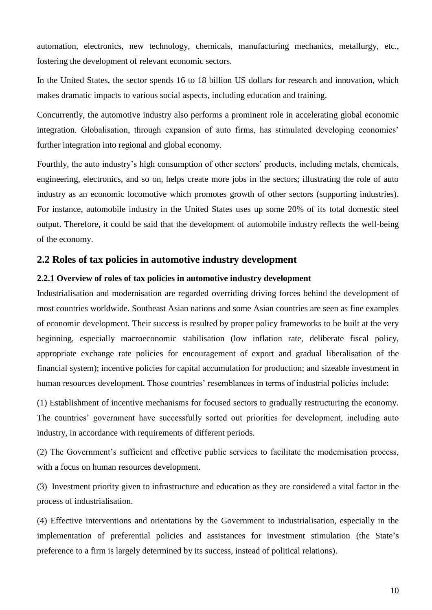automation, electronics, new technology, chemicals, manufacturing mechanics, metallurgy, etc., fostering the development of relevant economic sectors.

In the United States, the sector spends 16 to 18 billion US dollars for research and innovation, which makes dramatic impacts to various social aspects, including education and training.

Concurrently, the automotive industry also performs a prominent role in accelerating global economic integration. Globalisation, through expansion of auto firms, has stimulated developing economies' further integration into regional and global economy.

Fourthly, the auto industry's high consumption of other sectors' products, including metals, chemicals, engineering, electronics, and so on, helps create more jobs in the sectors; illustrating the role of auto industry as an economic locomotive which promotes growth of other sectors (supporting industries). For instance, automobile industry in the United States uses up some 20% of its total domestic steel output. Therefore, it could be said that the development of automobile industry reflects the well-being of the economy.

### <span id="page-9-0"></span>**2.2 Roles of tax policies in automotive industry development**

#### <span id="page-9-1"></span>**2.2.1 Overview of roles of tax policies in automotive industry development**

Industrialisation and modernisation are regarded overriding driving forces behind the development of most countries worldwide. Southeast Asian nations and some Asian countries are seen as fine examples of economic development. Their success is resulted by proper policy frameworks to be built at the very beginning, especially macroeconomic stabilisation (low inflation rate, deliberate fiscal policy, appropriate exchange rate policies for encouragement of export and gradual liberalisation of the financial system); incentive policies for capital accumulation for production; and sizeable investment in human resources development. Those countries' resemblances in terms of industrial policies include:

(1) Establishment of incentive mechanisms for focused sectors to gradually restructuring the economy. The countries' government have successfully sorted out priorities for development, including auto industry, in accordance with requirements of different periods.

(2) The Government's sufficient and effective public services to facilitate the modernisation process, with a focus on human resources development.

(3) Investment priority given to infrastructure and education as they are considered a vital factor in the process of industrialisation.

(4) Effective interventions and orientations by the Government to industrialisation, especially in the implementation of preferential policies and assistances for investment stimulation (the State's preference to a firm is largely determined by its success, instead of political relations).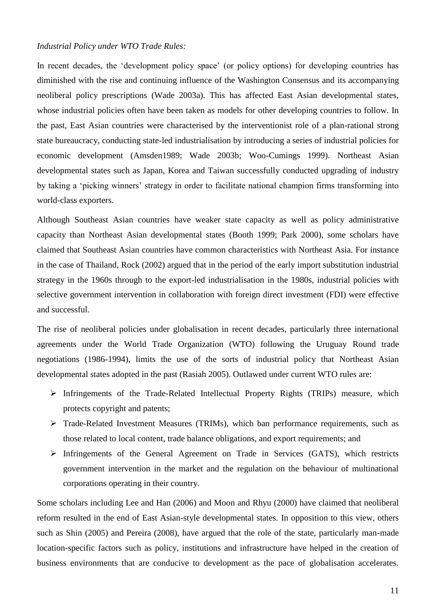#### *Industrial Policy under WTO Trade Rules:*

In recent decades, the 'development policy space' (or policy options) for developing countries has diminished with the rise and continuing influence of the Washington Consensus and its accompanying neoliberal policy prescriptions (Wade 2003a). This has affected East Asian developmental states, whose industrial policies often have been taken as models for other developing countries to follow. In the past, East Asian countries were characterised by the interventionist role of a plan-rational strong state bureaucracy, conducting state-led industrialisation by introducing a series of industrial policies for economic development (Amsden1989; Wade 2003b; Woo-Cumings 1999). Northeast Asian developmental states such as Japan, Korea and Taiwan successfully conducted upgrading of industry by taking a 'picking winners' strategy in order to facilitate national champion firms transforming into world-class exporters.

Although Southeast Asian countries have weaker state capacity as well as policy administrative capacity than Northeast Asian developmental states (Booth 1999; Park 2000), some scholars have claimed that Southeast Asian countries have common characteristics with Northeast Asia. For instance in the case of Thailand, Rock (2002) argued that in the period of the early import substitution industrial strategy in the 1960s through to the export-led industrialisation in the 1980s, industrial policies with selective government intervention in collaboration with foreign direct investment (FDI) were effective and successful.

The rise of neoliberal policies under globalisation in recent decades, particularly three international agreements under the World Trade Organization (WTO) following the Uruguay Round trade negotiations (1986-1994), limits the use of the sorts of industrial policy that Northeast Asian developmental states adopted in the past (Rasiah 2005). Outlawed under current WTO rules are:

- $\triangleright$  Infringements of the Trade-Related Intellectual Property Rights (TRIPs) measure, which protects copyright and patents;
- Trade-Related Investment Measures (TRIMs), which ban performance requirements, such as those related to local content, trade balance obligations, and export requirements; and
- $\triangleright$  Infringements of the General Agreement on Trade in Services (GATS), which restricts government intervention in the market and the regulation on the behaviour of multinational corporations operating in their country.

Some scholars including Lee and Han (2006) and Moon and Rhyu (2000) have claimed that neoliberal reform resulted in the end of East Asian-style developmental states. In opposition to this view, others such as Shin (2005) and Pereira (2008), have argued that the role of the state, particularly man-made location-specific factors such as policy, institutions and infrastructure have helped in the creation of business environments that are conducive to development as the pace of globalisation accelerates.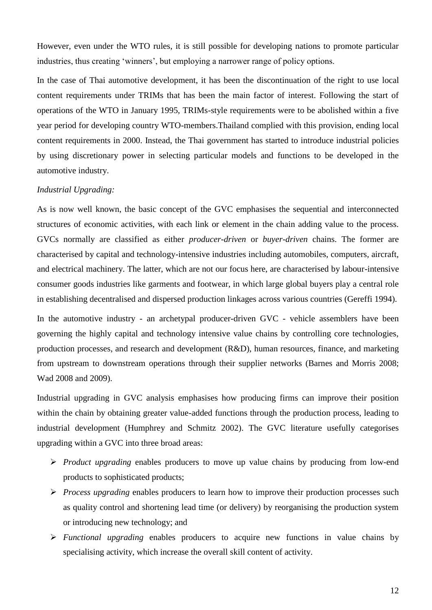However, even under the WTO rules, it is still possible for developing nations to promote particular industries, thus creating 'winners', but employing a narrower range of policy options.

In the case of Thai automotive development, it has been the discontinuation of the right to use local content requirements under TRIMs that has been the main factor of interest. Following the start of operations of the WTO in January 1995, TRIMs-style requirements were to be abolished within a five year period for developing country WTO-members.Thailand complied with this provision, ending local content requirements in 2000. Instead, the Thai government has started to introduce industrial policies by using discretionary power in selecting particular models and functions to be developed in the automotive industry.

#### *Industrial Upgrading:*

As is now well known, the basic concept of the GVC emphasises the sequential and interconnected structures of economic activities, with each link or element in the chain adding value to the process. GVCs normally are classified as either *producer-driven* or *buyer-driven* chains. The former are characterised by capital and technology-intensive industries including automobiles, computers, aircraft, and electrical machinery. The latter, which are not our focus here, are characterised by labour-intensive consumer goods industries like garments and footwear, in which large global buyers play a central role in establishing decentralised and dispersed production linkages across various countries (Gereffi 1994).

In the automotive industry - an archetypal producer-driven GVC - vehicle assemblers have been governing the highly capital and technology intensive value chains by controlling core technologies, production processes, and research and development (R&D), human resources, finance, and marketing from upstream to downstream operations through their supplier networks (Barnes and Morris 2008; Wad 2008 and 2009).

Industrial upgrading in GVC analysis emphasises how producing firms can improve their position within the chain by obtaining greater value-added functions through the production process, leading to industrial development (Humphrey and Schmitz 2002). The GVC literature usefully categorises upgrading within a GVC into three broad areas:

- *Product upgrading* enables producers to move up value chains by producing from low-end products to sophisticated products;
- *Process upgrading* enables producers to learn how to improve their production processes such as quality control and shortening lead time (or delivery) by reorganising the production system or introducing new technology; and
- *Functional upgrading* enables producers to acquire new functions in value chains by specialising activity, which increase the overall skill content of activity.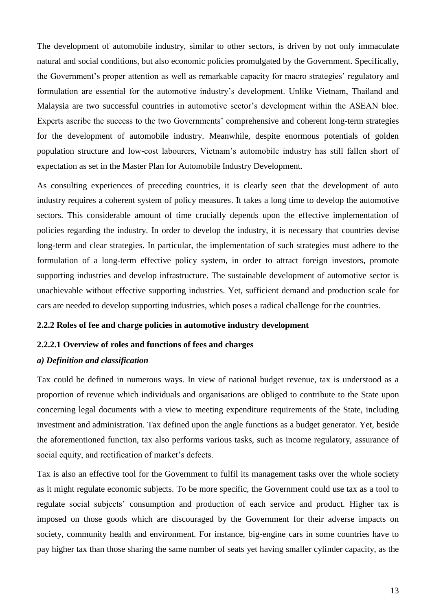The development of automobile industry, similar to other sectors, is driven by not only immaculate natural and social conditions, but also economic policies promulgated by the Government. Specifically, the Government's proper attention as well as remarkable capacity for macro strategies' regulatory and formulation are essential for the automotive industry's development. Unlike Vietnam, Thailand and Malaysia are two successful countries in automotive sector's development within the ASEAN bloc. Experts ascribe the success to the two Governments' comprehensive and coherent long-term strategies for the development of automobile industry. Meanwhile, despite enormous potentials of golden population structure and low-cost labourers, Vietnam's automobile industry has still fallen short of expectation as set in the Master Plan for Automobile Industry Development.

As consulting experiences of preceding countries, it is clearly seen that the development of auto industry requires a coherent system of policy measures. It takes a long time to develop the automotive sectors. This considerable amount of time crucially depends upon the effective implementation of policies regarding the industry. In order to develop the industry, it is necessary that countries devise long-term and clear strategies. In particular, the implementation of such strategies must adhere to the formulation of a long-term effective policy system, in order to attract foreign investors, promote supporting industries and develop infrastructure. The sustainable development of automotive sector is unachievable without effective supporting industries. Yet, sufficient demand and production scale for cars are needed to develop supporting industries, which poses a radical challenge for the countries.

#### <span id="page-12-0"></span>**2.2.2 Roles of fee and charge policies in automotive industry development**

#### **2.2.2.1 Overview of roles and functions of fees and charges**

#### *a) Definition and classification*

Tax could be defined in numerous ways. In view of national budget revenue, tax is understood as a proportion of revenue which individuals and organisations are obliged to contribute to the State upon concerning legal documents with a view to meeting expenditure requirements of the State, including investment and administration. Tax defined upon the angle functions as a budget generator. Yet, beside the aforementioned function, tax also performs various tasks, such as income regulatory, assurance of social equity, and rectification of market's defects.

Tax is also an effective tool for the Government to fulfil its management tasks over the whole society as it might regulate economic subjects. To be more specific, the Government could use tax as a tool to regulate social subjects' consumption and production of each service and product. Higher tax is imposed on those goods which are discouraged by the Government for their adverse impacts on society, community health and environment. For instance, big-engine cars in some countries have to pay higher tax than those sharing the same number of seats yet having smaller cylinder capacity, as the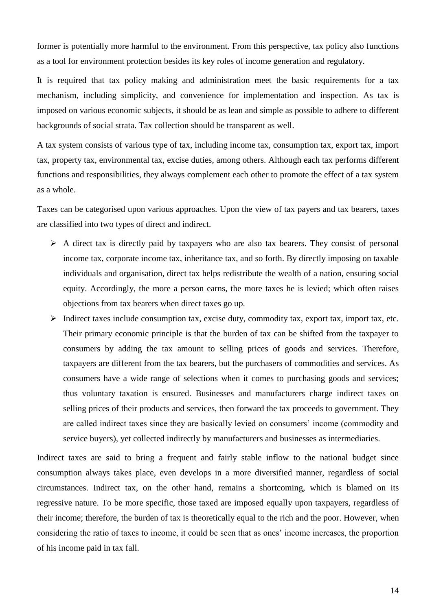former is potentially more harmful to the environment. From this perspective, tax policy also functions as a tool for environment protection besides its key roles of income generation and regulatory.

It is required that tax policy making and administration meet the basic requirements for a tax mechanism, including simplicity, and convenience for implementation and inspection. As tax is imposed on various economic subjects, it should be as lean and simple as possible to adhere to different backgrounds of social strata. Tax collection should be transparent as well.

A tax system consists of various type of tax, including income tax, consumption tax, export tax, import tax, property tax, environmental tax, excise duties, among others. Although each tax performs different functions and responsibilities, they always complement each other to promote the effect of a tax system as a whole.

Taxes can be categorised upon various approaches. Upon the view of tax payers and tax bearers, taxes are classified into two types of direct and indirect.

- $\triangleright$  A direct tax is directly paid by taxpayers who are also tax bearers. They consist of personal income tax, corporate income tax, inheritance tax, and so forth. By directly imposing on taxable individuals and organisation, direct tax helps redistribute the wealth of a nation, ensuring social equity. Accordingly, the more a person earns, the more taxes he is levied; which often raises objections from tax bearers when direct taxes go up.
- $\triangleright$  Indirect taxes include consumption tax, excise duty, commodity tax, export tax, import tax, etc. Their primary economic principle is that the burden of tax can be shifted from the taxpayer to consumers by adding the tax amount to selling prices of goods and services. Therefore, taxpayers are different from the tax bearers, but the purchasers of commodities and services. As consumers have a wide range of selections when it comes to purchasing goods and services; thus voluntary taxation is ensured. Businesses and manufacturers charge indirect taxes on selling prices of their products and services, then forward the tax proceeds to government. They are called indirect taxes since they are basically levied on consumers' income (commodity and service buyers), yet collected indirectly by manufacturers and businesses as intermediaries.

Indirect taxes are said to bring a frequent and fairly stable inflow to the national budget since consumption always takes place, even develops in a more diversified manner, regardless of social circumstances. Indirect tax, on the other hand, remains a shortcoming, which is blamed on its regressive nature. To be more specific, those taxed are imposed equally upon taxpayers, regardless of their income; therefore, the burden of tax is theoretically equal to the rich and the poor. However, when considering the ratio of taxes to income, it could be seen that as ones' income increases, the proportion of his income paid in tax fall.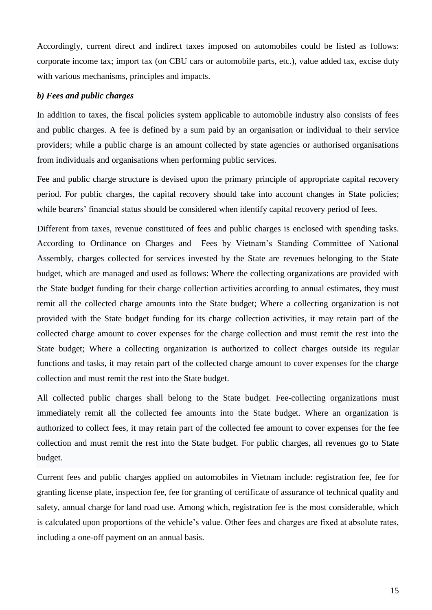Accordingly, current direct and indirect taxes imposed on automobiles could be listed as follows: corporate income tax; import tax (on CBU cars or automobile parts, etc.), value added tax, excise duty with various mechanisms, principles and impacts.

#### *b) Fees and public charges*

In addition to taxes, the fiscal policies system applicable to automobile industry also consists of fees and public charges. A fee is defined by a sum paid by an organisation or individual to their service providers; while a public charge is an amount collected by state agencies or authorised organisations from individuals and organisations when performing public services.

Fee and public charge structure is devised upon the primary principle of appropriate capital recovery period. For public charges, the capital recovery should take into account changes in State policies; while bearers' financial status should be considered when identify capital recovery period of fees.

Different from taxes, revenue constituted of fees and public charges is enclosed with spending tasks. According to Ordinance on Charges and Fees by Vietnam's Standing Committee of National Assembly, charges collected for services invested by the State are revenues belonging to the State budget, which are managed and used as follows: Where the collecting organizations are provided with the State budget funding for their charge collection activities according to annual estimates, they must remit all the collected charge amounts into the State budget; Where a collecting organization is not provided with the State budget funding for its charge collection activities, it may retain part of the collected charge amount to cover expenses for the charge collection and must remit the rest into the State budget; Where a collecting organization is authorized to collect charges outside its regular functions and tasks, it may retain part of the collected charge amount to cover expenses for the charge collection and must remit the rest into the State budget.

All collected public charges shall belong to the State budget. Fee-collecting organizations must immediately remit all the collected fee amounts into the State budget. Where an organization is authorized to collect fees, it may retain part of the collected fee amount to cover expenses for the fee collection and must remit the rest into the State budget. For public charges, all revenues go to State budget.

Current fees and public charges applied on automobiles in Vietnam include: registration fee, fee for granting license plate, inspection fee, fee for granting of certificate of assurance of technical quality and safety, annual charge for land road use. Among which, registration fee is the most considerable, which is calculated upon proportions of the vehicle's value. Other fees and charges are fixed at absolute rates, including a one-off payment on an annual basis.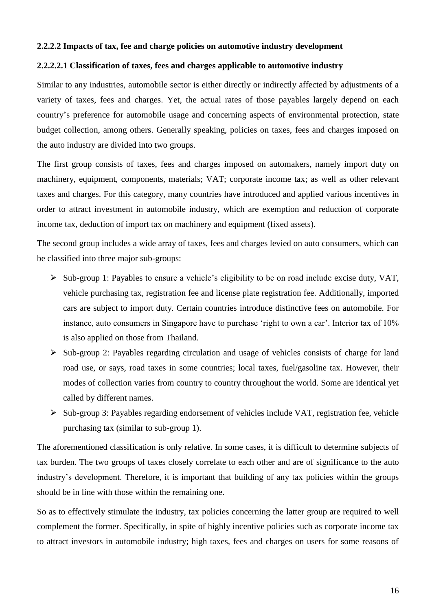#### **2.2.2.2 Impacts of tax, fee and charge policies on automotive industry development**

#### **2.2.2.2.1 Classification of taxes, fees and charges applicable to automotive industry**

Similar to any industries, automobile sector is either directly or indirectly affected by adjustments of a variety of taxes, fees and charges. Yet, the actual rates of those payables largely depend on each country's preference for automobile usage and concerning aspects of environmental protection, state budget collection, among others. Generally speaking, policies on taxes, fees and charges imposed on the auto industry are divided into two groups.

The first group consists of taxes, fees and charges imposed on automakers, namely import duty on machinery, equipment, components, materials; VAT; corporate income tax; as well as other relevant taxes and charges. For this category, many countries have introduced and applied various incentives in order to attract investment in automobile industry, which are exemption and reduction of corporate income tax, deduction of import tax on machinery and equipment (fixed assets).

The second group includes a wide array of taxes, fees and charges levied on auto consumers, which can be classified into three major sub-groups:

- $\triangleright$  Sub-group 1: Payables to ensure a vehicle's eligibility to be on road include excise duty, VAT, vehicle purchasing tax, registration fee and license plate registration fee. Additionally, imported cars are subject to import duty. Certain countries introduce distinctive fees on automobile. For instance, auto consumers in Singapore have to purchase 'right to own a car'. Interior tax of 10% is also applied on those from Thailand.
- $\triangleright$  Sub-group 2: Payables regarding circulation and usage of vehicles consists of charge for land road use, or says, road taxes in some countries; local taxes, fuel/gasoline tax. However, their modes of collection varies from country to country throughout the world. Some are identical yet called by different names.
- $\triangleright$  Sub-group 3: Payables regarding endorsement of vehicles include VAT, registration fee, vehicle purchasing tax (similar to sub-group 1).

The aforementioned classification is only relative. In some cases, it is difficult to determine subjects of tax burden. The two groups of taxes closely correlate to each other and are of significance to the auto industry's development. Therefore, it is important that building of any tax policies within the groups should be in line with those within the remaining one.

So as to effectively stimulate the industry, tax policies concerning the latter group are required to well complement the former. Specifically, in spite of highly incentive policies such as corporate income tax to attract investors in automobile industry; high taxes, fees and charges on users for some reasons of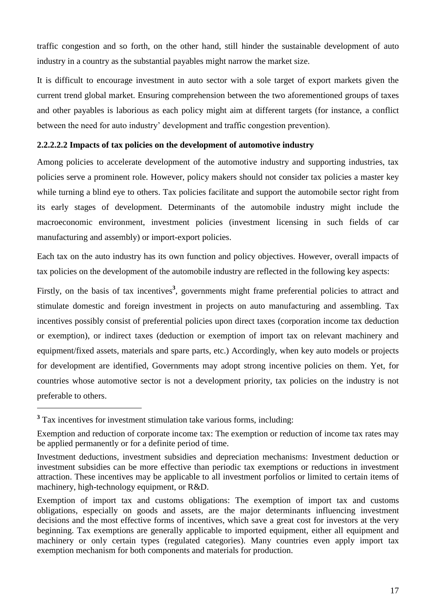traffic congestion and so forth, on the other hand, still hinder the sustainable development of auto industry in a country as the substantial payables might narrow the market size.

It is difficult to encourage investment in auto sector with a sole target of export markets given the current trend global market. Ensuring comprehension between the two aforementioned groups of taxes and other payables is laborious as each policy might aim at different targets (for instance, a conflict between the need for auto industry' development and traffic congestion prevention).

#### **2.2.2.2.2 Impacts of tax policies on the development of automotive industry**

Among policies to accelerate development of the automotive industry and supporting industries, tax policies serve a prominent role. However, policy makers should not consider tax policies a master key while turning a blind eye to others. Tax policies facilitate and support the automobile sector right from its early stages of development. Determinants of the automobile industry might include the macroeconomic environment, investment policies (investment licensing in such fields of car manufacturing and assembly) or import-export policies.

Each tax on the auto industry has its own function and policy objectives. However, overall impacts of tax policies on the development of the automobile industry are reflected in the following key aspects:

Firstly, on the basis of tax incentives<sup>3</sup>, governments might frame preferential policies to attract and stimulate domestic and foreign investment in projects on auto manufacturing and assembling. Tax incentives possibly consist of preferential policies upon direct taxes (corporation income tax deduction or exemption), or indirect taxes (deduction or exemption of import tax on relevant machinery and equipment/fixed assets, materials and spare parts, etc.) Accordingly, when key auto models or projects for development are identified, Governments may adopt strong incentive policies on them. Yet, for countries whose automotive sector is not a development priority, tax policies on the industry is not preferable to others.

<sup>&</sup>lt;sup>3</sup> Tax incentives for investment stimulation take various forms, including:

Exemption and reduction of corporate income tax: The exemption or reduction of income tax rates may be applied permanently or for a definite period of time.

Investment deductions, investment subsidies and depreciation mechanisms: Investment deduction or investment subsidies can be more effective than periodic tax exemptions or reductions in investment attraction. These incentives may be applicable to all investment porfolios or limited to certain items of machinery, high-technology equipment, or R&D.

Exemption of import tax and customs obligations: The exemption of import tax and customs obligations, especially on goods and assets, are the major determinants influencing investment decisions and the most effective forms of incentives, which save a great cost for investors at the very beginning. Tax exemptions are generally applicable to imported equipment, either all equipment and machinery or only certain types (regulated categories). Many countries even apply import tax exemption mechanism for both components and materials for production.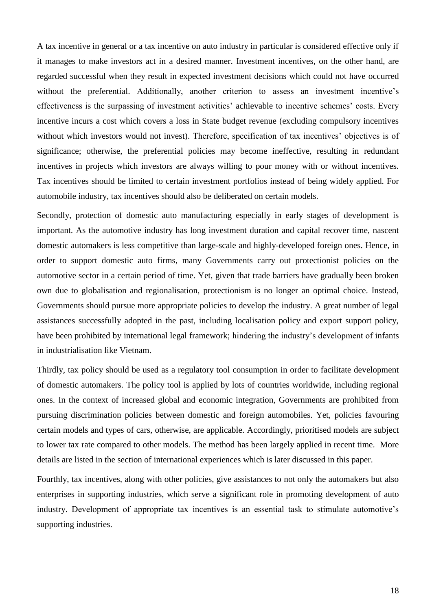A tax incentive in general or a tax incentive on auto industry in particular is considered effective only if it manages to make investors act in a desired manner. Investment incentives, on the other hand, are regarded successful when they result in expected investment decisions which could not have occurred without the preferential. Additionally, another criterion to assess an investment incentive's effectiveness is the surpassing of investment activities' achievable to incentive schemes' costs. Every incentive incurs a cost which covers a loss in State budget revenue (excluding compulsory incentives without which investors would not invest). Therefore, specification of tax incentives' objectives is of significance; otherwise, the preferential policies may become ineffective, resulting in redundant incentives in projects which investors are always willing to pour money with or without incentives. Tax incentives should be limited to certain investment portfolios instead of being widely applied. For automobile industry, tax incentives should also be deliberated on certain models.

Secondly, protection of domestic auto manufacturing especially in early stages of development is important. As the automotive industry has long investment duration and capital recover time, nascent domestic automakers is less competitive than large-scale and highly-developed foreign ones. Hence, in order to support domestic auto firms, many Governments carry out protectionist policies on the automotive sector in a certain period of time. Yet, given that trade barriers have gradually been broken own due to globalisation and regionalisation, protectionism is no longer an optimal choice. Instead, Governments should pursue more appropriate policies to develop the industry. A great number of legal assistances successfully adopted in the past, including localisation policy and export support policy, have been prohibited by international legal framework; hindering the industry's development of infants in industrialisation like Vietnam.

Thirdly, tax policy should be used as a regulatory tool consumption in order to facilitate development of domestic automakers. The policy tool is applied by lots of countries worldwide, including regional ones. In the context of increased global and economic integration, Governments are prohibited from pursuing discrimination policies between domestic and foreign automobiles. Yet, policies favouring certain models and types of cars, otherwise, are applicable. Accordingly, prioritised models are subject to lower tax rate compared to other models. The method has been largely applied in recent time. More details are listed in the section of international experiences which is later discussed in this paper.

Fourthly, tax incentives, along with other policies, give assistances to not only the automakers but also enterprises in supporting industries, which serve a significant role in promoting development of auto industry. Development of appropriate tax incentives is an essential task to stimulate automotive's supporting industries.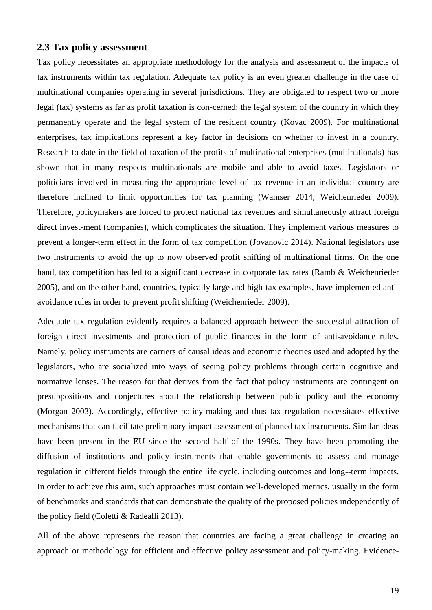#### **2.3 Tax policy assessment**

Tax policy necessitates an appropriate methodology for the analysis and assessment of the impacts of tax instruments within tax regulation. Adequate tax policy is an even greater challenge in the case of multinational companies operating in several jurisdictions. They are obligated to respect two or more legal (tax) systems as far as profit taxation is con-cerned: the legal system of the country in which they permanently operate and the legal system of the resident country (Kovac 2009). For multinational enterprises, tax implications represent a key factor in decisions on whether to invest in a country. Research to date in the field of taxation of the profits of multinational enterprises (multinationals) has shown that in many respects multinationals are mobile and able to avoid taxes. Legislators or politicians involved in measuring the appropriate level of tax revenue in an individual country are therefore inclined to limit opportunities for tax planning (Wamser 2014; Weichenrieder 2009). Therefore, policymakers are forced to protect national tax revenues and simultaneously attract foreign direct invest-ment (companies), which complicates the situation. They implement various measures to prevent a longer-term effect in the form of tax competition (Jovanovic 2014). National legislators use two instruments to avoid the up to now observed profit shifting of multinational firms. On the one hand, tax competition has led to a significant decrease in corporate tax rates (Ramb & Weichenrieder 2005), and on the other hand, countries, typically large and high-tax examples, have implemented antiavoidance rules in order to prevent profit shifting (Weichenrieder 2009).

Adequate tax regulation evidently requires a balanced approach between the successful attraction of foreign direct investments and protection of public finances in the form of anti-avoidance rules. Namely, policy instruments are carriers of causal ideas and economic theories used and adopted by the legislators, who are socialized into ways of seeing policy problems through certain cognitive and normative lenses. The reason for that derives from the fact that policy instruments are contingent on presuppositions and conjectures about the relationship between public policy and the economy (Morgan 2003). Accordingly, effective policy-making and thus tax regulation necessitates effective mechanisms that can facilitate preliminary impact assessment of planned tax instruments. Similar ideas have been present in the EU since the second half of the 1990s. They have been promoting the diffusion of institutions and policy instruments that enable governments to assess and manage regulation in different fields through the entire life cycle, including outcomes and long--term impacts. In order to achieve this aim, such approaches must contain well-developed metrics, usually in the form of benchmarks and standards that can demonstrate the quality of the proposed policies independently of the policy field (Coletti & Radealli 2013).

All of the above represents the reason that countries are facing a great challenge in creating an approach or methodology for efficient and effective policy assessment and policy-making. Evidence-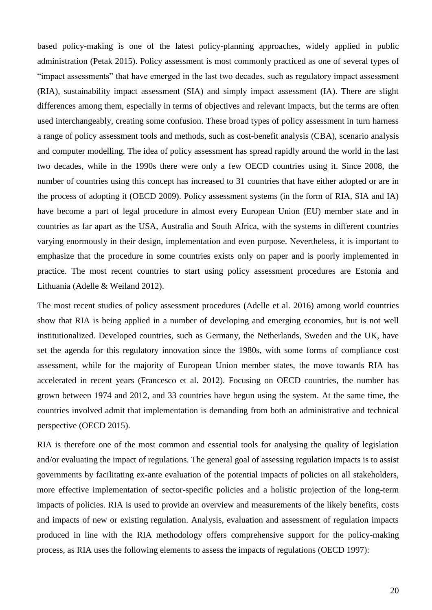based policy-making is one of the latest policy-planning approaches, widely applied in public administration (Petak 2015). Policy assessment is most commonly practiced as one of several types of "impact assessments" that have emerged in the last two decades, such as regulatory impact assessment (RIA), sustainability impact assessment (SIA) and simply impact assessment (IA). There are slight differences among them, especially in terms of objectives and relevant impacts, but the terms are often used interchangeably, creating some confusion. These broad types of policy assessment in turn harness a range of policy assessment tools and methods, such as cost-benefit analysis (CBA), scenario analysis and computer modelling. The idea of policy assessment has spread rapidly around the world in the last two decades, while in the 1990s there were only a few OECD countries using it. Since 2008, the number of countries using this concept has increased to 31 countries that have either adopted or are in the process of adopting it (OECD 2009). Policy assessment systems (in the form of RIA, SIA and IA) have become a part of legal procedure in almost every European Union (EU) member state and in countries as far apart as the USA, Australia and South Africa, with the systems in different countries varying enormously in their design, implementation and even purpose. Nevertheless, it is important to emphasize that the procedure in some countries exists only on paper and is poorly implemented in practice. The most recent countries to start using policy assessment procedures are Estonia and Lithuania (Adelle & Weiland 2012).

The most recent studies of policy assessment procedures (Adelle et al. 2016) among world countries show that RIA is being applied in a number of developing and emerging economies, but is not well institutionalized. Developed countries, such as Germany, the Netherlands, Sweden and the UK, have set the agenda for this regulatory innovation since the 1980s, with some forms of compliance cost assessment, while for the majority of European Union member states, the move towards RIA has accelerated in recent years (Francesco et al. 2012). Focusing on OECD countries, the number has grown between 1974 and 2012, and 33 countries have begun using the system. At the same time, the countries involved admit that implementation is demanding from both an administrative and technical perspective (OECD 2015).

RIA is therefore one of the most common and essential tools for analysing the quality of legislation and/or evaluating the impact of regulations. The general goal of assessing regulation impacts is to assist governments by facilitating ex-ante evaluation of the potential impacts of policies on all stakeholders, more effective implementation of sector-specific policies and a holistic projection of the long-term impacts of policies. RIA is used to provide an overview and measurements of the likely benefits, costs and impacts of new or existing regulation. Analysis, evaluation and assessment of regulation impacts produced in line with the RIA methodology offers comprehensive support for the policy-making process, as RIA uses the following elements to assess the impacts of regulations (OECD 1997):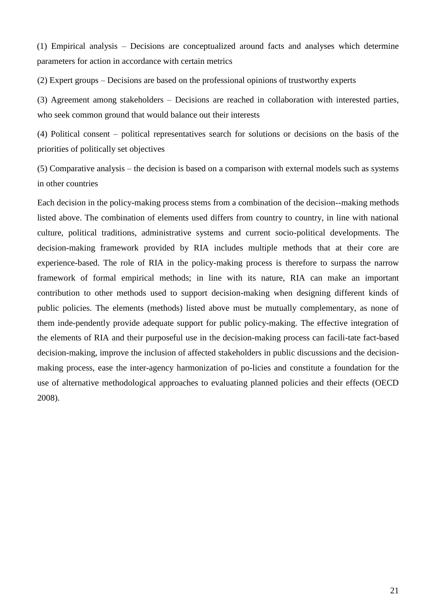(1) Empirical analysis – Decisions are conceptualized around facts and analyses which determine parameters for action in accordance with certain metrics

(2) Expert groups – Decisions are based on the professional opinions of trustworthy experts

(3) Agreement among stakeholders – Decisions are reached in collaboration with interested parties, who seek common ground that would balance out their interests

(4) Political consent – political representatives search for solutions or decisions on the basis of the priorities of politically set objectives

(5) Comparative analysis – the decision is based on a comparison with external models such as systems in other countries

Each decision in the policy-making process stems from a combination of the decision--making methods listed above. The combination of elements used differs from country to country, in line with national culture, political traditions, administrative systems and current socio-political developments. The decision-making framework provided by RIA includes multiple methods that at their core are experience-based. The role of RIA in the policy-making process is therefore to surpass the narrow framework of formal empirical methods; in line with its nature, RIA can make an important contribution to other methods used to support decision-making when designing different kinds of public policies. The elements (methods) listed above must be mutually complementary, as none of them inde-pendently provide adequate support for public policy-making. The effective integration of the elements of RIA and their purposeful use in the decision-making process can facili-tate fact-based decision-making, improve the inclusion of affected stakeholders in public discussions and the decisionmaking process, ease the inter-agency harmonization of po-licies and constitute a foundation for the use of alternative methodological approaches to evaluating planned policies and their effects (OECD 2008).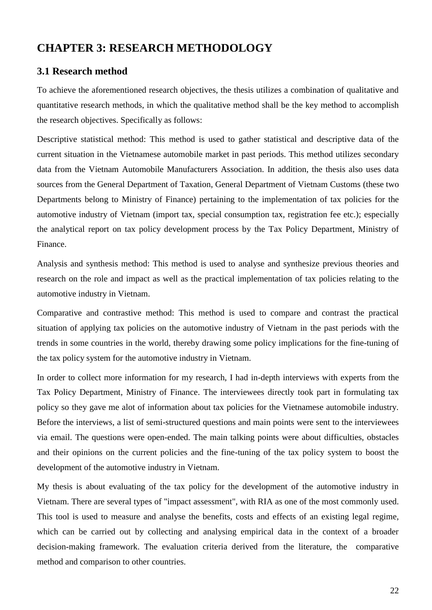# <span id="page-21-0"></span>**CHAPTER 3: RESEARCH METHODOLOGY**

#### <span id="page-21-1"></span>**3.1 Research method**

To achieve the aforementioned research objectives, the thesis utilizes a combination of qualitative and quantitative research methods, in which the qualitative method shall be the key method to accomplish the research objectives. Specifically as follows:

Descriptive statistical method: This method is used to gather statistical and descriptive data of the current situation in the Vietnamese automobile market in past periods. This method utilizes secondary data from the Vietnam Automobile Manufacturers Association. In addition, the thesis also uses data sources from the General Department of Taxation, General Department of Vietnam Customs (these two Departments belong to Ministry of Finance) pertaining to the implementation of tax policies for the automotive industry of Vietnam (import tax, special consumption tax, registration fee etc.); especially the analytical report on tax policy development process by the Tax Policy Department, Ministry of Finance.

Analysis and synthesis method: This method is used to analyse and synthesize previous theories and research on the role and impact as well as the practical implementation of tax policies relating to the automotive industry in Vietnam.

Comparative and contrastive method: This method is used to compare and contrast the practical situation of applying tax policies on the automotive industry of Vietnam in the past periods with the trends in some countries in the world, thereby drawing some policy implications for the fine-tuning of the tax policy system for the automotive industry in Vietnam.

In order to collect more information for my research, I had in-depth interviews with experts from the Tax Policy Department, Ministry of Finance. The interviewees directly took part in formulating tax policy so they gave me alot of information about tax policies for the Vietnamese automobile industry. Before the interviews, a list of semi-structured questions and main points were sent to the interviewees via email. The questions were open-ended. The main talking points were about difficulties, obstacles and their opinions on the current policies and the fine-tuning of the tax policy system to boost the development of the automotive industry in Vietnam.

My thesis is about evaluating of the tax policy for the development of the automotive industry in Vietnam. There are several types of "impact assessment", with RIA as one of the most commonly used. This tool is used to measure and analyse the benefits, costs and effects of an existing legal regime, which can be carried out by collecting and analysing empirical data in the context of a broader decision-making framework. The evaluation criteria derived from the literature, the comparative method and comparison to other countries.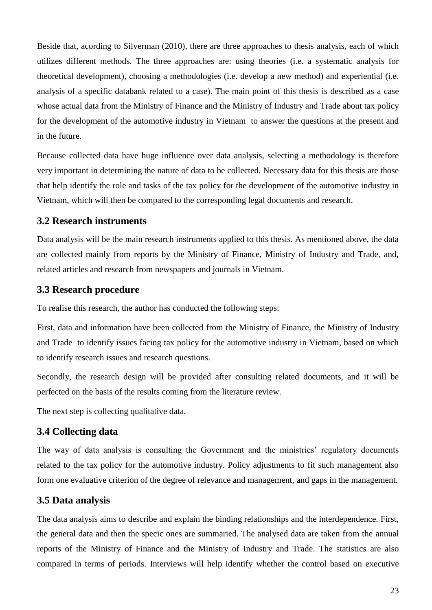Beside that, acording to Silverman (2010), there are three approaches to thesis analysis, each of which utilizes different methods. The three approaches are: using theories (i.e. a systematic analysis for theoretical development), choosing a methodologies (i.e. develop a new method) and experiential (i.e. analysis of a specific databank related to a case). The main point of this thesis is described as a case whose actual data from the Ministry of Finance and the Ministry of Industry and Trade about tax policy for the development of the automotive industry in Vietnam to answer the questions at the present and in the future.

Because collected data have huge influence over data analysis, selecting a methodology is therefore very important in determining the nature of data to be collected. Necessary data for this thesis are those that help identify the role and tasks of the tax policy for the development of the automotive industry in Vietnam, which will then be compared to the corresponding legal documents and research.

### <span id="page-22-0"></span>**3.2 Research instruments**

Data analysis will be the main research instruments applied to this thesis. As mentioned above, the data are collected mainly from reports by the Ministry of Finance, Ministry of Industry and Trade, and, related articles and research from newspapers and journals in Vietnam.

### <span id="page-22-1"></span>**3.3 Research procedure**

To realise this research, the author has conducted the following steps:

First, data and information have been collected from the Ministry of Finance, the Ministry of Industry and Trade to identify issues facing tax policy for the automotive industry in Vietnam, based on which to identify research issues and research questions.

Secondly, the research design will be provided after consulting related documents, and it will be perfected on the basis of the results coming from the literature review.

The next step is collecting qualitative data.

### <span id="page-22-2"></span>**3.4 Collecting data**

The way of data analysis is consulting the Government and the ministries' regulatory documents related to the tax policy for the automotive industry. Policy adjustments to fit such management also form one evaluative criterion of the degree of relevance and management, and gaps in the management.

### <span id="page-22-3"></span>**3.5 Data analysis**

The data analysis aims to describe and explain the binding relationships and the interdependence. First, the general data and then the specic ones are summaried. The analysed data are taken from the annual reports of the Ministry of Finance and the Ministry of Industry and Trade. The statistics are also compared in terms of periods. Interviews will help identify whether the control based on executive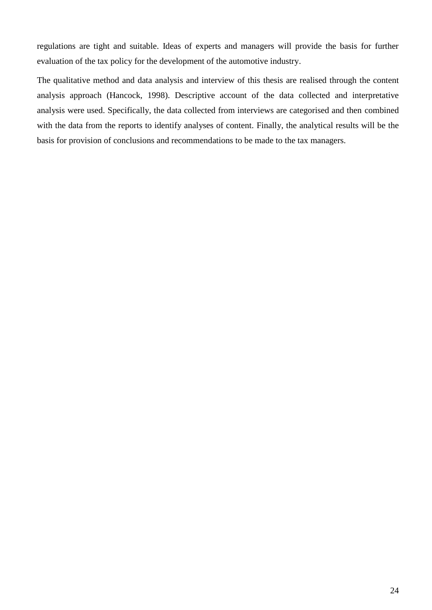regulations are tight and suitable. Ideas of experts and managers will provide the basis for further evaluation of the tax policy for the development of the automotive industry.

The qualitative method and data analysis and interview of this thesis are realised through the content analysis approach (Hancock, 1998). Descriptive account of the data collected and interpretative analysis were used. Specifically, the data collected from interviews are categorised and then combined with the data from the reports to identify analyses of content. Finally, the analytical results will be the basis for provision of conclusions and recommendations to be made to the tax managers.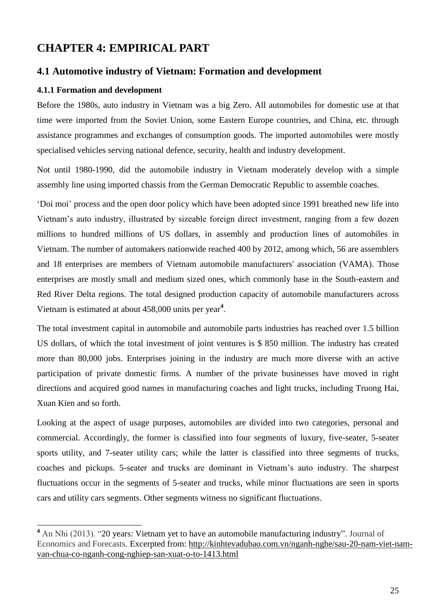# <span id="page-24-0"></span>**CHAPTER 4: EMPIRICAL PART**

#### <span id="page-24-1"></span>**4.1 Automotive industry of Vietnam: Formation and development**

#### <span id="page-24-2"></span>**4.1.1 Formation and development**

-

Before the 1980s, auto industry in Vietnam was a big Zero. All automobiles for domestic use at that time were imported from the Soviet Union, some Eastern Europe countries, and China, etc. through assistance programmes and exchanges of consumption goods. The imported automobiles were mostly specialised vehicles serving national defence, security, health and industry development.

Not until 1980-1990, did the automobile industry in Vietnam moderately develop with a simple assembly line using imported chassis from the German Democratic Republic to assemble coaches.

'Doi moi' process and the open door policy which have been adopted since 1991 breathed new life into Vietnam's auto industry, illustrated by sizeable foreign direct investment, ranging from a few dozen millions to hundred millions of US dollars, in assembly and production lines of automobiles in Vietnam. The number of automakers nationwide reached 400 by 2012, among which, 56 are assemblers and 18 enterprises are members of Vietnam automobile manufacturers' association (VAMA). Those enterprises are mostly small and medium sized ones, which commonly base in the South-eastern and Red River Delta regions. The total designed production capacity of automobile manufacturers across Vietnam is estimated at about 458,000 units per year**<sup>4</sup>** .

The total investment capital in automobile and automobile parts industries has reached over 1.5 billion US dollars, of which the total investment of joint ventures is \$ 850 million. The industry has created more than 80,000 jobs. Enterprises joining in the industry are much more diverse with an active participation of private domestic firms. A number of the private businesses have moved in right directions and acquired good names in manufacturing coaches and light trucks, including Truong Hai, Xuan Kien and so forth.

Looking at the aspect of usage purposes, automobiles are divided into two categories, personal and commercial. Accordingly, the former is classified into four segments of luxury, five-seater, 5-seater sports utility, and 7-seater utility cars; while the latter is classified into three segments of trucks, coaches and pickups. 5-seater and trucks are dominant in Vietnam's auto industry. The sharpest fluctuations occur in the segments of 5-seater and trucks, while minor fluctuations are seen in sports cars and utility cars segments. Other segments witness no significant fluctuations.

**<sup>4</sup>** An Nhi (2013). "20 years: Vietnam yet to have an automobile manufacturing industry". Journal of Economics and Forecasts. Excerpted from: [http://kinhtevadubao.com.vn/nganh-nghe/sau-20-nam-viet-nam](http://kinhtevadubao.com.vn/nganh-nghe/sau-20-nam-viet-nam-van-chua-co-nganh-cong-nghiep-san-xuat-o-to-1413.html)[van-chua-co-nganh-cong-nghiep-san-xuat-o-to-1413.html](http://kinhtevadubao.com.vn/nganh-nghe/sau-20-nam-viet-nam-van-chua-co-nganh-cong-nghiep-san-xuat-o-to-1413.html)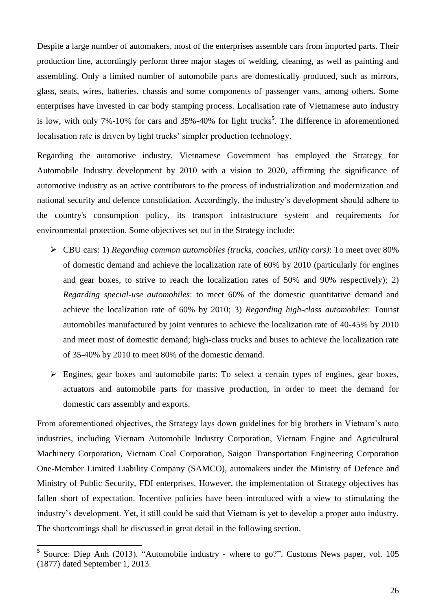Despite a large number of automakers, most of the enterprises assemble cars from imported parts. Their production line, accordingly perform three major stages of welding, cleaning, as well as painting and assembling. Only a limited number of automobile parts are domestically produced, such as mirrors, glass, seats, wires, batteries, chassis and some components of passenger vans, among others. Some enterprises have invested in car body stamping process. Localisation rate of Vietnamese auto industry is low, with only 7%-10% for cars and 35%-40% for light trucks**<sup>5</sup>** . The difference in aforementioned localisation rate is driven by light trucks' simpler production technology.

Regarding the automotive industry, Vietnamese Government has employed the Strategy for Automobile Industry development by 2010 with a vision to 2020, affirming the significance of automotive industry as an active contributors to the process of industrialization and modernization and national security and defence consolidation. Accordingly, the industry's development should adhere to the country's consumption policy, its transport infrastructure system and requirements for environmental protection. Some objectives set out in the Strategy include:

- CBU cars: 1) *Regarding common automobiles (trucks, coaches, utility cars)*: To meet over 80% of domestic demand and achieve the localization rate of 60% by 2010 (particularly for engines and gear boxes, to strive to reach the localization rates of 50% and 90% respectively); 2) *Regarding special-use automobiles*: to meet 60% of the domestic quantitative demand and achieve the localization rate of 60% by 2010; 3) *Regarding high-class automobiles*: Tourist automobiles manufactured by joint ventures to achieve the localization rate of 40-45% by 2010 and meet most of domestic demand; high-class trucks and buses to achieve the localization rate of 35-40% by 2010 to meet 80% of the domestic demand.
- Engines, gear boxes and automobile parts: To select a certain types of engines, gear boxes, actuators and automobile parts for massive production, in order to meet the demand for domestic cars assembly and exports.

From aforementioned objectives, the Strategy lays down guidelines for big brothers in Vietnam's auto industries, including Vietnam Automobile Industry Corporation, Vietnam Engine and Agricultural Machinery Corporation, Vietnam Coal Corporation, Saigon Transportation Engineering Corporation One-Member Limited Liability Company (SAMCO), automakers under the Ministry of Defence and Ministry of Public Security, FDI enterprises. However, the implementation of Strategy objectives has fallen short of expectation. Incentive policies have been introduced with a view to stimulating the industry's development. Yet, it still could be said that Vietnam is yet to develop a proper auto industry. The shortcomings shall be discussed in great detail in the following section.

**<sup>5</sup>** Source: Diep Anh (2013). "Automobile industry - where to go?". Customs News paper, vol. 105 (1877) dated September 1, 2013.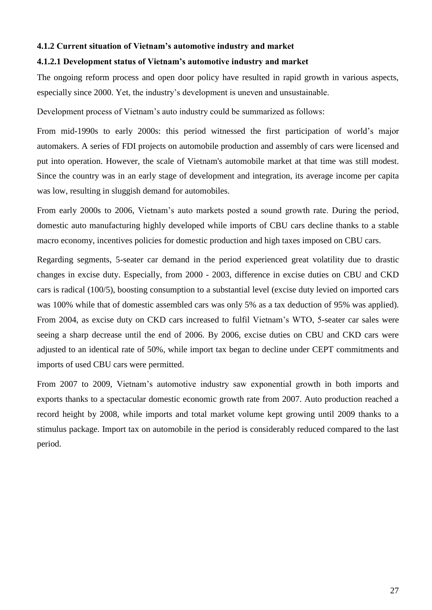#### <span id="page-26-0"></span>**4.1.2 Current situation of Vietnam's automotive industry and market**

#### **4.1.2.1 Development status of Vietnam's automotive industry and market**

The ongoing reform process and open door policy have resulted in rapid growth in various aspects, especially since 2000. Yet, the industry's development is uneven and unsustainable.

Development process of Vietnam's auto industry could be summarized as follows:

From mid-1990s to early 2000s: this period witnessed the first participation of world's major automakers. A series of FDI projects on automobile production and assembly of cars were licensed and put into operation. However, the scale of Vietnam's automobile market at that time was still modest. Since the country was in an early stage of development and integration, its average income per capita was low, resulting in sluggish demand for automobiles.

From early 2000s to 2006, Vietnam's auto markets posted a sound growth rate. During the period, domestic auto manufacturing highly developed while imports of CBU cars decline thanks to a stable macro economy, incentives policies for domestic production and high taxes imposed on CBU cars.

Regarding segments, 5-seater car demand in the period experienced great volatility due to drastic changes in excise duty. Especially, from 2000 - 2003, difference in excise duties on CBU and CKD cars is radical (100/5), boosting consumption to a substantial level (excise duty levied on imported cars was 100% while that of domestic assembled cars was only 5% as a tax deduction of 95% was applied). From 2004, as excise duty on CKD cars increased to fulfil Vietnam's WTO, 5-seater car sales were seeing a sharp decrease until the end of 2006. By 2006, excise duties on CBU and CKD cars were adjusted to an identical rate of 50%, while import tax began to decline under CEPT commitments and imports of used CBU cars were permitted.

From 2007 to 2009, Vietnam's automotive industry saw exponential growth in both imports and exports thanks to a spectacular domestic economic growth rate from 2007. Auto production reached a record height by 2008, while imports and total market volume kept growing until 2009 thanks to a stimulus package. Import tax on automobile in the period is considerably reduced compared to the last period.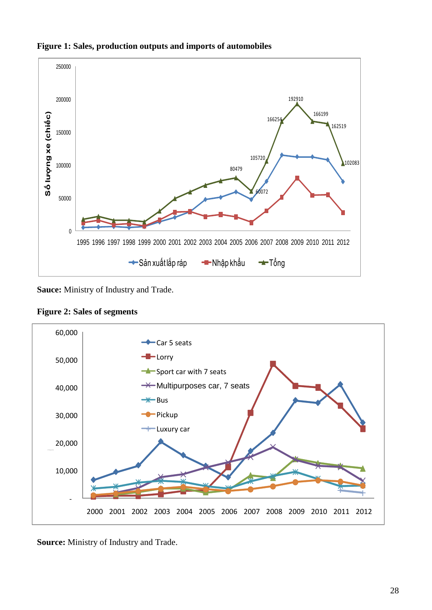

#### **Figure 1: Sales, production outputs and imports of automobiles**

**Sauce:** Ministry of Industry and Trade.



**Figure 2: Sales of segments**

**Source:** Ministry of Industry and Trade.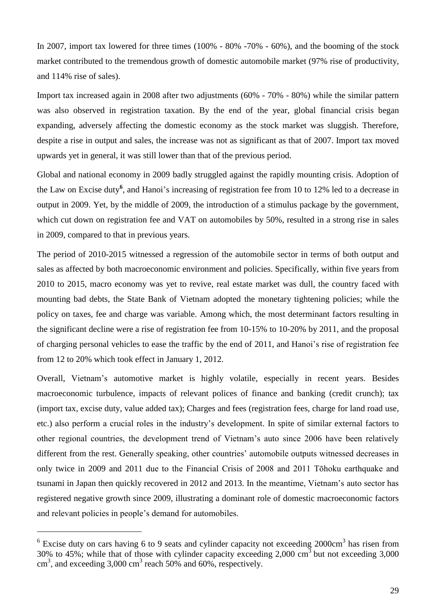In 2007, import tax lowered for three times (100% - 80% -70% - 60%), and the booming of the stock market contributed to the tremendous growth of domestic automobile market (97% rise of productivity, and 114% rise of sales).

Import tax increased again in 2008 after two adjustments (60% - 70% - 80%) while the similar pattern was also observed in registration taxation. By the end of the year, global financial crisis began expanding, adversely affecting the domestic economy as the stock market was sluggish. Therefore, despite a rise in output and sales, the increase was not as significant as that of 2007. Import tax moved upwards yet in general, it was still lower than that of the previous period.

Global and national economy in 2009 badly struggled against the rapidly mounting crisis. Adoption of the Law on Excise duty<sup>6</sup>, and Hanoi's increasing of registration fee from 10 to 12% led to a decrease in output in 2009. Yet, by the middle of 2009, the introduction of a stimulus package by the government, which cut down on registration fee and VAT on automobiles by 50%, resulted in a strong rise in sales in 2009, compared to that in previous years.

The period of 2010-2015 witnessed a regression of the automobile sector in terms of both output and sales as affected by both macroeconomic environment and policies. Specifically, within five years from 2010 to 2015, macro economy was yet to revive, real estate market was dull, the country faced with mounting bad debts, the State Bank of Vietnam adopted the monetary tightening policies; while the policy on taxes, fee and charge was variable. Among which, the most determinant factors resulting in the significant decline were a rise of registration fee from 10-15% to 10-20% by 2011, and the proposal of charging personal vehicles to ease the traffic by the end of 2011, and Hanoi's rise of registration fee from 12 to 20% which took effect in January 1, 2012.

Overall, Vietnam's automotive market is highly volatile, especially in recent years. Besides macroeconomic turbulence, impacts of relevant polices of finance and banking (credit crunch); tax (import tax, excise duty, value added tax); Charges and fees (registration fees, charge for land road use, etc.) also perform a crucial roles in the industry's development. In spite of similar external factors to other regional countries, the development trend of Vietnam's auto since 2006 have been relatively different from the rest. Generally speaking, other countries' automobile outputs witnessed decreases in only twice in 2009 and 2011 due to the Financial Crisis of 2008 and 2011 Tōhoku earthquake and tsunami in Japan then quickly recovered in 2012 and 2013. In the meantime, Vietnam's auto sector has registered negative growth since 2009, illustrating a dominant role of domestic macroeconomic factors and relevant policies in people's demand for automobiles.

 $6$  Excise duty on cars having 6 to 9 seats and cylinder capacity not exceeding 2000cm<sup>3</sup> has risen from 30% to 45%; while that of those with cylinder capacity exceeding 2,000 cm<sup>3</sup> but not exceeding 3,000  $\text{cm}^3$ , and exceeding 3,000 cm<sup>3</sup> reach 50% and 60%, respectively.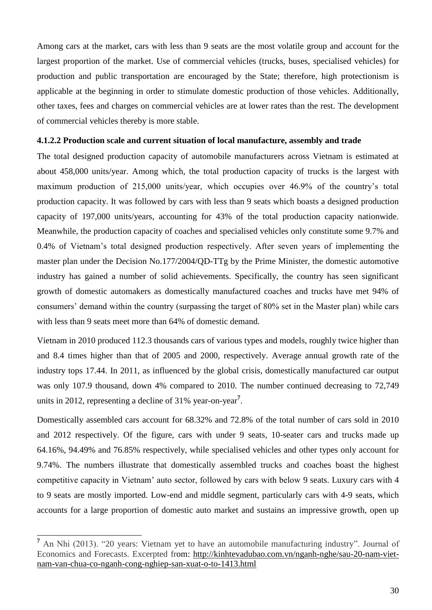Among cars at the market, cars with less than 9 seats are the most volatile group and account for the largest proportion of the market. Use of commercial vehicles (trucks, buses, specialised vehicles) for production and public transportation are encouraged by the State; therefore, high protectionism is applicable at the beginning in order to stimulate domestic production of those vehicles. Additionally, other taxes, fees and charges on commercial vehicles are at lower rates than the rest. The development of commercial vehicles thereby is more stable.

#### **4.1.2.2 Production scale and current situation of local manufacture, assembly and trade**

The total designed production capacity of automobile manufacturers across Vietnam is estimated at about 458,000 units/year. Among which, the total production capacity of trucks is the largest with maximum production of 215,000 units/year, which occupies over 46.9% of the country's total production capacity. It was followed by cars with less than 9 seats which boasts a designed production capacity of 197,000 units/years, accounting for 43% of the total production capacity nationwide. Meanwhile, the production capacity of coaches and specialised vehicles only constitute some 9.7% and 0.4% of Vietnam's total designed production respectively. After seven years of implementing the master plan under the Decision No.177/2004/QD-TTg by the Prime Minister, the domestic automotive industry has gained a number of solid achievements. Specifically, the country has seen significant growth of domestic automakers as domestically manufactured coaches and trucks have met 94% of consumers' demand within the country (surpassing the target of 80% set in the Master plan) while cars with less than 9 seats meet more than 64% of domestic demand.

Vietnam in 2010 produced 112.3 thousands cars of various types and models, roughly twice higher than and 8.4 times higher than that of 2005 and 2000, respectively. Average annual growth rate of the industry tops 17.44. In 2011, as influenced by the global crisis, domestically manufactured car output was only 107.9 thousand, down 4% compared to 2010. The number continued decreasing to 72,749 units in 2012, representing a decline of 31% year-on-year<sup>7</sup>.

Domestically assembled cars account for 68.32% and 72.8% of the total number of cars sold in 2010 and 2012 respectively. Of the figure, cars with under 9 seats, 10-seater cars and trucks made up 64.16%, 94.49% and 76.85% respectively, while specialised vehicles and other types only account for 9.74%. The numbers illustrate that domestically assembled trucks and coaches boast the highest competitive capacity in Vietnam' auto sector, followed by cars with below 9 seats. Luxury cars with 4 to 9 seats are mostly imported. Low-end and middle segment, particularly cars with 4-9 seats, which accounts for a large proportion of domestic auto market and sustains an impressive growth, open up

**<sup>7</sup>** An Nhi (2013). "20 years: Vietnam yet to have an automobile manufacturing industry". Journal of Economics and Forecasts. Excerpted from: [http://kinhtevadubao.com.vn/nganh-nghe/sau-20-nam-viet](http://kinhtevadubao.com.vn/nganh-nghe/sau-20-nam-viet-nam-van-chua-co-nganh-cong-nghiep-san-xuat-o-to-1413.html)[nam-van-chua-co-nganh-cong-nghiep-san-xuat-o-to-1413.html](http://kinhtevadubao.com.vn/nganh-nghe/sau-20-nam-viet-nam-van-chua-co-nganh-cong-nghiep-san-xuat-o-to-1413.html)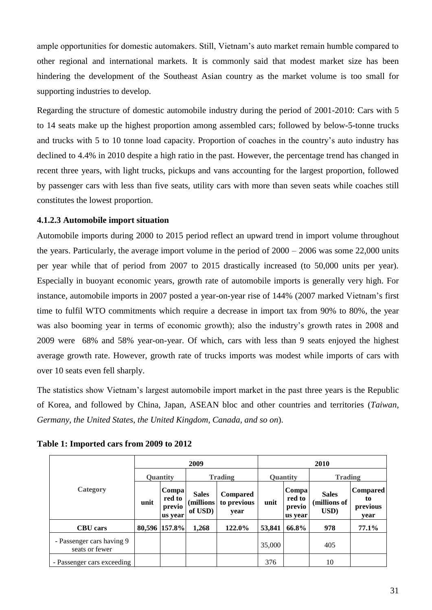ample opportunities for domestic automakers. Still, Vietnam's auto market remain humble compared to other regional and international markets. It is commonly said that modest market size has been hindering the development of the Southeast Asian country as the market volume is too small for supporting industries to develop.

Regarding the structure of domestic automobile industry during the period of 2001-2010: Cars with 5 to 14 seats make up the highest proportion among assembled cars; followed by below-5-tonne trucks and trucks with 5 to 10 tonne load capacity. Proportion of coaches in the country's auto industry has declined to 4.4% in 2010 despite a high ratio in the past. However, the percentage trend has changed in recent three years, with light trucks, pickups and vans accounting for the largest proportion, followed by passenger cars with less than five seats, utility cars with more than seven seats while coaches still constitutes the lowest proportion.

#### **4.1.2.3 Automobile import situation**

Automobile imports during 2000 to 2015 period reflect an upward trend in import volume throughout the years. Particularly, the average import volume in the period of 2000 – 2006 was some 22,000 units per year while that of period from 2007 to 2015 drastically increased (to 50,000 units per year). Especially in buoyant economic years, growth rate of automobile imports is generally very high. For instance, automobile imports in 2007 posted a year-on-year rise of 144% (2007 marked Vietnam's first time to fulfil WTO commitments which require a decrease in import tax from 90% to 80%, the year was also booming year in terms of economic growth); also the industry's growth rates in 2008 and 2009 were 68% and 58% year-on-year. Of which, cars with less than 9 seats enjoyed the highest average growth rate. However, growth rate of trucks imports was modest while imports of cars with over 10 seats even fell sharply.

The statistics show Vietnam's largest automobile import market in the past three years is the Republic of Korea, and followed by China, Japan, ASEAN bloc and other countries and territories (*Taiwan, Germany, the United States, the United Kingdom, Canada, and so on*).

|                                             |                 |                                      | 2009                                  |                                        | 2010   |                                      |                                      |                                           |  |
|---------------------------------------------|-----------------|--------------------------------------|---------------------------------------|----------------------------------------|--------|--------------------------------------|--------------------------------------|-------------------------------------------|--|
|                                             | <b>Quantity</b> |                                      |                                       | <b>Trading</b>                         |        | <b>Quantity</b>                      | <b>Trading</b>                       |                                           |  |
| Category                                    | unit            | Compa<br>red to<br>previo<br>us year | <b>Sales</b><br>(millions)<br>of USD) | <b>Compared</b><br>to previous<br>year | unit   | Compa<br>red to<br>previo<br>us year | <b>Sales</b><br>(millions of<br>USD) | <b>Compared</b><br>to<br>previous<br>year |  |
| <b>CBU</b> cars                             | 80,596          | 157.8%                               | 1,268                                 | 122.0%                                 | 53,841 | 66.8%                                | 978                                  | 77.1%                                     |  |
| - Passenger cars having 9<br>seats or fewer |                 |                                      |                                       |                                        | 35,000 |                                      | 405                                  |                                           |  |
| - Passenger cars exceeding                  |                 |                                      |                                       |                                        | 376    |                                      | 10                                   |                                           |  |

**Table 1: Imported cars from 2009 to 2012**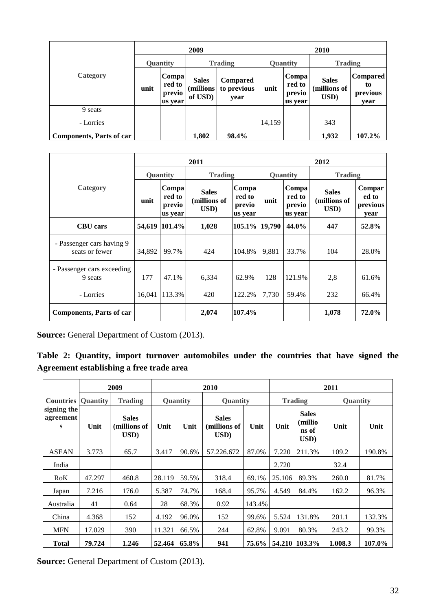|                                 | 2009            |                                       |                                      |                                        | 2010     |                                      |                                      |                                           |  |
|---------------------------------|-----------------|---------------------------------------|--------------------------------------|----------------------------------------|----------|--------------------------------------|--------------------------------------|-------------------------------------------|--|
|                                 | <b>Quantity</b> |                                       | <b>Trading</b>                       |                                        | Quantity |                                      | <b>Trading</b>                       |                                           |  |
| Category                        | unit            | Compa!<br>red to<br>previo<br>us year | <b>Sales</b><br>(millions<br>of USD) | <b>Compared</b><br>to previous<br>year | unit     | Compa<br>red to<br>previo<br>us year | <b>Sales</b><br>(millions of<br>USD) | <b>Compared</b><br>to<br>previous<br>vear |  |
| 9 seats                         |                 |                                       |                                      |                                        |          |                                      |                                      |                                           |  |
| - Lorries                       |                 |                                       |                                      |                                        | 14,159   |                                      | 343                                  |                                           |  |
| <b>Components, Parts of car</b> |                 |                                       | 1,802                                | 98.4%                                  |          |                                      | 1,932                                | 107.2%                                    |  |

|                                             |                                              |        | 2011                                 |                                      | 2012     |                                      |                                      |                                     |  |
|---------------------------------------------|----------------------------------------------|--------|--------------------------------------|--------------------------------------|----------|--------------------------------------|--------------------------------------|-------------------------------------|--|
|                                             | <b>Ouantity</b>                              |        | <b>Trading</b>                       |                                      | Quantity | <b>Trading</b>                       |                                      |                                     |  |
| Category                                    | Compa<br>red to<br>unit<br>previo<br>us year |        | <b>Sales</b><br>(millions of<br>USD) | Compa<br>red to<br>previo<br>us year | unit     | Compa<br>red to<br>previo<br>us year | <b>Sales</b><br>(millions of<br>USD) | Compar<br>ed to<br>previous<br>year |  |
| <b>CBU</b> cars                             | 54,619                                       | 101.4% | 1,028                                | 105.1% 19,790                        |          | 44.0%                                | 447                                  | 52.8%                               |  |
| - Passenger cars having 9<br>seats or fewer | 34,892                                       | 99.7%  | 424                                  | 104.8%                               | 9.881    | 33.7%                                | 104                                  | 28.0%                               |  |
| - Passenger cars exceeding<br>9 seats       | 177                                          | 47.1%  | 6,334                                | 62.9%                                | 128      | 121.9%                               | 2,8                                  | 61.6%                               |  |
| - Lorries                                   | 16,041                                       | 113.3% | 420                                  | 122.2%                               | 7,730    | 59.4%                                | 232                                  | 66.4%                               |  |
| <b>Components, Parts of car</b>             |                                              |        | 2,074                                | 107.4%                               |          |                                      | 1,078                                | 72.0%                               |  |

**Source:** General Department of Custom (2013).

|  |                                          |  | Table 2: Quantity, import turnover automobiles under the countries that have signed the |  |  |  |  |
|--|------------------------------------------|--|-----------------------------------------------------------------------------------------|--|--|--|--|
|  | Agreement establishing a free trade area |  |                                                                                         |  |  |  |  |

|                               |                 | 2009                                 |        | 2010     |                                      |        |                | 2011                                      |         |        |  |  |
|-------------------------------|-----------------|--------------------------------------|--------|----------|--------------------------------------|--------|----------------|-------------------------------------------|---------|--------|--|--|
| <b>Countries</b>              | <b>Ouantity</b> | <b>Trading</b>                       |        | Quantity | Quantity                             |        | <b>Trading</b> | <b>Ouantity</b>                           |         |        |  |  |
| signing the<br>agreement<br>S | Unit            | <b>Sales</b><br>(millions of<br>USD) | Unit   | Unit     | <b>Sales</b><br>(millions of<br>USD) | Unit   | Unit           | <b>Sales</b><br>(millio)<br>ns of<br>USD) | Unit    | Unit   |  |  |
| <b>ASEAN</b>                  | 3.773           | 65.7                                 | 3.417  | 90.6%    | 57.226.672                           | 87.0%  | 7.220          | 211.3%                                    | 109.2   | 190.8% |  |  |
| India                         |                 |                                      |        |          |                                      |        | 2.720          |                                           | 32.4    |        |  |  |
| RoK                           | 47.297          | 460.8                                | 28.119 | 59.5%    | 318.4                                | 69.1%  | 25.106         | 89.3%                                     | 260.0   | 81.7%  |  |  |
| Japan                         | 7.216           | 176.0                                | 5.387  | 74.7%    | 168.4                                | 95.7%  | 4.549          | 84.4%                                     | 162.2   | 96.3%  |  |  |
| Australia                     | 41              | 0.64                                 | 28     | 68.3%    | 0.92                                 | 143.4% |                |                                           |         |        |  |  |
| China                         | 4.368           | 152                                  | 4.192  | 96.0%    | 152                                  | 99.6%  | 5.524          | 131.8%                                    | 201.1   | 132.3% |  |  |
| <b>MFN</b>                    | 17.029          | 390                                  | 11.321 | 66.5%    | 244                                  | 62.8%  | 9.091          | 80.3%                                     | 243.2   | 99.3%  |  |  |
| <b>Total</b>                  | 79.724          | 1.246                                | 52.464 | 65.8%    | 941                                  | 75.6%  |                | 54.210 103.3%                             | 1.008.3 | 107.0% |  |  |

**Source:** General Department of Custom (2013).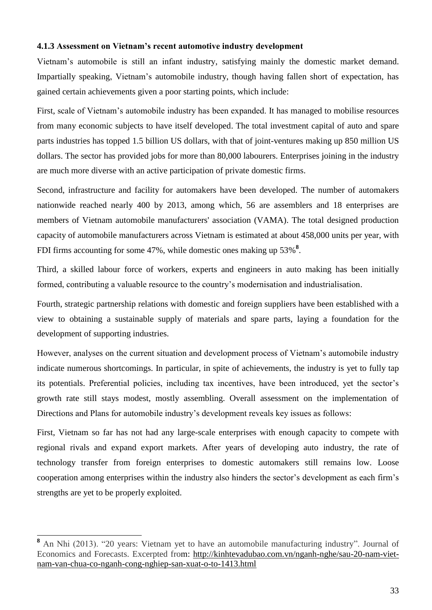#### <span id="page-32-0"></span>**4.1.3 Assessment on Vietnam's recent automotive industry development**

Vietnam's automobile is still an infant industry, satisfying mainly the domestic market demand. Impartially speaking, Vietnam's automobile industry, though having fallen short of expectation, has gained certain achievements given a poor starting points, which include:

First, scale of Vietnam's automobile industry has been expanded. It has managed to mobilise resources from many economic subjects to have itself developed. The total investment capital of auto and spare parts industries has topped 1.5 billion US dollars, with that of joint-ventures making up 850 million US dollars. The sector has provided jobs for more than 80,000 labourers. Enterprises joining in the industry are much more diverse with an active participation of private domestic firms.

Second, infrastructure and facility for automakers have been developed. The number of automakers nationwide reached nearly 400 by 2013, among which, 56 are assemblers and 18 enterprises are members of Vietnam automobile manufacturers' association (VAMA). The total designed production capacity of automobile manufacturers across Vietnam is estimated at about 458,000 units per year, with FDI firms accounting for some 47%, while domestic ones making up 53%<sup>8</sup>.

Third, a skilled labour force of workers, experts and engineers in auto making has been initially formed, contributing a valuable resource to the country's modernisation and industrialisation.

Fourth, strategic partnership relations with domestic and foreign suppliers have been established with a view to obtaining a sustainable supply of materials and spare parts, laying a foundation for the development of supporting industries.

However, analyses on the current situation and development process of Vietnam's automobile industry indicate numerous shortcomings. In particular, in spite of achievements, the industry is yet to fully tap its potentials. Preferential policies, including tax incentives, have been introduced, yet the sector's growth rate still stays modest, mostly assembling. Overall assessment on the implementation of Directions and Plans for automobile industry's development reveals key issues as follows:

First, Vietnam so far has not had any large-scale enterprises with enough capacity to compete with regional rivals and expand export markets. After years of developing auto industry, the rate of technology transfer from foreign enterprises to domestic automakers still remains low. Loose cooperation among enterprises within the industry also hinders the sector's development as each firm's strengths are yet to be properly exploited.

**<sup>8</sup>** An Nhi (2013). "20 years: Vietnam yet to have an automobile manufacturing industry". Journal of Economics and Forecasts. Excerpted from: [http://kinhtevadubao.com.vn/nganh-nghe/sau-20-nam-viet](http://kinhtevadubao.com.vn/nganh-nghe/sau-20-nam-viet-nam-van-chua-co-nganh-cong-nghiep-san-xuat-o-to-1413.html)[nam-van-chua-co-nganh-cong-nghiep-san-xuat-o-to-1413.html](http://kinhtevadubao.com.vn/nganh-nghe/sau-20-nam-viet-nam-van-chua-co-nganh-cong-nghiep-san-xuat-o-to-1413.html)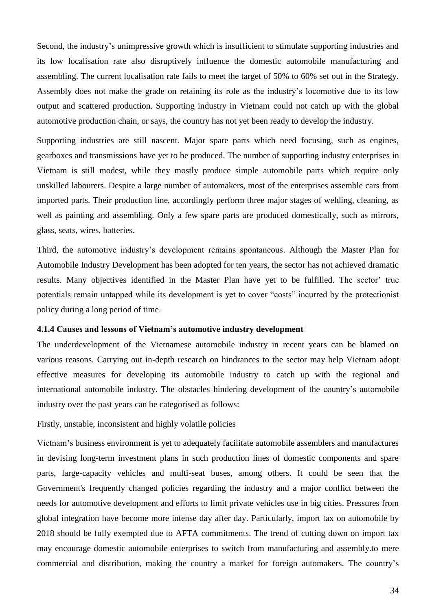Second, the industry's unimpressive growth which is insufficient to stimulate supporting industries and its low localisation rate also disruptively influence the domestic automobile manufacturing and assembling. The current localisation rate fails to meet the target of 50% to 60% set out in the Strategy. Assembly does not make the grade on retaining its role as the industry's locomotive due to its low output and scattered production. Supporting industry in Vietnam could not catch up with the global automotive production chain, or says, the country has not yet been ready to develop the industry.

Supporting industries are still nascent. Major spare parts which need focusing, such as engines, gearboxes and transmissions have yet to be produced. The number of supporting industry enterprises in Vietnam is still modest, while they mostly produce simple automobile parts which require only unskilled labourers. Despite a large number of automakers, most of the enterprises assemble cars from imported parts. Their production line, accordingly perform three major stages of welding, cleaning, as well as painting and assembling. Only a few spare parts are produced domestically, such as mirrors, glass, seats, wires, batteries.

Third, the automotive industry's development remains spontaneous. Although the Master Plan for Automobile Industry Development has been adopted for ten years, the sector has not achieved dramatic results. Many objectives identified in the Master Plan have yet to be fulfilled. The sector' true potentials remain untapped while its development is yet to cover "costs" incurred by the protectionist policy during a long period of time.

#### <span id="page-33-0"></span>**4.1.4 Causes and lessons of Vietnam's automotive industry development**

The underdevelopment of the Vietnamese automobile industry in recent years can be blamed on various reasons. Carrying out in-depth research on hindrances to the sector may help Vietnam adopt effective measures for developing its automobile industry to catch up with the regional and international automobile industry. The obstacles hindering development of the country's automobile industry over the past years can be categorised as follows:

Firstly, unstable, inconsistent and highly volatile policies

Vietnam's business environment is yet to adequately facilitate automobile assemblers and manufactures in devising long-term investment plans in such production lines of domestic components and spare parts, large-capacity vehicles and multi-seat buses, among others. It could be seen that the Government's frequently changed policies regarding the industry and a major conflict between the needs for automotive development and efforts to limit private vehicles use in big cities. Pressures from global integration have become more intense day after day. Particularly, import tax on automobile by 2018 should be fully exempted due to AFTA commitments. The trend of cutting down on import tax may encourage domestic automobile enterprises to switch from manufacturing and assembly.to mere commercial and distribution, making the country a market for foreign automakers. The country's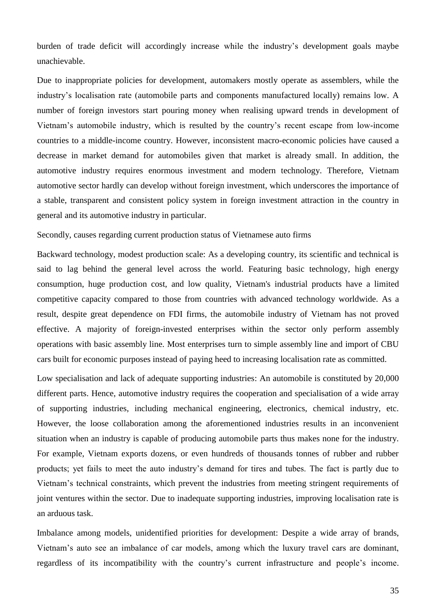burden of trade deficit will accordingly increase while the industry's development goals maybe unachievable.

Due to inappropriate policies for development, automakers mostly operate as assemblers, while the industry's localisation rate (automobile parts and components manufactured locally) remains low. A number of foreign investors start pouring money when realising upward trends in development of Vietnam's automobile industry, which is resulted by the country's recent escape from low-income countries to a middle-income country. However, inconsistent macro-economic policies have caused a decrease in market demand for automobiles given that market is already small. In addition, the automotive industry requires enormous investment and modern technology. Therefore, Vietnam automotive sector hardly can develop without foreign investment, which underscores the importance of a stable, transparent and consistent policy system in foreign investment attraction in the country in general and its automotive industry in particular.

Secondly, causes regarding current production status of Vietnamese auto firms

Backward technology, modest production scale: As a developing country, its scientific and technical is said to lag behind the general level across the world. Featuring basic technology, high energy consumption, huge production cost, and low quality, Vietnam's industrial products have a limited competitive capacity compared to those from countries with advanced technology worldwide. As a result, despite great dependence on FDI firms, the automobile industry of Vietnam has not proved effective. A majority of foreign-invested enterprises within the sector only perform assembly operations with basic assembly line. Most enterprises turn to simple assembly line and import of CBU cars built for economic purposes instead of paying heed to increasing localisation rate as committed.

Low specialisation and lack of adequate supporting industries: An automobile is constituted by 20,000 different parts. Hence, automotive industry requires the cooperation and specialisation of a wide array of supporting industries, including mechanical engineering, electronics, chemical industry, etc. However, the loose collaboration among the aforementioned industries results in an inconvenient situation when an industry is capable of producing automobile parts thus makes none for the industry. For example, Vietnam exports dozens, or even hundreds of thousands tonnes of rubber and rubber products; yet fails to meet the auto industry's demand for tires and tubes. The fact is partly due to Vietnam's technical constraints, which prevent the industries from meeting stringent requirements of joint ventures within the sector. Due to inadequate supporting industries, improving localisation rate is an arduous task.

Imbalance among models, unidentified priorities for development: Despite a wide array of brands, Vietnam's auto see an imbalance of car models, among which the luxury travel cars are dominant, regardless of its incompatibility with the country's current infrastructure and people's income.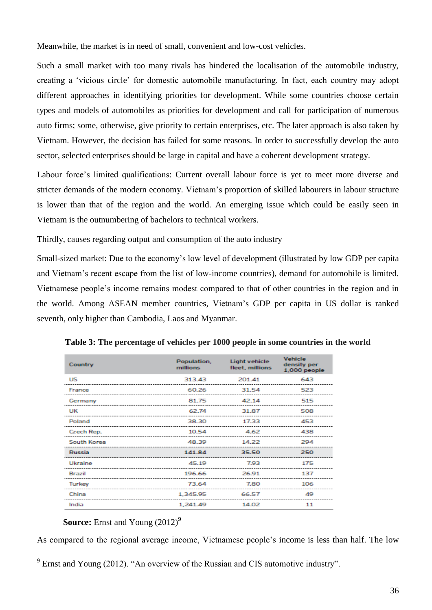Meanwhile, the market is in need of small, convenient and low-cost vehicles.

Such a small market with too many rivals has hindered the localisation of the automobile industry, creating a 'vicious circle' for domestic automobile manufacturing. In fact, each country may adopt different approaches in identifying priorities for development. While some countries choose certain types and models of automobiles as priorities for development and call for participation of numerous auto firms; some, otherwise, give priority to certain enterprises, etc. The later approach is also taken by Vietnam. However, the decision has failed for some reasons. In order to successfully develop the auto sector, selected enterprises should be large in capital and have a coherent development strategy.

Labour force's limited qualifications: Current overall labour force is yet to meet more diverse and stricter demands of the modern economy. Vietnam's proportion of skilled labourers in labour structure is lower than that of the region and the world. An emerging issue which could be easily seen in Vietnam is the outnumbering of bachelors to technical workers.

Thirdly, causes regarding output and consumption of the auto industry

Small-sized market: Due to the economy's low level of development (illustrated by low GDP per capita and Vietnam's recent escape from the list of low-income countries), demand for automobile is limited. Vietnamese people's income remains modest compared to that of other countries in the region and in the world. Among ASEAN member countries, Vietnam's GDP per capita in US dollar is ranked seventh, only higher than Cambodia, Laos and Myanmar.

| Country     | Population,<br>millions | <b>Light vehicle</b><br>fleet, millions | <b>Vehicle</b><br>density per<br>1,000 people |
|-------------|-------------------------|-----------------------------------------|-----------------------------------------------|
| US          | 313.43                  | 201.41                                  | 643                                           |
| France      | 60.26                   | 31.54                                   | 523                                           |
| Germany     | 81.75                   | 42.14                                   | 515                                           |
| UK          | 62.74                   | 31.87                                   | 508                                           |
| Poland      | 38.30                   | 17.33                                   | 453                                           |
| Czech Rep.  | 10.54                   | 4.62                                    | 438                                           |
| South Korea | 48.39                   | 14.22                                   | 294                                           |
| Russia      | 141.84                  | 35.50                                   | 250                                           |
| Ukraine     | 45.19                   | 7.93                                    | 175                                           |
| Brazil      | 196.66                  | 26.91                                   | 137                                           |
| Turkey      | 73.64                   | 7.80                                    | 106                                           |
| China       | 1,345.95                | 66.57                                   | 49                                            |
| India       | 1,241.49                | 14.02                                   | 11                                            |

**Table 3: The percentage of vehicles per 1000 people in some countries in the world**

#### **Source:** Ernst and Young (2012)**<sup>9</sup>**

-

As compared to the regional average income, Vietnamese people's income is less than half. The low

<sup>&</sup>lt;sup>9</sup> Ernst and Young (2012). "An overview of the Russian and CIS automotive industry".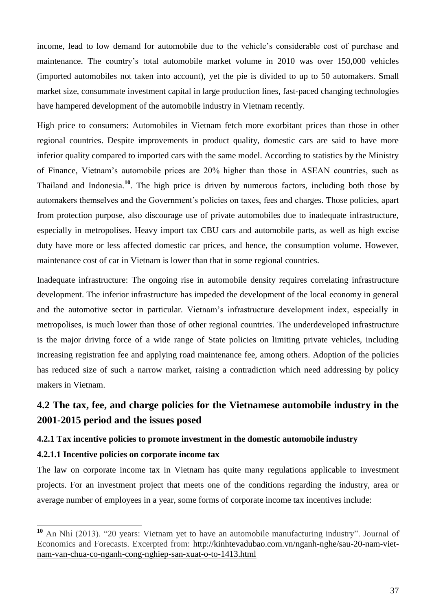income, lead to low demand for automobile due to the vehicle's considerable cost of purchase and maintenance. The country's total automobile market volume in 2010 was over 150,000 vehicles (imported automobiles not taken into account), yet the pie is divided to up to 50 automakers. Small market size, consummate investment capital in large production lines, fast-paced changing technologies have hampered development of the automobile industry in Vietnam recently.

High price to consumers: Automobiles in Vietnam fetch more exorbitant prices than those in other regional countries. Despite improvements in product quality, domestic cars are said to have more inferior quality compared to imported cars with the same model. According to statistics by the Ministry of Finance, Vietnam's automobile prices are 20% higher than those in ASEAN countries, such as Thailand and Indonesia.**<sup>10</sup>** . The high price is driven by numerous factors, including both those by automakers themselves and the Government's policies on taxes, fees and charges. Those policies, apart from protection purpose, also discourage use of private automobiles due to inadequate infrastructure, especially in metropolises. Heavy import tax CBU cars and automobile parts, as well as high excise duty have more or less affected domestic car prices, and hence, the consumption volume. However, maintenance cost of car in Vietnam is lower than that in some regional countries.

Inadequate infrastructure: The ongoing rise in automobile density requires correlating infrastructure development. The inferior infrastructure has impeded the development of the local economy in general and the automotive sector in particular. Vietnam's infrastructure development index, especially in metropolises, is much lower than those of other regional countries. The underdeveloped infrastructure is the major driving force of a wide range of State policies on limiting private vehicles, including increasing registration fee and applying road maintenance fee, among others. Adoption of the policies has reduced size of such a narrow market, raising a contradiction which need addressing by policy makers in Vietnam.

# **4.2 The tax, fee, and charge policies for the Vietnamese automobile industry in the 2001-2015 period and the issues posed**

## **4.2.1 Tax incentive policies to promote investment in the domestic automobile industry**

#### **4.2.1.1 Incentive policies on corporate income tax**

-

The law on corporate income tax in Vietnam has quite many regulations applicable to investment projects. For an investment project that meets one of the conditions regarding the industry, area or average number of employees in a year, some forms of corporate income tax incentives include:

**<sup>10</sup>** An Nhi (2013). "20 years: Vietnam yet to have an automobile manufacturing industry". Journal of Economics and Forecasts. Excerpted from: [http://kinhtevadubao.com.vn/nganh-nghe/sau-20-nam-viet](http://kinhtevadubao.com.vn/nganh-nghe/sau-20-nam-viet-nam-van-chua-co-nganh-cong-nghiep-san-xuat-o-to-1413.html)[nam-van-chua-co-nganh-cong-nghiep-san-xuat-o-to-1413.html](http://kinhtevadubao.com.vn/nganh-nghe/sau-20-nam-viet-nam-van-chua-co-nganh-cong-nghiep-san-xuat-o-to-1413.html)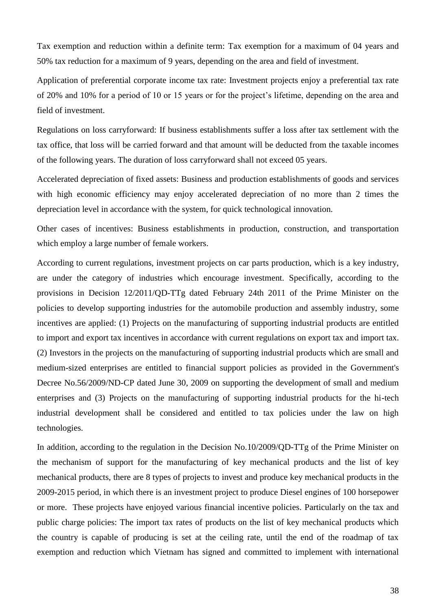Tax exemption and reduction within a definite term: Tax exemption for a maximum of 04 years and 50% tax reduction for a maximum of 9 years, depending on the area and field of investment.

Application of preferential corporate income tax rate: Investment projects enjoy a preferential tax rate of 20% and 10% for a period of 10 or 15 years or for the project's lifetime, depending on the area and field of investment.

Regulations on loss carryforward: If business establishments suffer a loss after tax settlement with the tax office, that loss will be carried forward and that amount will be deducted from the taxable incomes of the following years. The duration of loss carryforward shall not exceed 05 years.

Accelerated depreciation of fixed assets: Business and production establishments of goods and services with high economic efficiency may enjoy accelerated depreciation of no more than 2 times the depreciation level in accordance with the system, for quick technological innovation.

Other cases of incentives: Business establishments in production, construction, and transportation which employ a large number of female workers.

According to current regulations, investment projects on car parts production, which is a key industry, are under the category of industries which encourage investment. Specifically, according to the provisions in Decision 12/2011/QD-TTg dated February 24th 2011 of the Prime Minister on the policies to develop supporting industries for the automobile production and assembly industry, some incentives are applied: (1) Projects on the manufacturing of supporting industrial products are entitled to import and export tax incentives in accordance with current regulations on export tax and import tax. (2) Investors in the projects on the manufacturing of supporting industrial products which are small and medium-sized enterprises are entitled to financial support policies as provided in the Government's Decree No.56/2009/ND-CP dated June 30, 2009 on supporting the development of small and medium enterprises and (3) Projects on the manufacturing of supporting industrial products for the hi-tech industrial development shall be considered and entitled to tax policies under the law on high technologies.

In addition, according to the regulation in the Decision No.10/2009/QD-TTg of the Prime Minister on the mechanism of support for the manufacturing of key mechanical products and the list of key mechanical products, there are 8 types of projects to invest and produce key mechanical products in the 2009-2015 period, in which there is an investment project to produce Diesel engines of 100 horsepower or more. These projects have enjoyed various financial incentive policies. Particularly on the tax and public charge policies: The import tax rates of products on the list of key mechanical products which the country is capable of producing is set at the ceiling rate, until the end of the roadmap of tax exemption and reduction which Vietnam has signed and committed to implement with international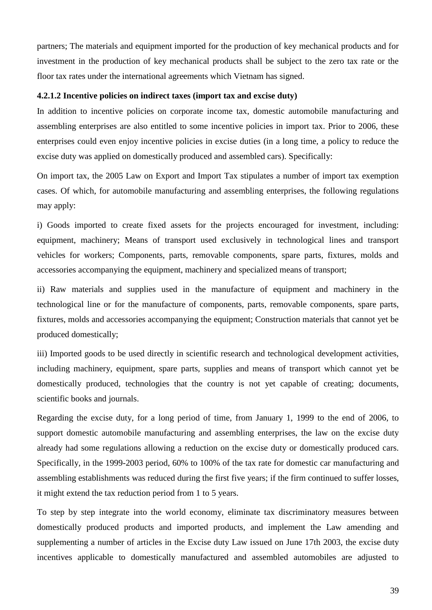partners; The materials and equipment imported for the production of key mechanical products and for investment in the production of key mechanical products shall be subject to the zero tax rate or the floor tax rates under the international agreements which Vietnam has signed.

#### **4.2.1.2 Incentive policies on indirect taxes (import tax and excise duty)**

In addition to incentive policies on corporate income tax, domestic automobile manufacturing and assembling enterprises are also entitled to some incentive policies in import tax. Prior to 2006, these enterprises could even enjoy incentive policies in excise duties (in a long time, a policy to reduce the excise duty was applied on domestically produced and assembled cars). Specifically:

On import tax, the 2005 Law on Export and Import Tax stipulates a number of import tax exemption cases. Of which, for automobile manufacturing and assembling enterprises, the following regulations may apply:

i) Goods imported to create fixed assets for the projects encouraged for investment, including: equipment, machinery; Means of transport used exclusively in technological lines and transport vehicles for workers; Components, parts, removable components, spare parts, fixtures, molds and accessories accompanying the equipment, machinery and specialized means of transport;

ii) Raw materials and supplies used in the manufacture of equipment and machinery in the technological line or for the manufacture of components, parts, removable components, spare parts, fixtures, molds and accessories accompanying the equipment; Construction materials that cannot yet be produced domestically;

iii) Imported goods to be used directly in scientific research and technological development activities, including machinery, equipment, spare parts, supplies and means of transport which cannot yet be domestically produced, technologies that the country is not yet capable of creating; documents, scientific books and journals.

Regarding the excise duty, for a long period of time, from January 1, 1999 to the end of 2006, to support domestic automobile manufacturing and assembling enterprises, the law on the excise duty already had some regulations allowing a reduction on the excise duty or domestically produced cars. Specifically, in the 1999-2003 period, 60% to 100% of the tax rate for domestic car manufacturing and assembling establishments was reduced during the first five years; if the firm continued to suffer losses, it might extend the tax reduction period from 1 to 5 years.

To step by step integrate into the world economy, eliminate tax discriminatory measures between domestically produced products and imported products, and implement the Law amending and supplementing a number of articles in the Excise duty Law issued on June 17th 2003, the excise duty incentives applicable to domestically manufactured and assembled automobiles are adjusted to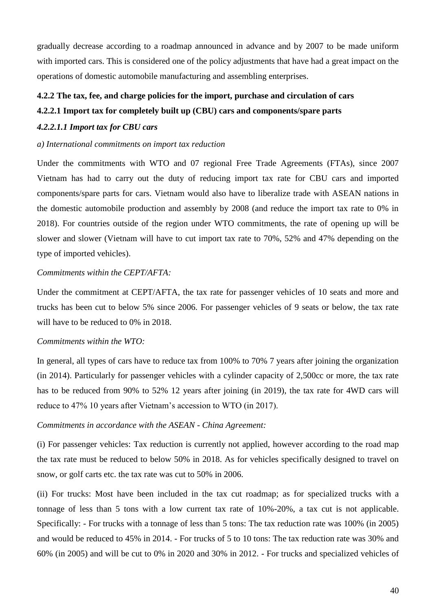gradually decrease according to a roadmap announced in advance and by 2007 to be made uniform with imported cars. This is considered one of the policy adjustments that have had a great impact on the operations of domestic automobile manufacturing and assembling enterprises.

#### **4.2.2 The tax, fee, and charge policies for the import, purchase and circulation of cars**

## **4.2.2.1 Import tax for completely built up (CBU) cars and components/spare parts**

#### *4.2.2.1.1 Import tax for CBU cars*

*a) International commitments on import tax reduction*

Under the commitments with WTO and 07 regional Free Trade Agreements (FTAs), since 2007 Vietnam has had to carry out the duty of reducing import tax rate for CBU cars and imported components/spare parts for cars. Vietnam would also have to liberalize trade with ASEAN nations in the domestic automobile production and assembly by 2008 (and reduce the import tax rate to 0% in 2018). For countries outside of the region under WTO commitments, the rate of opening up will be slower and slower (Vietnam will have to cut import tax rate to 70%, 52% and 47% depending on the type of imported vehicles).

### *Commitments within the CEPT/AFTA:*

Under the commitment at CEPT/AFTA, the tax rate for passenger vehicles of 10 seats and more and trucks has been cut to below 5% since 2006. For passenger vehicles of 9 seats or below, the tax rate will have to be reduced to 0% in 2018.

## *Commitments within the WTO:*

In general, all types of cars have to reduce tax from 100% to 70% 7 years after joining the organization (in 2014). Particularly for passenger vehicles with a cylinder capacity of 2,500cc or more, the tax rate has to be reduced from 90% to 52% 12 years after joining (in 2019), the tax rate for 4WD cars will reduce to 47% 10 years after Vietnam's accession to WTO (in 2017).

#### *Commitments in accordance with the ASEAN - China Agreement:*

(i) For passenger vehicles: Tax reduction is currently not applied, however according to the road map the tax rate must be reduced to below 50% in 2018. As for vehicles specifically designed to travel on snow, or golf carts etc. the tax rate was cut to 50% in 2006.

(ii) For trucks: Most have been included in the tax cut roadmap; as for specialized trucks with a tonnage of less than 5 tons with a low current tax rate of 10%-20%, a tax cut is not applicable. Specifically: - For trucks with a tonnage of less than 5 tons: The tax reduction rate was 100% (in 2005) and would be reduced to 45% in 2014. - For trucks of 5 to 10 tons: The tax reduction rate was 30% and 60% (in 2005) and will be cut to 0% in 2020 and 30% in 2012. - For trucks and specialized vehicles of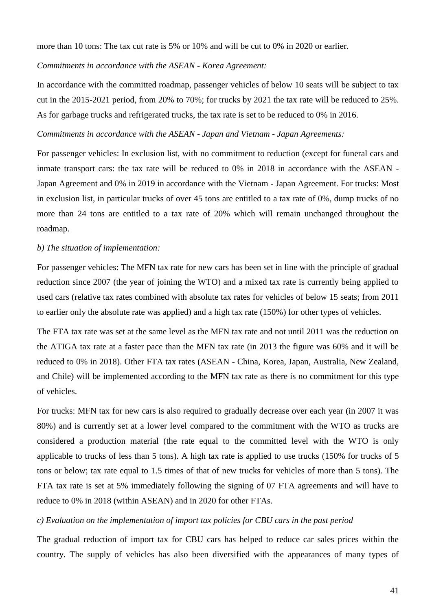more than 10 tons: The tax cut rate is 5% or 10% and will be cut to 0% in 2020 or earlier.

#### *Commitments in accordance with the ASEAN - Korea Agreement:*

In accordance with the committed roadmap, passenger vehicles of below 10 seats will be subject to tax cut in the 2015-2021 period, from 20% to 70%; for trucks by 2021 the tax rate will be reduced to 25%. As for garbage trucks and refrigerated trucks, the tax rate is set to be reduced to 0% in 2016.

#### *Commitments in accordance with the ASEAN - Japan and Vietnam - Japan Agreements:*

For passenger vehicles: In exclusion list, with no commitment to reduction (except for funeral cars and inmate transport cars: the tax rate will be reduced to 0% in 2018 in accordance with the ASEAN - Japan Agreement and 0% in 2019 in accordance with the Vietnam - Japan Agreement. For trucks: Most in exclusion list, in particular trucks of over 45 tons are entitled to a tax rate of 0%, dump trucks of no more than 24 tons are entitled to a tax rate of 20% which will remain unchanged throughout the roadmap.

#### *b) The situation of implementation:*

For passenger vehicles: The MFN tax rate for new cars has been set in line with the principle of gradual reduction since 2007 (the year of joining the WTO) and a mixed tax rate is currently being applied to used cars (relative tax rates combined with absolute tax rates for vehicles of below 15 seats; from 2011 to earlier only the absolute rate was applied) and a high tax rate (150%) for other types of vehicles.

The FTA tax rate was set at the same level as the MFN tax rate and not until 2011 was the reduction on the ATIGA tax rate at a faster pace than the MFN tax rate (in 2013 the figure was 60% and it will be reduced to 0% in 2018). Other FTA tax rates (ASEAN - China, Korea, Japan, Australia, New Zealand, and Chile) will be implemented according to the MFN tax rate as there is no commitment for this type of vehicles.

For trucks: MFN tax for new cars is also required to gradually decrease over each year (in 2007 it was 80%) and is currently set at a lower level compared to the commitment with the WTO as trucks are considered a production material (the rate equal to the committed level with the WTO is only applicable to trucks of less than 5 tons). A high tax rate is applied to use trucks (150% for trucks of 5 tons or below; tax rate equal to 1.5 times of that of new trucks for vehicles of more than 5 tons). The FTA tax rate is set at 5% immediately following the signing of 07 FTA agreements and will have to reduce to 0% in 2018 (within ASEAN) and in 2020 for other FTAs.

#### *c) Evaluation on the implementation of import tax policies for CBU cars in the past period*

The gradual reduction of import tax for CBU cars has helped to reduce car sales prices within the country. The supply of vehicles has also been diversified with the appearances of many types of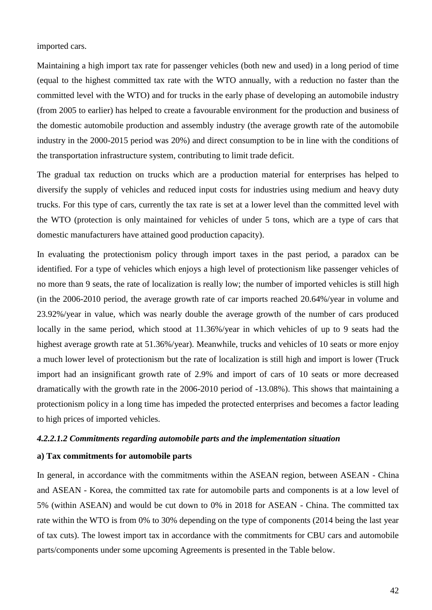imported cars.

Maintaining a high import tax rate for passenger vehicles (both new and used) in a long period of time (equal to the highest committed tax rate with the WTO annually, with a reduction no faster than the committed level with the WTO) and for trucks in the early phase of developing an automobile industry (from 2005 to earlier) has helped to create a favourable environment for the production and business of the domestic automobile production and assembly industry (the average growth rate of the automobile industry in the 2000-2015 period was 20%) and direct consumption to be in line with the conditions of the transportation infrastructure system, contributing to limit trade deficit.

The gradual tax reduction on trucks which are a production material for enterprises has helped to diversify the supply of vehicles and reduced input costs for industries using medium and heavy duty trucks. For this type of cars, currently the tax rate is set at a lower level than the committed level with the WTO (protection is only maintained for vehicles of under 5 tons, which are a type of cars that domestic manufacturers have attained good production capacity).

In evaluating the protectionism policy through import taxes in the past period, a paradox can be identified. For a type of vehicles which enjoys a high level of protectionism like passenger vehicles of no more than 9 seats, the rate of localization is really low; the number of imported vehicles is still high (in the 2006-2010 period, the average growth rate of car imports reached 20.64%/year in volume and 23.92%/year in value, which was nearly double the average growth of the number of cars produced locally in the same period, which stood at 11.36%/year in which vehicles of up to 9 seats had the highest average growth rate at 51.36%/year). Meanwhile, trucks and vehicles of 10 seats or more enjoy a much lower level of protectionism but the rate of localization is still high and import is lower (Truck import had an insignificant growth rate of 2.9% and import of cars of 10 seats or more decreased dramatically with the growth rate in the 2006-2010 period of -13.08%). This shows that maintaining a protectionism policy in a long time has impeded the protected enterprises and becomes a factor leading to high prices of imported vehicles.

#### *4.2.2.1.2 Commitments regarding automobile parts and the implementation situation*

## **a) Tax commitments for automobile parts**

In general, in accordance with the commitments within the ASEAN region, between ASEAN - China and ASEAN - Korea, the committed tax rate for automobile parts and components is at a low level of 5% (within ASEAN) and would be cut down to 0% in 2018 for ASEAN - China. The committed tax rate within the WTO is from 0% to 30% depending on the type of components (2014 being the last year of tax cuts). The lowest import tax in accordance with the commitments for CBU cars and automobile parts/components under some upcoming Agreements is presented in the Table below.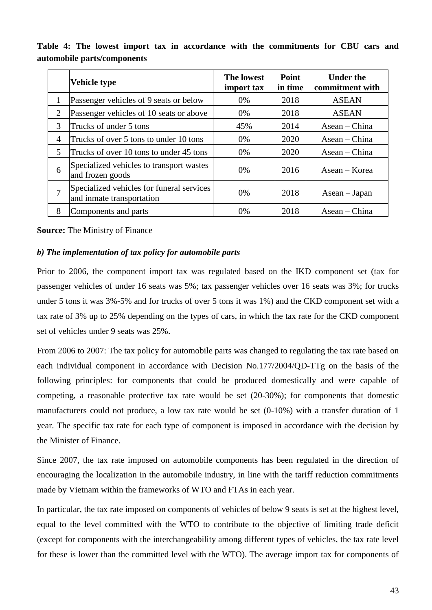|        | <b>Vehicle type</b>                                                    | <b>The lowest</b><br>import tax | Point<br>in time | <b>Under the</b><br>commitment with |
|--------|------------------------------------------------------------------------|---------------------------------|------------------|-------------------------------------|
| 1      | Passenger vehicles of 9 seats or below                                 | $0\%$                           | 2018             | <b>ASEAN</b>                        |
| 2      | Passenger vehicles of 10 seats or above                                | $0\%$                           | 2018             | <b>ASEAN</b>                        |
| 3      | Trucks of under 5 tons                                                 | 45%                             | 2014             | Asean – China                       |
| 4      | Trucks of over 5 tons to under 10 tons                                 | 0%                              | 2020             | Asean – China                       |
| 5      | Trucks of over 10 tons to under 45 tons                                | $0\%$                           | 2020             | $\text{Asean}-\text{China}$         |
| 6      | Specialized vehicles to transport wastes<br>and frozen goods           | $0\%$                           | 2016             | Asean – Korea                       |
| $\tau$ | Specialized vehicles for funeral services<br>and inmate transportation | $0\%$                           | 2018             | Asean – Japan                       |
| 8      | Components and parts                                                   | $0\%$                           | 2018             | Asean – China                       |

**Table 4: The lowest import tax in accordance with the commitments for CBU cars and automobile parts/components**

**Source:** The Ministry of Finance

#### *b) The implementation of tax policy for automobile parts*

Prior to 2006, the component import tax was regulated based on the IKD component set (tax for passenger vehicles of under 16 seats was 5%; tax passenger vehicles over 16 seats was 3%; for trucks under 5 tons it was 3%-5% and for trucks of over 5 tons it was 1%) and the CKD component set with a tax rate of 3% up to 25% depending on the types of cars, in which the tax rate for the CKD component set of vehicles under 9 seats was 25%.

From 2006 to 2007: The tax policy for automobile parts was changed to regulating the tax rate based on each individual component in accordance with Decision No.177/2004/QD-TTg on the basis of the following principles: for components that could be produced domestically and were capable of competing, a reasonable protective tax rate would be set (20-30%); for components that domestic manufacturers could not produce, a low tax rate would be set (0-10%) with a transfer duration of 1 year. The specific tax rate for each type of component is imposed in accordance with the decision by the Minister of Finance.

Since 2007, the tax rate imposed on automobile components has been regulated in the direction of encouraging the localization in the automobile industry, in line with the tariff reduction commitments made by Vietnam within the frameworks of WTO and FTAs in each year.

In particular, the tax rate imposed on components of vehicles of below 9 seats is set at the highest level, equal to the level committed with the WTO to contribute to the objective of limiting trade deficit (except for components with the interchangeability among different types of vehicles, the tax rate level for these is lower than the committed level with the WTO). The average import tax for components of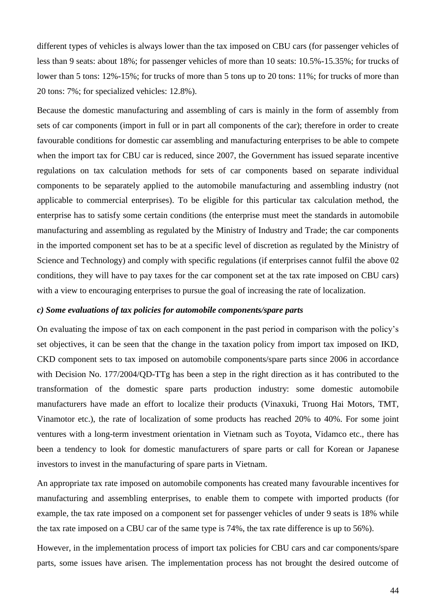different types of vehicles is always lower than the tax imposed on CBU cars (for passenger vehicles of less than 9 seats: about 18%; for passenger vehicles of more than 10 seats: 10.5%-15.35%; for trucks of lower than 5 tons: 12%-15%; for trucks of more than 5 tons up to 20 tons: 11%; for trucks of more than 20 tons: 7%; for specialized vehicles: 12.8%).

Because the domestic manufacturing and assembling of cars is mainly in the form of assembly from sets of car components (import in full or in part all components of the car); therefore in order to create favourable conditions for domestic car assembling and manufacturing enterprises to be able to compete when the import tax for CBU car is reduced, since 2007, the Government has issued separate incentive regulations on tax calculation methods for sets of car components based on separate individual components to be separately applied to the automobile manufacturing and assembling industry (not applicable to commercial enterprises). To be eligible for this particular tax calculation method, the enterprise has to satisfy some certain conditions (the enterprise must meet the standards in automobile manufacturing and assembling as regulated by the Ministry of Industry and Trade; the car components in the imported component set has to be at a specific level of discretion as regulated by the Ministry of Science and Technology) and comply with specific regulations (if enterprises cannot fulfil the above 02 conditions, they will have to pay taxes for the car component set at the tax rate imposed on CBU cars) with a view to encouraging enterprises to pursue the goal of increasing the rate of localization.

#### *c) Some evaluations of tax policies for automobile components/spare parts*

On evaluating the impose of tax on each component in the past period in comparison with the policy's set objectives, it can be seen that the change in the taxation policy from import tax imposed on IKD, CKD component sets to tax imposed on automobile components/spare parts since 2006 in accordance with Decision No. 177/2004/QD-TTg has been a step in the right direction as it has contributed to the transformation of the domestic spare parts production industry: some domestic automobile manufacturers have made an effort to localize their products (Vinaxuki, Truong Hai Motors, TMT, Vinamotor etc.), the rate of localization of some products has reached 20% to 40%. For some joint ventures with a long-term investment orientation in Vietnam such as Toyota, Vidamco etc., there has been a tendency to look for domestic manufacturers of spare parts or call for Korean or Japanese investors to invest in the manufacturing of spare parts in Vietnam.

An appropriate tax rate imposed on automobile components has created many favourable incentives for manufacturing and assembling enterprises, to enable them to compete with imported products (for example, the tax rate imposed on a component set for passenger vehicles of under 9 seats is 18% while the tax rate imposed on a CBU car of the same type is 74%, the tax rate difference is up to 56%).

However, in the implementation process of import tax policies for CBU cars and car components/spare parts, some issues have arisen. The implementation process has not brought the desired outcome of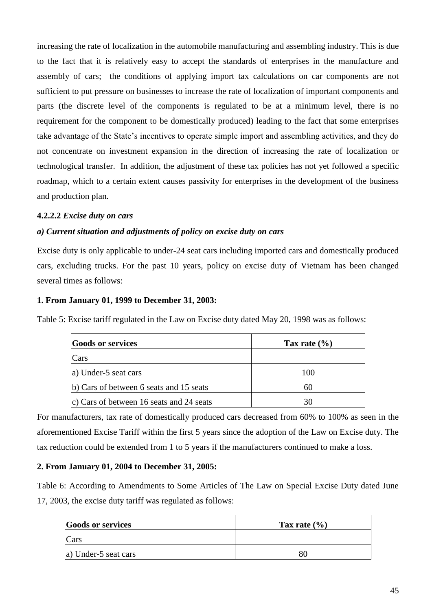increasing the rate of localization in the automobile manufacturing and assembling industry. This is due to the fact that it is relatively easy to accept the standards of enterprises in the manufacture and assembly of cars; the conditions of applying import tax calculations on car components are not sufficient to put pressure on businesses to increase the rate of localization of important components and parts (the discrete level of the components is regulated to be at a minimum level, there is no requirement for the component to be domestically produced) leading to the fact that some enterprises take advantage of the State's incentives to operate simple import and assembling activities, and they do not concentrate on investment expansion in the direction of increasing the rate of localization or technological transfer. In addition, the adjustment of these tax policies has not yet followed a specific roadmap, which to a certain extent causes passivity for enterprises in the development of the business and production plan.

### **4.2.2.2** *Excise duty on cars*

### *a) Current situation and adjustments of policy on excise duty on cars*

Excise duty is only applicable to under-24 seat cars including imported cars and domestically produced cars, excluding trucks. For the past 10 years, policy on excise duty of Vietnam has been changed several times as follows:

#### **1. From January 01, 1999 to December 31, 2003:**

Table 5: Excise tariff regulated in the Law on Excise duty dated May 20, 1998 was as follows:

| <b>Goods or services</b>                 | Tax rate $(\% )$ |
|------------------------------------------|------------------|
| Cars                                     |                  |
| a) Under-5 seat cars                     | 100              |
| b) Cars of between 6 seats and 15 seats  | 60               |
| c) Cars of between 16 seats and 24 seats | 30               |

For manufacturers, tax rate of domestically produced cars decreased from 60% to 100% as seen in the aforementioned Excise Tariff within the first 5 years since the adoption of the Law on Excise duty. The tax reduction could be extended from 1 to 5 years if the manufacturers continued to make a loss.

## **2. From January 01, 2004 to December 31, 2005:**

Table 6: According to Amendments to Some Articles of The Law on Special Excise Duty dated June 17, 2003, the excise duty tariff was regulated as follows:

| <b>Goods or services</b> | Tax rate $(\% )$ |
|--------------------------|------------------|
| $\text{Cars}$            |                  |
| a) Under-5 seat cars     | 80               |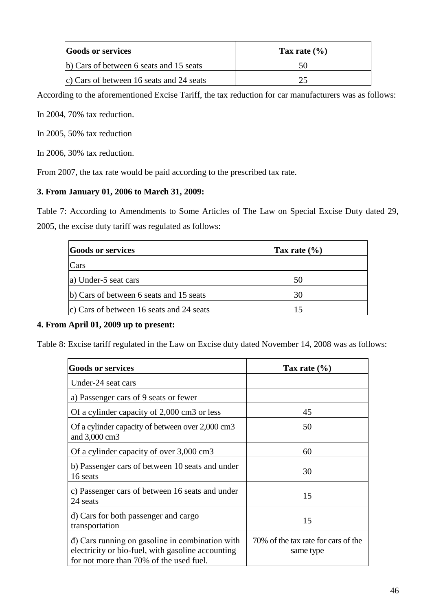| <b>Goods or services</b>                 | Tax rate $(\% )$ |
|------------------------------------------|------------------|
| b) Cars of between 6 seats and 15 seats  |                  |
| c) Cars of between 16 seats and 24 seats |                  |

According to the aforementioned Excise Tariff, the tax reduction for car manufacturers was as follows:

In 2004, 70% tax reduction.

In 2005, 50% tax reduction

In 2006, 30% tax reduction.

From 2007, the tax rate would be paid according to the prescribed tax rate.

## **3. From January 01, 2006 to March 31, 2009:**

Table 7: According to Amendments to Some Articles of The Law on Special Excise Duty dated 29, 2005, the excise duty tariff was regulated as follows:

| <b>Goods or services</b>                 | Tax rate $(\% )$ |
|------------------------------------------|------------------|
| Cars                                     |                  |
| a) Under-5 seat cars                     | 50               |
| b) Cars of between 6 seats and 15 seats  | 30               |
| c) Cars of between 16 seats and 24 seats |                  |

## **4. From April 01, 2009 up to present:**

Table 8: Excise tariff regulated in the Law on Excise duty dated November 14, 2008 was as follows:

| <b>Goods or services</b>                                                                                                                        | Tax rate $(\% )$                                 |
|-------------------------------------------------------------------------------------------------------------------------------------------------|--------------------------------------------------|
| Under-24 seat cars                                                                                                                              |                                                  |
| a) Passenger cars of 9 seats or fewer                                                                                                           |                                                  |
| Of a cylinder capacity of 2,000 cm3 or less                                                                                                     | 45                                               |
| Of a cylinder capacity of between over 2,000 cm3<br>and 3,000 cm3                                                                               | 50                                               |
| Of a cylinder capacity of over 3,000 cm3                                                                                                        | 60                                               |
| b) Passenger cars of between 10 seats and under<br>16 seats                                                                                     | 30                                               |
| c) Passenger cars of between 16 seats and under<br>24 seats                                                                                     | 15                                               |
| d) Cars for both passenger and cargo<br>transportation                                                                                          | 15                                               |
| d) Cars running on gasoline in combination with<br>electricity or bio-fuel, with gasoline accounting<br>for not more than 70% of the used fuel. | 70% of the tax rate for cars of the<br>same type |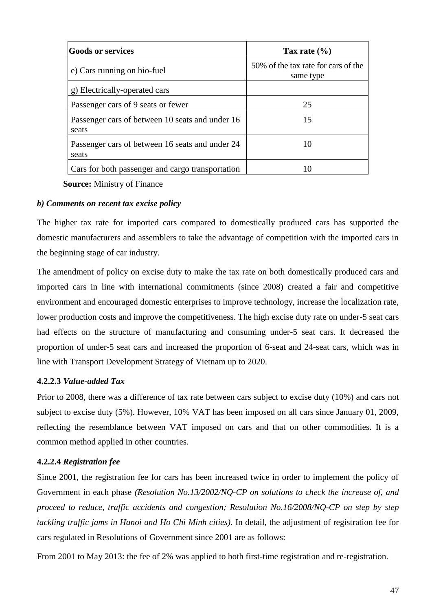| <b>Goods or services</b>                                 | Tax rate $(\% )$                                 |
|----------------------------------------------------------|--------------------------------------------------|
| e) Cars running on bio-fuel                              | 50% of the tax rate for cars of the<br>same type |
| g) Electrically-operated cars                            |                                                  |
| Passenger cars of 9 seats or fewer                       | 25                                               |
| Passenger cars of between 10 seats and under 16<br>seats | 15                                               |
| Passenger cars of between 16 seats and under 24<br>seats | 10                                               |
| Cars for both passenger and cargo transportation         |                                                  |

**Source:** Ministry of Finance

## *b) Comments on recent tax excise policy*

The higher tax rate for imported cars compared to domestically produced cars has supported the domestic manufacturers and assemblers to take the advantage of competition with the imported cars in the beginning stage of car industry.

The amendment of policy on excise duty to make the tax rate on both domestically produced cars and imported cars in line with international commitments (since 2008) created a fair and competitive environment and encouraged domestic enterprises to improve technology, increase the localization rate, lower production costs and improve the competitiveness. The high excise duty rate on under-5 seat cars had effects on the structure of manufacturing and consuming under-5 seat cars. It decreased the proportion of under-5 seat cars and increased the proportion of 6-seat and 24-seat cars, which was in line with Transport Development Strategy of Vietnam up to 2020.

## **4.2.2.3** *Value-added Tax*

Prior to 2008, there was a difference of tax rate between cars subject to excise duty (10%) and cars not subject to excise duty (5%). However, 10% VAT has been imposed on all cars since January 01, 2009, reflecting the resemblance between VAT imposed on cars and that on other commodities. It is a common method applied in other countries.

## **4.2.2.4** *Registration fee*

Since 2001, the registration fee for cars has been increased twice in order to implement the policy of Government in each phase *(Resolution No.13/2002/NQ-CP on solutions to check the increase of, and proceed to reduce, traffic accidents and congestion; Resolution No.16/2008/NQ-CP on step by step tackling traffic jams in Hanoi and Ho Chi Minh cities)*. In detail, the adjustment of registration fee for cars regulated in Resolutions of Government since 2001 are as follows:

From 2001 to May 2013: the fee of 2% was applied to both first-time registration and re-registration.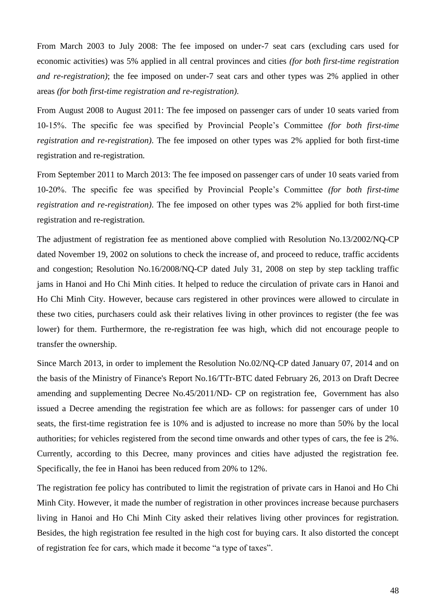From March 2003 to July 2008: The fee imposed on under-7 seat cars (excluding cars used for economic activities) was 5% applied in all central provinces and cities *(for both first-time registration and re-registration)*; the fee imposed on under-7 seat cars and other types was 2% applied in other areas *(for both first-time registration and re-registration)*.

From August 2008 to August 2011: The fee imposed on passenger cars of under 10 seats varied from 10-15%. The specific fee was specified by Provincial People's Committee *(for both first-time registration and re-registration)*. The fee imposed on other types was 2% applied for both first-time registration and re-registration*.*

From September 2011 to March 2013: The fee imposed on passenger cars of under 10 seats varied from 10-20%. The specific fee was specified by Provincial People's Committee *(for both first-time registration and re-registration)*. The fee imposed on other types was 2% applied for both first-time registration and re-registration*.*

The adjustment of registration fee as mentioned above complied with Resolution No.13/2002/NQ-CP dated November 19, 2002 on solutions to check the increase of, and proceed to reduce, traffic accidents and congestion; Resolution No.16/2008/NQ-CP dated July 31, 2008 on step by step tackling traffic jams in Hanoi and Ho Chi Minh cities. It helped to reduce the circulation of private cars in Hanoi and Ho Chi Minh City. However, because cars registered in other provinces were allowed to circulate in these two cities, purchasers could ask their relatives living in other provinces to register (the fee was lower) for them. Furthermore, the re-registration fee was high, which did not encourage people to transfer the ownership.

Since March 2013, in order to implement the Resolution No.02/NQ-CP dated January 07, 2014 and on the basis of the Ministry of Finance's Report No.16/TTr-BTC dated February 26, 2013 on Draft Decree amending and supplementing Decree No.45/2011/ND- CP on registration fee, Government has also issued a Decree amending the registration fee which are as follows: for passenger cars of under 10 seats, the first-time registration fee is 10% and is adjusted to increase no more than 50% by the local authorities; for vehicles registered from the second time onwards and other types of cars, the fee is 2%. Currently, according to this Decree, many provinces and cities have adjusted the registration fee. Specifically, the fee in Hanoi has been reduced from 20% to 12%.

The registration fee policy has contributed to limit the registration of private cars in Hanoi and Ho Chi Minh City. However, it made the number of registration in other provinces increase because purchasers living in Hanoi and Ho Chi Minh City asked their relatives living other provinces for registration. Besides, the high registration fee resulted in the high cost for buying cars. It also distorted the concept of registration fee for cars, which made it become "a type of taxes".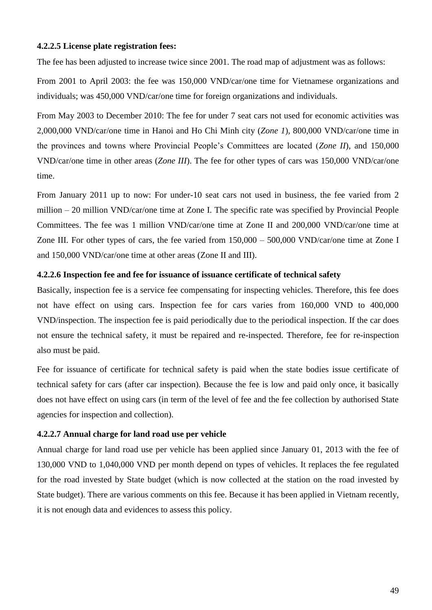#### **4.2.2.5 License plate registration fees:**

The fee has been adjusted to increase twice since 2001. The road map of adjustment was as follows:

From 2001 to April 2003: the fee was 150,000 VND/car/one time for Vietnamese organizations and individuals; was 450,000 VND/car/one time for foreign organizations and individuals.

From May 2003 to December 2010: The fee for under 7 seat cars not used for economic activities was 2,000,000 VND/car/one time in Hanoi and Ho Chi Minh city (*Zone 1*), 800,000 VND/car/one time in the provinces and towns where Provincial People's Committees are located (*Zone II*), and 150,000 VND/car/one time in other areas (*Zone III*). The fee for other types of cars was 150,000 VND/car/one time.

From January 2011 up to now: For under-10 seat cars not used in business, the fee varied from 2 million – 20 million VND/car/one time at Zone I. The specific rate was specified by Provincial People Committees. The fee was 1 million VND/car/one time at Zone II and 200,000 VND/car/one time at Zone III. For other types of cars, the fee varied from 150,000 – 500,000 VND/car/one time at Zone I and 150,000 VND/car/one time at other areas (Zone II and III).

#### **4.2.2.6 Inspection fee and fee for issuance of issuance certificate of technical safety**

Basically, inspection fee is a service fee compensating for inspecting vehicles. Therefore, this fee does not have effect on using cars. Inspection fee for cars varies from 160,000 VND to 400,000 VND/inspection. The inspection fee is paid periodically due to the periodical inspection. If the car does not ensure the technical safety, it must be repaired and re-inspected. Therefore, fee for re-inspection also must be paid.

Fee for issuance of certificate for technical safety is paid when the state bodies issue certificate of technical safety for cars (after car inspection). Because the fee is low and paid only once, it basically does not have effect on using cars (in term of the level of fee and the fee collection by authorised State agencies for inspection and collection).

#### **4.2.2.7 Annual charge for land road use per vehicle**

Annual charge for land road use per vehicle has been applied since January 01, 2013 with the fee of 130,000 VND to 1,040,000 VND per month depend on types of vehicles. It replaces the fee regulated for the road invested by State budget (which is now collected at the station on the road invested by State budget). There are various comments on this fee. Because it has been applied in Vietnam recently, it is not enough data and evidences to assess this policy.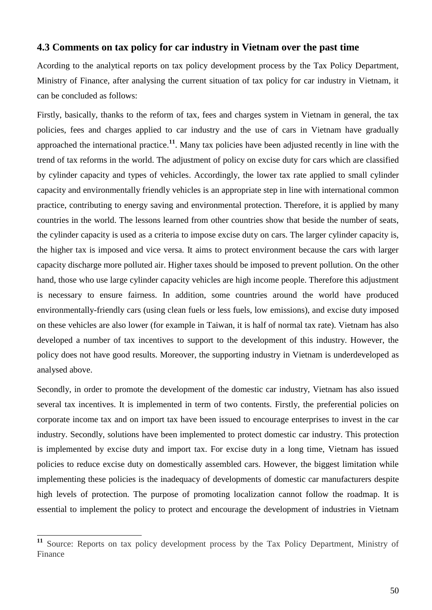## **4.3 Comments on tax policy for car industry in Vietnam over the past time**

Acording to the analytical reports on tax policy development process by the Tax Policy Department, Ministry of Finance, after analysing the current situation of tax policy for car industry in Vietnam, it can be concluded as follows:

Firstly, basically, thanks to the reform of tax, fees and charges system in Vietnam in general, the tax policies, fees and charges applied to car industry and the use of cars in Vietnam have gradually approached the international practice.<sup>11</sup>. Many tax policies have been adjusted recently in line with the trend of tax reforms in the world. The adjustment of policy on excise duty for cars which are classified by cylinder capacity and types of vehicles. Accordingly, the lower tax rate applied to small cylinder capacity and environmentally friendly vehicles is an appropriate step in line with international common practice, contributing to energy saving and environmental protection. Therefore, it is applied by many countries in the world. The lessons learned from other countries show that beside the number of seats, the cylinder capacity is used as a criteria to impose excise duty on cars. The larger cylinder capacity is, the higher tax is imposed and vice versa. It aims to protect environment because the cars with larger capacity discharge more polluted air. Higher taxes should be imposed to prevent pollution. On the other hand, those who use large cylinder capacity vehicles are high income people. Therefore this adjustment is necessary to ensure fairness. In addition, some countries around the world have produced environmentally-friendly cars (using clean fuels or less fuels, low emissions), and excise duty imposed on these vehicles are also lower (for example in Taiwan, it is half of normal tax rate). Vietnam has also developed a number of tax incentives to support to the development of this industry. However, the policy does not have good results. Moreover, the supporting industry in Vietnam is underdeveloped as analysed above.

Secondly, in order to promote the development of the domestic car industry, Vietnam has also issued several tax incentives. It is implemented in term of two contents. Firstly, the preferential policies on corporate income tax and on import tax have been issued to encourage enterprises to invest in the car industry. Secondly, solutions have been implemented to protect domestic car industry. This protection is implemented by excise duty and import tax. For excise duty in a long time, Vietnam has issued policies to reduce excise duty on domestically assembled cars. However, the biggest limitation while implementing these policies is the inadequacy of developments of domestic car manufacturers despite high levels of protection. The purpose of promoting localization cannot follow the roadmap. It is essential to implement the policy to protect and encourage the development of industries in Vietnam

 $11$ **<sup>11</sup>** Source: Reports on tax policy development process by the Tax Policy Department, Ministry of Finance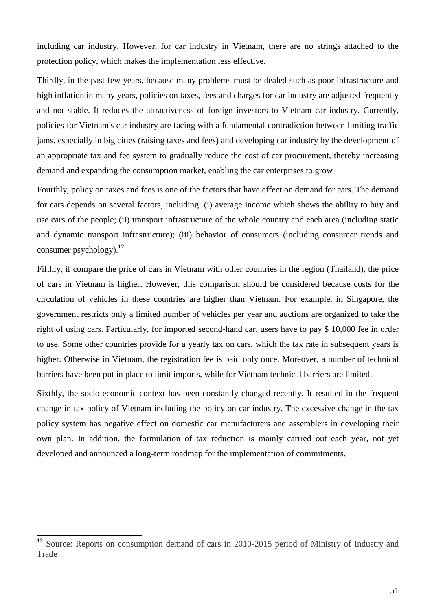including car industry. However, for car industry in Vietnam, there are no strings attached to the protection policy, which makes the implementation less effective.

Thirdly, in the past few years, because many problems must be dealed such as poor infrastructure and high inflation in many years, policies on taxes, fees and charges for car industry are adjusted frequently and not stable. It reduces the attractiveness of foreign investors to Vietnam car industry. Currently, policies for Vietnam's car industry are facing with a fundamental contradiction between limiting traffic jams, especially in big cities (raising taxes and fees) and developing car industry by the development of an appropriate tax and fee system to gradually reduce the cost of car procurement, thereby increasing demand and expanding the consumption market, enabling the car enterprises to grow

Fourthly, policy on taxes and fees is one of the factors that have effect on demand for cars. The demand for cars depends on several factors, including: (i) average income which shows the ability to buy and use cars of the people; (ii) transport infrastructure of the whole country and each area (including static and dynamic transport infrastructure); (iii) behavior of consumers (including consumer trends and consumer psychology).**<sup>12</sup>**

Fifthly, if compare the price of cars in Vietnam with other countries in the region (Thailand), the price of cars in Vietnam is higher. However, this comparison should be considered because costs for the circulation of vehicles in these countries are higher than Vietnam. For example, in Singapore, the government restricts only a limited number of vehicles per year and auctions are organized to take the right of using cars. Particularly, for imported second-hand car, users have to pay \$ 10,000 fee in order to use. Some other countries provide for a yearly tax on cars, which the tax rate in subsequent years is higher. Otherwise in Vietnam, the registration fee is paid only once. Moreover, a number of technical barriers have been put in place to limit imports, while for Vietnam technical barriers are limited.

Sixthly, the socio-economic context has been constantly changed recently. It resulted in the frequent change in tax policy of Vietnam including the policy on car industry. The excessive change in the tax policy system has negative effect on domestic car manufacturers and assemblers in developing their own plan. In addition, the formulation of tax reduction is mainly carried out each year, not yet developed and announced a long-term roadmap for the implementation of commitments.

-

**<sup>12</sup>** Source: Reports on consumption demand of cars in 2010-2015 period of Ministry of Industry and Trade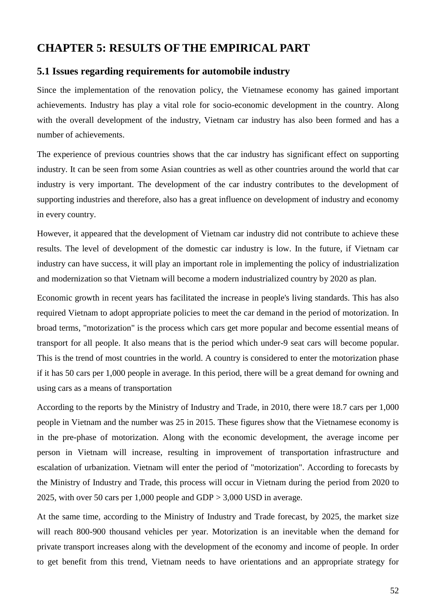# **CHAPTER 5: RESULTS OF THE EMPIRICAL PART**

## **5.1 Issues regarding requirements for automobile industry**

Since the implementation of the renovation policy, the Vietnamese economy has gained important achievements. Industry has play a vital role for socio-economic development in the country. Along with the overall development of the industry, Vietnam car industry has also been formed and has a number of achievements.

The experience of previous countries shows that the car industry has significant effect on supporting industry. It can be seen from some Asian countries as well as other countries around the world that car industry is very important. The development of the car industry contributes to the development of supporting industries and therefore, also has a great influence on development of industry and economy in every country.

However, it appeared that the development of Vietnam car industry did not contribute to achieve these results. The level of development of the domestic car industry is low. In the future, if Vietnam car industry can have success, it will play an important role in implementing the policy of industrialization and modernization so that Vietnam will become a modern industrialized country by 2020 as plan.

Economic growth in recent years has facilitated the increase in people's living standards. This has also required Vietnam to adopt appropriate policies to meet the car demand in the period of motorization. In broad terms, "motorization" is the process which cars get more popular and become essential means of transport for all people. It also means that is the period which under-9 seat cars will become popular. This is the trend of most countries in the world. A country is considered to enter the motorization phase if it has 50 cars per 1,000 people in average. In this period, there will be a great demand for owning and using cars as a means of transportation

According to the reports by the Ministry of Industry and Trade, in 2010, there were 18.7 cars per 1,000 people in Vietnam and the number was 25 in 2015. These figures show that the Vietnamese economy is in the pre-phase of motorization. Along with the economic development, the average income per person in Vietnam will increase, resulting in improvement of transportation infrastructure and escalation of urbanization. Vietnam will enter the period of "motorization". According to forecasts by the Ministry of Industry and Trade, this process will occur in Vietnam during the period from 2020 to 2025, with over 50 cars per 1,000 people and GDP > 3,000 USD in average.

At the same time, according to the Ministry of Industry and Trade forecast, by 2025, the market size will reach 800-900 thousand vehicles per year. Motorization is an inevitable when the demand for private transport increases along with the development of the economy and income of people. In order to get benefit from this trend, Vietnam needs to have orientations and an appropriate strategy for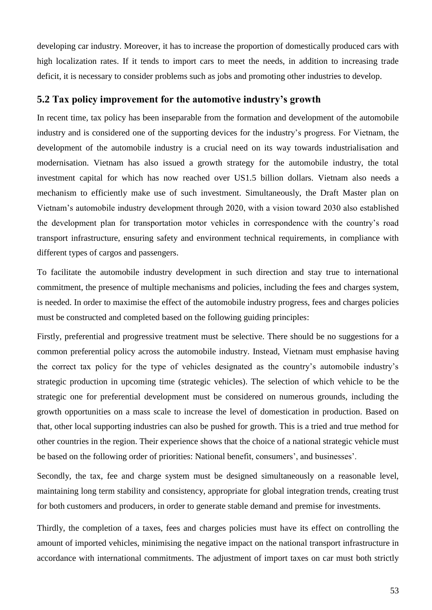developing car industry. Moreover, it has to increase the proportion of domestically produced cars with high localization rates. If it tends to import cars to meet the needs, in addition to increasing trade deficit, it is necessary to consider problems such as jobs and promoting other industries to develop.

## **5.2 Tax policy improvement for the automotive industry's growth**

In recent time, tax policy has been inseparable from the formation and development of the automobile industry and is considered one of the supporting devices for the industry's progress. For Vietnam, the development of the automobile industry is a crucial need on its way towards industrialisation and modernisation. Vietnam has also issued a growth strategy for the automobile industry, the total investment capital for which has now reached over US1.5 billion dollars. Vietnam also needs a mechanism to efficiently make use of such investment. Simultaneously, the Draft Master plan on Vietnam's automobile industry development through 2020, with a vision toward 2030 also established the development plan for transportation motor vehicles in correspondence with the country's road transport infrastructure, ensuring safety and environment technical requirements, in compliance with different types of cargos and passengers.

To facilitate the automobile industry development in such direction and stay true to international commitment, the presence of multiple mechanisms and policies, including the fees and charges system, is needed. In order to maximise the effect of the automobile industry progress, fees and charges policies must be constructed and completed based on the following guiding principles:

Firstly, preferential and progressive treatment must be selective. There should be no suggestions for a common preferential policy across the automobile industry. Instead, Vietnam must emphasise having the correct tax policy for the type of vehicles designated as the country's automobile industry's strategic production in upcoming time (strategic vehicles). The selection of which vehicle to be the strategic one for preferential development must be considered on numerous grounds, including the growth opportunities on a mass scale to increase the level of domestication in production. Based on that, other local supporting industries can also be pushed for growth. This is a tried and true method for other countries in the region. Their experience shows that the choice of a national strategic vehicle must be based on the following order of priorities: National benefit, consumers', and businesses'.

Secondly, the tax, fee and charge system must be designed simultaneously on a reasonable level, maintaining long term stability and consistency, appropriate for global integration trends, creating trust for both customers and producers, in order to generate stable demand and premise for investments.

Thirdly, the completion of a taxes, fees and charges policies must have its effect on controlling the amount of imported vehicles, minimising the negative impact on the national transport infrastructure in accordance with international commitments. The adjustment of import taxes on car must both strictly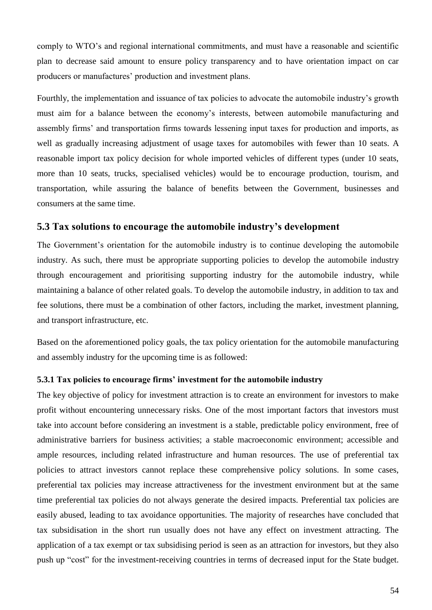comply to WTO's and regional international commitments, and must have a reasonable and scientific plan to decrease said amount to ensure policy transparency and to have orientation impact on car producers or manufactures' production and investment plans.

Fourthly, the implementation and issuance of tax policies to advocate the automobile industry's growth must aim for a balance between the economy's interests, between automobile manufacturing and assembly firms' and transportation firms towards lessening input taxes for production and imports, as well as gradually increasing adjustment of usage taxes for automobiles with fewer than 10 seats. A reasonable import tax policy decision for whole imported vehicles of different types (under 10 seats, more than 10 seats, trucks, specialised vehicles) would be to encourage production, tourism, and transportation, while assuring the balance of benefits between the Government, businesses and consumers at the same time.

## **5.3 Tax solutions to encourage the automobile industry's development**

The Government's orientation for the automobile industry is to continue developing the automobile industry. As such, there must be appropriate supporting policies to develop the automobile industry through encouragement and prioritising supporting industry for the automobile industry, while maintaining a balance of other related goals. To develop the automobile industry, in addition to tax and fee solutions, there must be a combination of other factors, including the market, investment planning, and transport infrastructure, etc.

Based on the aforementioned policy goals, the tax policy orientation for the automobile manufacturing and assembly industry for the upcoming time is as followed:

#### **5.3.1 Tax policies to encourage firms' investment for the automobile industry**

The key objective of policy for investment attraction is to create an environment for investors to make profit without encountering unnecessary risks. One of the most important factors that investors must take into account before considering an investment is a stable, predictable policy environment, free of administrative barriers for business activities; a stable macroeconomic environment; accessible and ample resources, including related infrastructure and human resources. The use of preferential tax policies to attract investors cannot replace these comprehensive policy solutions. In some cases, preferential tax policies may increase attractiveness for the investment environment but at the same time preferential tax policies do not always generate the desired impacts. Preferential tax policies are easily abused, leading to tax avoidance opportunities. The majority of researches have concluded that tax subsidisation in the short run usually does not have any effect on investment attracting. The application of a tax exempt or tax subsidising period is seen as an attraction for investors, but they also push up "cost" for the investment-receiving countries in terms of decreased input for the State budget.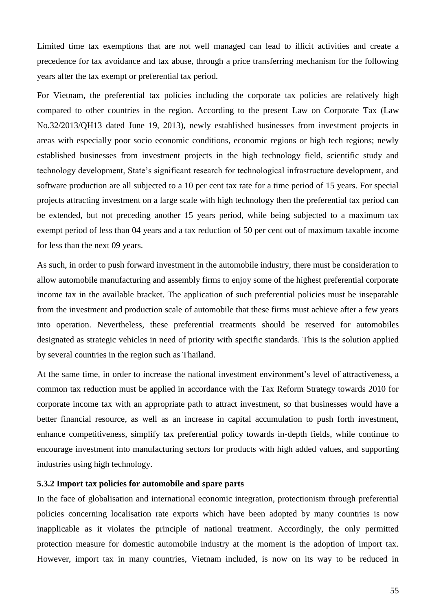Limited time tax exemptions that are not well managed can lead to illicit activities and create a precedence for tax avoidance and tax abuse, through a price transferring mechanism for the following years after the tax exempt or preferential tax period.

For Vietnam, the preferential tax policies including the corporate tax policies are relatively high compared to other countries in the region. According to the present Law on Corporate Tax (Law No.32/2013/QH13 dated June 19, 2013), newly established businesses from investment projects in areas with especially poor socio economic conditions, economic regions or high tech regions; newly established businesses from investment projects in the high technology field, scientific study and technology development, State's significant research for technological infrastructure development, and software production are all subjected to a 10 per cent tax rate for a time period of 15 years. For special projects attracting investment on a large scale with high technology then the preferential tax period can be extended, but not preceding another 15 years period, while being subjected to a maximum tax exempt period of less than 04 years and a tax reduction of 50 per cent out of maximum taxable income for less than the next 09 years.

As such, in order to push forward investment in the automobile industry, there must be consideration to allow automobile manufacturing and assembly firms to enjoy some of the highest preferential corporate income tax in the available bracket. The application of such preferential policies must be inseparable from the investment and production scale of automobile that these firms must achieve after a few years into operation. Nevertheless, these preferential treatments should be reserved for automobiles designated as strategic vehicles in need of priority with specific standards. This is the solution applied by several countries in the region such as Thailand.

At the same time, in order to increase the national investment environment's level of attractiveness, a common tax reduction must be applied in accordance with the Tax Reform Strategy towards 2010 for corporate income tax with an appropriate path to attract investment, so that businesses would have a better financial resource, as well as an increase in capital accumulation to push forth investment, enhance competitiveness, simplify tax preferential policy towards in-depth fields, while continue to encourage investment into manufacturing sectors for products with high added values, and supporting industries using high technology.

#### **5.3.2 Import tax policies for automobile and spare parts**

In the face of globalisation and international economic integration, protectionism through preferential policies concerning localisation rate exports which have been adopted by many countries is now inapplicable as it violates the principle of national treatment. Accordingly, the only permitted protection measure for domestic automobile industry at the moment is the adoption of import tax. However, import tax in many countries, Vietnam included, is now on its way to be reduced in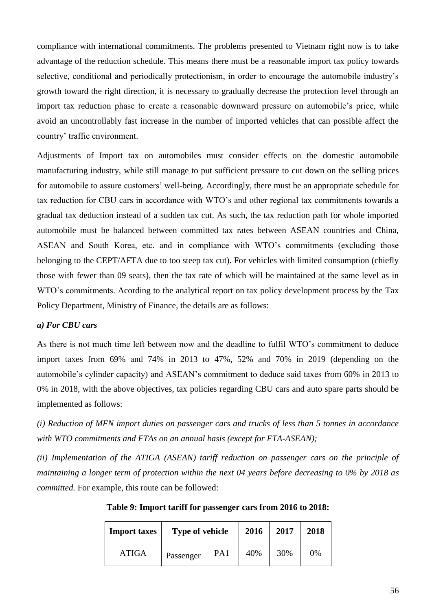compliance with international commitments. The problems presented to Vietnam right now is to take advantage of the reduction schedule. This means there must be a reasonable import tax policy towards selective, conditional and periodically protectionism, in order to encourage the automobile industry's growth toward the right direction, it is necessary to gradually decrease the protection level through an import tax reduction phase to create a reasonable downward pressure on automobile's price, while avoid an uncontrollably fast increase in the number of imported vehicles that can possible affect the country' traffic environment.

Adjustments of Import tax on automobiles must consider effects on the domestic automobile manufacturing industry, while still manage to put sufficient pressure to cut down on the selling prices for automobile to assure customers' well-being. Accordingly, there must be an appropriate schedule for tax reduction for CBU cars in accordance with WTO's and other regional tax commitments towards a gradual tax deduction instead of a sudden tax cut. As such, the tax reduction path for whole imported automobile must be balanced between committed tax rates between ASEAN countries and China, ASEAN and South Korea, etc. and in compliance with WTO's commitments (excluding those belonging to the CEPT/AFTA due to too steep tax cut). For vehicles with limited consumption (chiefly those with fewer than 09 seats), then the tax rate of which will be maintained at the same level as in WTO's commitments. Acording to the analytical report on tax policy development process by the Tax Policy Department, Ministry of Finance, the details are as follows:

#### *a) For CBU cars*

As there is not much time left between now and the deadline to fulfil WTO's commitment to deduce import taxes from 69% and 74% in 2013 to 47%, 52% and 70% in 2019 (depending on the automobile's cylinder capacity) and ASEAN's commitment to deduce said taxes from 60% in 2013 to 0% in 2018, with the above objectives, tax policies regarding CBU cars and auto spare parts should be implemented as follows:

*(i) Reduction of MFN import duties on passenger cars and trucks of less than 5 tonnes in accordance with WTO commitments and FTAs on an annual basis (except for FTA-ASEAN);* 

*(ii) Implementation of the ATIGA (ASEAN) tariff reduction on passenger cars on the principle of maintaining a longer term of protection within the next 04 years before decreasing to 0% by 2018 as committed.* For example, this route can be followed:

| <b>Import taxes</b> | Type of vehicle |     | 2016 | 2017 | 2018 |
|---------------------|-----------------|-----|------|------|------|
| ATIGA               | Passenger       | PA1 | 40%  | 30%  | 0%   |

**Table 9: Import tariff for passenger cars from 2016 to 2018:**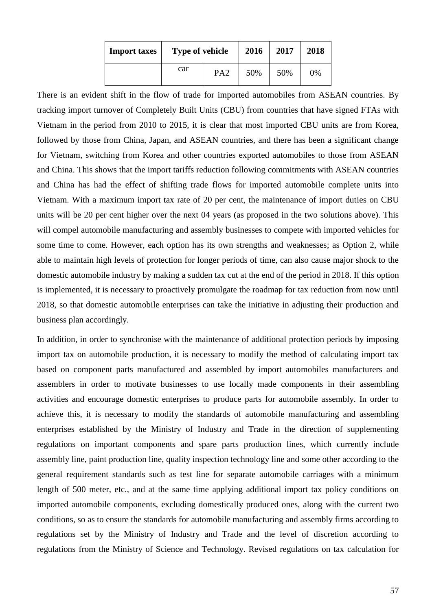| <b>Import taxes</b> | <b>Type of vehicle</b> |                 | 2016 | 2017 | 2018 |  |  |
|---------------------|------------------------|-----------------|------|------|------|--|--|
|                     | car                    | PA <sub>2</sub> | 50%  | 50%  | 0%   |  |  |

There is an evident shift in the flow of trade for imported automobiles from ASEAN countries. By tracking import turnover of Completely Built Units (CBU) from countries that have signed FTAs with Vietnam in the period from 2010 to 2015, it is clear that most imported CBU units are from Korea, followed by those from China, Japan, and ASEAN countries, and there has been a significant change for Vietnam, switching from Korea and other countries exported automobiles to those from ASEAN and China. This shows that the import tariffs reduction following commitments with ASEAN countries and China has had the effect of shifting trade flows for imported automobile complete units into Vietnam. With a maximum import tax rate of 20 per cent, the maintenance of import duties on CBU units will be 20 per cent higher over the next 04 years (as proposed in the two solutions above). This will compel automobile manufacturing and assembly businesses to compete with imported vehicles for some time to come. However, each option has its own strengths and weaknesses; as Option 2, while able to maintain high levels of protection for longer periods of time, can also cause major shock to the domestic automobile industry by making a sudden tax cut at the end of the period in 2018. If this option is implemented, it is necessary to proactively promulgate the roadmap for tax reduction from now until 2018, so that domestic automobile enterprises can take the initiative in adjusting their production and business plan accordingly.

In addition, in order to synchronise with the maintenance of additional protection periods by imposing import tax on automobile production, it is necessary to modify the method of calculating import tax based on component parts manufactured and assembled by import automobiles manufacturers and assemblers in order to motivate businesses to use locally made components in their assembling activities and encourage domestic enterprises to produce parts for automobile assembly. In order to achieve this, it is necessary to modify the standards of automobile manufacturing and assembling enterprises established by the Ministry of Industry and Trade in the direction of supplementing regulations on important components and spare parts production lines, which currently include assembly line, paint production line, quality inspection technology line and some other according to the general requirement standards such as test line for separate automobile carriages with a minimum length of 500 meter, etc., and at the same time applying additional import tax policy conditions on imported automobile components, excluding domestically produced ones, along with the current two conditions, so as to ensure the standards for automobile manufacturing and assembly firms according to regulations set by the Ministry of Industry and Trade and the level of discretion according to regulations from the Ministry of Science and Technology. Revised regulations on tax calculation for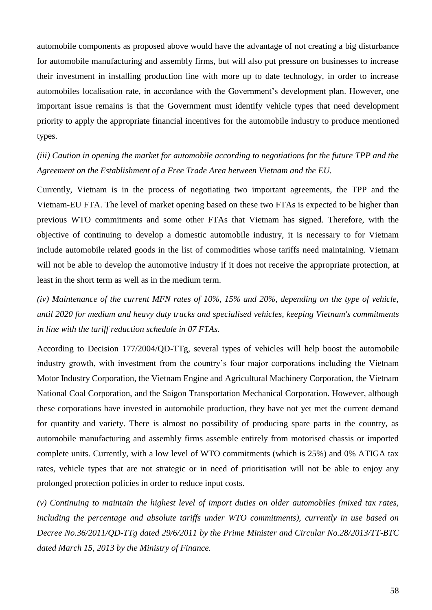automobile components as proposed above would have the advantage of not creating a big disturbance for automobile manufacturing and assembly firms, but will also put pressure on businesses to increase their investment in installing production line with more up to date technology, in order to increase automobiles localisation rate, in accordance with the Government's development plan. However, one important issue remains is that the Government must identify vehicle types that need development priority to apply the appropriate financial incentives for the automobile industry to produce mentioned types.

*(iii) Caution in opening the market for automobile according to negotiations for the future TPP and the Agreement on the Establishment of a Free Trade Area between Vietnam and the EU.*

Currently, Vietnam is in the process of negotiating two important agreements, the TPP and the Vietnam-EU FTA. The level of market opening based on these two FTAs is expected to be higher than previous WTO commitments and some other FTAs that Vietnam has signed. Therefore, with the objective of continuing to develop a domestic automobile industry, it is necessary to for Vietnam include automobile related goods in the list of commodities whose tariffs need maintaining. Vietnam will not be able to develop the automotive industry if it does not receive the appropriate protection, at least in the short term as well as in the medium term.

*(iv) Maintenance of the current MFN rates of 10%, 15% and 20%, depending on the type of vehicle, until 2020 for medium and heavy duty trucks and specialised vehicles, keeping Vietnam's commitments in line with the tariff reduction schedule in 07 FTAs.*

According to Decision 177/2004/QD-TTg, several types of vehicles will help boost the automobile industry growth, with investment from the country's four major corporations including the Vietnam Motor Industry Corporation, the Vietnam Engine and Agricultural Machinery Corporation, the Vietnam National Coal Corporation, and the Saigon Transportation Mechanical Corporation. However, although these corporations have invested in automobile production, they have not yet met the current demand for quantity and variety. There is almost no possibility of producing spare parts in the country, as automobile manufacturing and assembly firms assemble entirely from motorised chassis or imported complete units. Currently, with a low level of WTO commitments (which is 25%) and 0% ATIGA tax rates, vehicle types that are not strategic or in need of prioritisation will not be able to enjoy any prolonged protection policies in order to reduce input costs.

*(v) Continuing to maintain the highest level of import duties on older automobiles (mixed tax rates, including the percentage and absolute tariffs under WTO commitments), currently in use based on Decree No.36/2011/QD-TTg dated 29/6/2011 by the Prime Minister and Circular No.28/2013/TT-BTC dated March 15, 2013 by the Ministry of Finance.*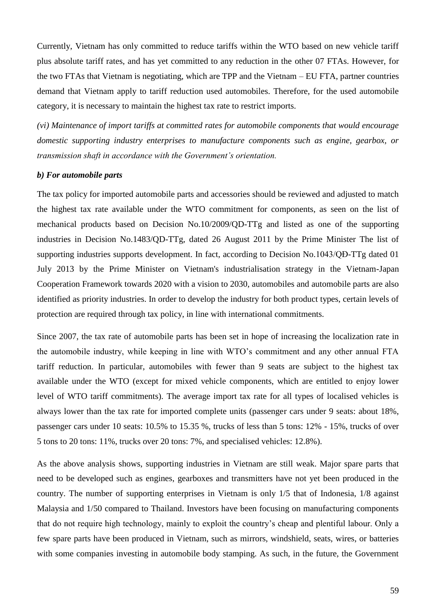Currently, Vietnam has only committed to reduce tariffs within the WTO based on new vehicle tariff plus absolute tariff rates, and has yet committed to any reduction in the other 07 FTAs. However, for the two FTAs that Vietnam is negotiating, which are TPP and the Vietnam – EU FTA, partner countries demand that Vietnam apply to tariff reduction used automobiles. Therefore, for the used automobile category, it is necessary to maintain the highest tax rate to restrict imports.

*(vi) Maintenance of import tariffs at committed rates for automobile components that would encourage domestic supporting industry enterprises to manufacture components such as engine, gearbox, or transmission shaft in accordance with the Government's orientation.*

#### *b) For automobile parts*

The tax policy for imported automobile parts and accessories should be reviewed and adjusted to match the highest tax rate available under the WTO commitment for components, as seen on the list of mechanical products based on Decision No.10/2009/QD-TTg and listed as one of the supporting industries in Decision No.1483/QD-TTg, dated 26 August 2011 by the Prime Minister The list of supporting industries supports development. In fact, according to Decision No.1043/QĐ-TTg dated 01 July 2013 by the Prime Minister on Vietnam's industrialisation strategy in the Vietnam-Japan Cooperation Framework towards 2020 with a vision to 2030, automobiles and automobile parts are also identified as priority industries. In order to develop the industry for both product types, certain levels of protection are required through tax policy, in line with international commitments.

Since 2007, the tax rate of automobile parts has been set in hope of increasing the localization rate in the automobile industry, while keeping in line with WTO's commitment and any other annual FTA tariff reduction. In particular, automobiles with fewer than 9 seats are subject to the highest tax available under the WTO (except for mixed vehicle components, which are entitled to enjoy lower level of WTO tariff commitments). The average import tax rate for all types of localised vehicles is always lower than the tax rate for imported complete units (passenger cars under 9 seats: about 18%, passenger cars under 10 seats: 10.5% to 15.35 %, trucks of less than 5 tons: 12% - 15%, trucks of over 5 tons to 20 tons: 11%, trucks over 20 tons: 7%, and specialised vehicles: 12.8%).

As the above analysis shows, supporting industries in Vietnam are still weak. Major spare parts that need to be developed such as engines, gearboxes and transmitters have not yet been produced in the country. The number of supporting enterprises in Vietnam is only 1/5 that of Indonesia, 1/8 against Malaysia and 1/50 compared to Thailand. Investors have been focusing on manufacturing components that do not require high technology, mainly to exploit the country's cheap and plentiful labour. Only a few spare parts have been produced in Vietnam, such as mirrors, windshield, seats, wires, or batteries with some companies investing in automobile body stamping. As such, in the future, the Government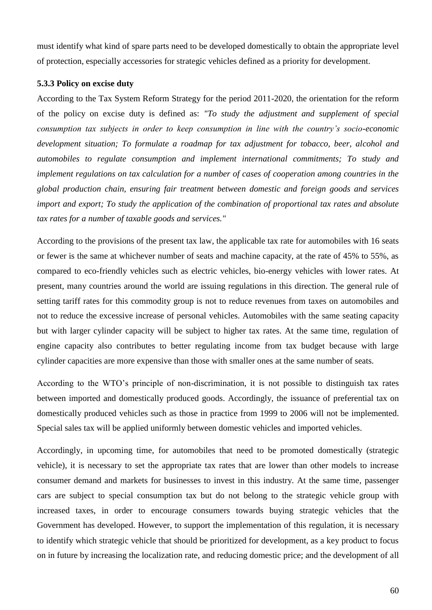must identify what kind of spare parts need to be developed domestically to obtain the appropriate level of protection, especially accessories for strategic vehicles defined as a priority for development.

#### **5.3.3 Policy on excise duty**

According to the Tax System Reform Strategy for the period 2011-2020, the orientation for the reform of the policy on excise duty is defined as: *"To study the adjustment and supplement of special consumption tax subjects in order to keep consumption in line with the country's socio-economic development situation; To formulate a roadmap for tax adjustment for tobacco, beer, alcohol and automobiles to regulate consumption and implement international commitments; To study and implement regulations on tax calculation for a number of cases of cooperation among countries in the global production chain, ensuring fair treatment between domestic and foreign goods and services import and export; To study the application of the combination of proportional tax rates and absolute tax rates for a number of taxable goods and services."*

According to the provisions of the present tax law, the applicable tax rate for automobiles with 16 seats or fewer is the same at whichever number of seats and machine capacity, at the rate of 45% to 55%, as compared to eco-friendly vehicles such as electric vehicles, bio-energy vehicles with lower rates. At present, many countries around the world are issuing regulations in this direction. The general rule of setting tariff rates for this commodity group is not to reduce revenues from taxes on automobiles and not to reduce the excessive increase of personal vehicles. Automobiles with the same seating capacity but with larger cylinder capacity will be subject to higher tax rates. At the same time, regulation of engine capacity also contributes to better regulating income from tax budget because with large cylinder capacities are more expensive than those with smaller ones at the same number of seats.

According to the WTO's principle of non-discrimination, it is not possible to distinguish tax rates between imported and domestically produced goods. Accordingly, the issuance of preferential tax on domestically produced vehicles such as those in practice from 1999 to 2006 will not be implemented. Special sales tax will be applied uniformly between domestic vehicles and imported vehicles.

Accordingly, in upcoming time, for automobiles that need to be promoted domestically (strategic vehicle), it is necessary to set the appropriate tax rates that are lower than other models to increase consumer demand and markets for businesses to invest in this industry. At the same time, passenger cars are subject to special consumption tax but do not belong to the strategic vehicle group with increased taxes, in order to encourage consumers towards buying strategic vehicles that the Government has developed. However, to support the implementation of this regulation, it is necessary to identify which strategic vehicle that should be prioritized for development, as a key product to focus on in future by increasing the localization rate, and reducing domestic price; and the development of all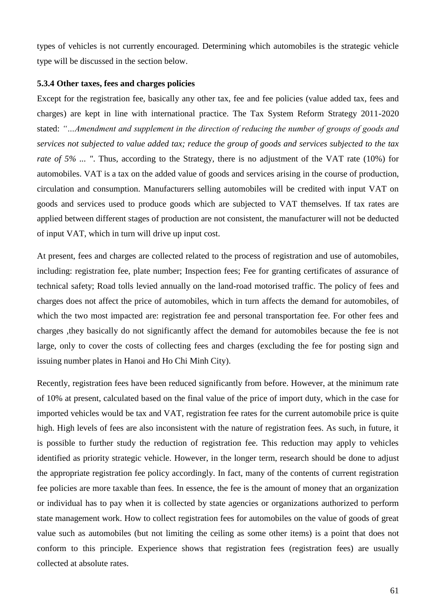types of vehicles is not currently encouraged. Determining which automobiles is the strategic vehicle type will be discussed in the section below.

### **5.3.4 Other taxes, fees and charges policies**

Except for the registration fee, basically any other tax, fee and fee policies (value added tax, fees and charges) are kept in line with international practice. The Tax System Reform Strategy 2011-2020 stated: *"…Amendment and supplement in the direction of reducing the number of groups of goods and services not subjected to value added tax; reduce the group of goods and services subjected to the tax rate of 5% ... "*. Thus, according to the Strategy, there is no adjustment of the VAT rate (10%) for automobiles. VAT is a tax on the added value of goods and services arising in the course of production, circulation and consumption. Manufacturers selling automobiles will be credited with input VAT on goods and services used to produce goods which are subjected to VAT themselves. If tax rates are applied between different stages of production are not consistent, the manufacturer will not be deducted of input VAT, which in turn will drive up input cost.

At present, fees and charges are collected related to the process of registration and use of automobiles, including: registration fee, plate number; Inspection fees; Fee for granting certificates of assurance of technical safety; Road tolls levied annually on the land-road motorised traffic. The policy of fees and charges does not affect the price of automobiles, which in turn affects the demand for automobiles, of which the two most impacted are: registration fee and personal transportation fee. For other fees and charges ,they basically do not significantly affect the demand for automobiles because the fee is not large, only to cover the costs of collecting fees and charges (excluding the fee for posting sign and issuing number plates in Hanoi and Ho Chi Minh City).

Recently, registration fees have been reduced significantly from before. However, at the minimum rate of 10% at present, calculated based on the final value of the price of import duty, which in the case for imported vehicles would be tax and VAT, registration fee rates for the current automobile price is quite high. High levels of fees are also inconsistent with the nature of registration fees. As such, in future, it is possible to further study the reduction of registration fee. This reduction may apply to vehicles identified as priority strategic vehicle. However, in the longer term, research should be done to adjust the appropriate registration fee policy accordingly. In fact, many of the contents of current registration fee policies are more taxable than fees. In essence, the fee is the amount of money that an organization or individual has to pay when it is collected by state agencies or organizations authorized to perform state management work. How to collect registration fees for automobiles on the value of goods of great value such as automobiles (but not limiting the ceiling as some other items) is a point that does not conform to this principle. Experience shows that registration fees (registration fees) are usually collected at absolute rates.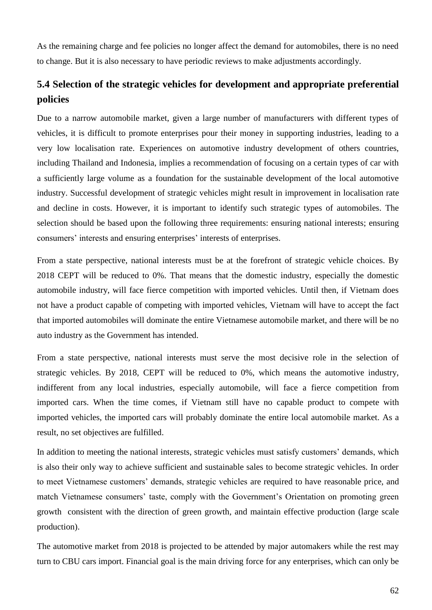As the remaining charge and fee policies no longer affect the demand for automobiles, there is no need to change. But it is also necessary to have periodic reviews to make adjustments accordingly.

# **5.4 Selection of the strategic vehicles for development and appropriate preferential policies**

Due to a narrow automobile market, given a large number of manufacturers with different types of vehicles, it is difficult to promote enterprises pour their money in supporting industries, leading to a very low localisation rate. Experiences on automotive industry development of others countries, including Thailand and Indonesia, implies a recommendation of focusing on a certain types of car with a sufficiently large volume as a foundation for the sustainable development of the local automotive industry. Successful development of strategic vehicles might result in improvement in localisation rate and decline in costs. However, it is important to identify such strategic types of automobiles. The selection should be based upon the following three requirements: ensuring national interests; ensuring consumers' interests and ensuring enterprises' interests of enterprises.

From a state perspective, national interests must be at the forefront of strategic vehicle choices. By 2018 CEPT will be reduced to 0%. That means that the domestic industry, especially the domestic automobile industry, will face fierce competition with imported vehicles. Until then, if Vietnam does not have a product capable of competing with imported vehicles, Vietnam will have to accept the fact that imported automobiles will dominate the entire Vietnamese automobile market, and there will be no auto industry as the Government has intended.

From a state perspective, national interests must serve the most decisive role in the selection of strategic vehicles. By 2018, CEPT will be reduced to 0%, which means the automotive industry, indifferent from any local industries, especially automobile, will face a fierce competition from imported cars. When the time comes, if Vietnam still have no capable product to compete with imported vehicles, the imported cars will probably dominate the entire local automobile market. As a result, no set objectives are fulfilled.

In addition to meeting the national interests, strategic vehicles must satisfy customers' demands, which is also their only way to achieve sufficient and sustainable sales to become strategic vehicles. In order to meet Vietnamese customers' demands, strategic vehicles are required to have reasonable price, and match Vietnamese consumers' taste, comply with the Government's Orientation on promoting green growth consistent with the direction of green growth, and maintain effective production (large scale production).

The automotive market from 2018 is projected to be attended by major automakers while the rest may turn to CBU cars import. Financial goal is the main driving force for any enterprises, which can only be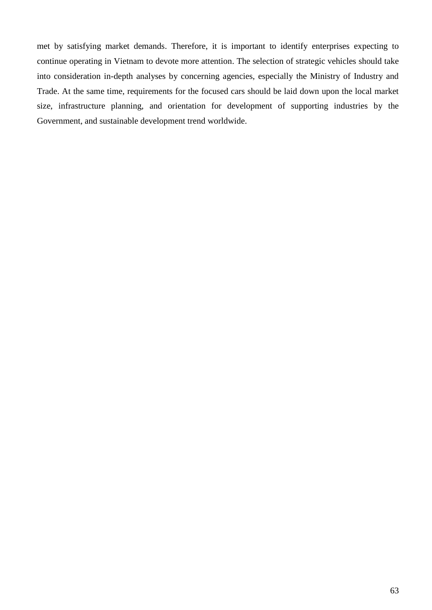met by satisfying market demands. Therefore, it is important to identify enterprises expecting to continue operating in Vietnam to devote more attention. The selection of strategic vehicles should take into consideration in-depth analyses by concerning agencies, especially the Ministry of Industry and Trade. At the same time, requirements for the focused cars should be laid down upon the local market size, infrastructure planning, and orientation for development of supporting industries by the Government, and sustainable development trend worldwide.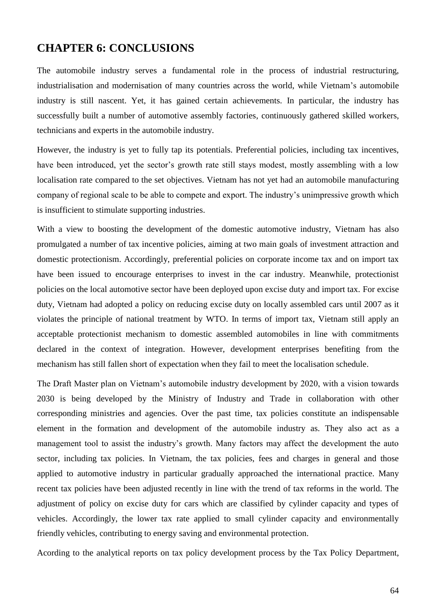## **CHAPTER 6: CONCLUSIONS**

The automobile industry serves a fundamental role in the process of industrial restructuring, industrialisation and modernisation of many countries across the world, while Vietnam's automobile industry is still nascent. Yet, it has gained certain achievements. In particular, the industry has successfully built a number of automotive assembly factories, continuously gathered skilled workers, technicians and experts in the automobile industry.

However, the industry is yet to fully tap its potentials. Preferential policies, including tax incentives, have been introduced, yet the sector's growth rate still stays modest, mostly assembling with a low localisation rate compared to the set objectives. Vietnam has not yet had an automobile manufacturing company of regional scale to be able to compete and export. The industry's unimpressive growth which is insufficient to stimulate supporting industries.

With a view to boosting the development of the domestic automotive industry, Vietnam has also promulgated a number of tax incentive policies, aiming at two main goals of investment attraction and domestic protectionism. Accordingly, preferential policies on corporate income tax and on import tax have been issued to encourage enterprises to invest in the car industry. Meanwhile, protectionist policies on the local automotive sector have been deployed upon excise duty and import tax. For excise duty, Vietnam had adopted a policy on reducing excise duty on locally assembled cars until 2007 as it violates the principle of national treatment by WTO. In terms of import tax, Vietnam still apply an acceptable protectionist mechanism to domestic assembled automobiles in line with commitments declared in the context of integration. However, development enterprises benefiting from the mechanism has still fallen short of expectation when they fail to meet the localisation schedule.

The Draft Master plan on Vietnam's automobile industry development by 2020, with a vision towards 2030 is being developed by the Ministry of Industry and Trade in collaboration with other corresponding ministries and agencies. Over the past time, tax policies constitute an indispensable element in the formation and development of the automobile industry as. They also act as a management tool to assist the industry's growth. Many factors may affect the development the auto sector, including tax policies. In Vietnam, the tax policies, fees and charges in general and those applied to automotive industry in particular gradually approached the international practice. Many recent tax policies have been adjusted recently in line with the trend of tax reforms in the world. The adjustment of policy on excise duty for cars which are classified by cylinder capacity and types of vehicles. Accordingly, the lower tax rate applied to small cylinder capacity and environmentally friendly vehicles, contributing to energy saving and environmental protection.

Acording to the analytical reports on tax policy development process by the Tax Policy Department,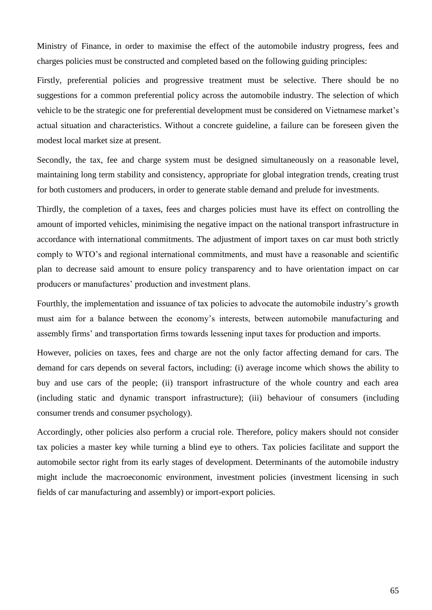Ministry of Finance, in order to maximise the effect of the automobile industry progress, fees and charges policies must be constructed and completed based on the following guiding principles:

Firstly, preferential policies and progressive treatment must be selective. There should be no suggestions for a common preferential policy across the automobile industry. The selection of which vehicle to be the strategic one for preferential development must be considered on Vietnamese market's actual situation and characteristics. Without a concrete guideline, a failure can be foreseen given the modest local market size at present.

Secondly, the tax, fee and charge system must be designed simultaneously on a reasonable level, maintaining long term stability and consistency, appropriate for global integration trends, creating trust for both customers and producers, in order to generate stable demand and prelude for investments.

Thirdly, the completion of a taxes, fees and charges policies must have its effect on controlling the amount of imported vehicles, minimising the negative impact on the national transport infrastructure in accordance with international commitments. The adjustment of import taxes on car must both strictly comply to WTO's and regional international commitments, and must have a reasonable and scientific plan to decrease said amount to ensure policy transparency and to have orientation impact on car producers or manufactures' production and investment plans.

Fourthly, the implementation and issuance of tax policies to advocate the automobile industry's growth must aim for a balance between the economy's interests, between automobile manufacturing and assembly firms' and transportation firms towards lessening input taxes for production and imports.

However, policies on taxes, fees and charge are not the only factor affecting demand for cars. The demand for cars depends on several factors, including: (i) average income which shows the ability to buy and use cars of the people; (ii) transport infrastructure of the whole country and each area (including static and dynamic transport infrastructure); (iii) behaviour of consumers (including consumer trends and consumer psychology).

Accordingly, other policies also perform a crucial role. Therefore, policy makers should not consider tax policies a master key while turning a blind eye to others. Tax policies facilitate and support the automobile sector right from its early stages of development. Determinants of the automobile industry might include the macroeconomic environment, investment policies (investment licensing in such fields of car manufacturing and assembly) or import-export policies.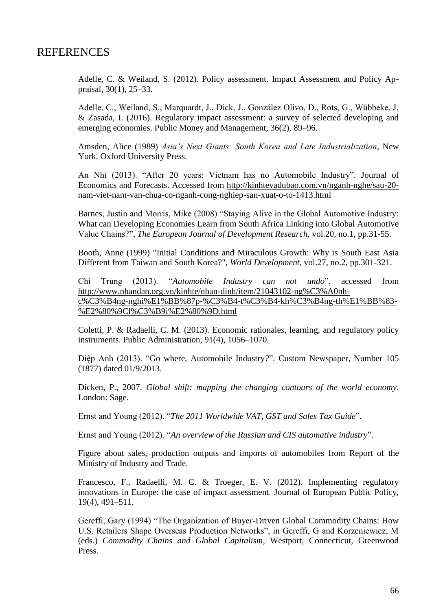## **REFERENCES**

Adelle, C. & Weiland, S. (2012). Policy assessment. Impact Assessment and Policy Appraisal, 30(1), 25–33.

Adelle, C., Weiland, S., Marquardt, J., Dick, J., González Olivo, D., Rots, G., Wübbeke, J. & Zasada, I. (2016). Regulatory impact assessment: a survey of selected developing and emerging economies. Public Money and Management, 36(2), 89–96.

Amsden, Alice (1989) *Asia's Next Giants: South Korea and Late Industrialization*, New York, Oxford University Press.

An Nhi (2013). "After 20 years: Vietnam has no Automobile Industry". Journal of Economics and Forecasts. Accessed from [http://kinhtevadubao.com.vn/nganh-nghe/sau-20](http://kinhtevadubao.com.vn/nganh-nghe/sau-20-nam-viet-nam-van-chua-co-nganh-cong-nghiep-san-xuat-o-to-1413.html) [nam-viet-nam-van-chua-co-nganh-cong-nghiep-san-xuat-o-to-1413.html](http://kinhtevadubao.com.vn/nganh-nghe/sau-20-nam-viet-nam-van-chua-co-nganh-cong-nghiep-san-xuat-o-to-1413.html)

Barnes, Justin and Morris, Mike (2008) "Staying Alive in the Global Automotive Industry: What can Developing Economies Learn from South Africa Linking into Global Automotive Value Chains?", *The European Journal of Development Research*, vol.20, no.1, pp.31-55.

Booth, Anne (1999) "Initial Conditions and Miraculous Growth: Why is South East Asia Different from Taiwan and South Korea?", *World Development*, vol.27, no.2, pp.301-321.

Chí Trung (2013). "*Automobile Industry can not undo*", accessed from [http://www.nhandan.org.vn/kinhte/nhan-dinh/item/21043102-ng%C3%A0nh](http://www.nhandan.org.vn/kinhte/nhan-dinh/item/21043102-ng%C3%A0nh-c%C3%B4ng-nghi%E1%BB%87p-%C3%B4-t%C3%B4-kh%C3%B4ng-th%E1%BB%83-%E2%80%9Cl%C3%B9i%E2%80%9D.html)[c%C3%B4ng-nghi%E1%BB%87p-%C3%B4-t%C3%B4-kh%C3%B4ng-th%E1%BB%83-](http://www.nhandan.org.vn/kinhte/nhan-dinh/item/21043102-ng%C3%A0nh-c%C3%B4ng-nghi%E1%BB%87p-%C3%B4-t%C3%B4-kh%C3%B4ng-th%E1%BB%83-%E2%80%9Cl%C3%B9i%E2%80%9D.html) [%E2%80%9Cl%C3%B9i%E2%80%9D.html](http://www.nhandan.org.vn/kinhte/nhan-dinh/item/21043102-ng%C3%A0nh-c%C3%B4ng-nghi%E1%BB%87p-%C3%B4-t%C3%B4-kh%C3%B4ng-th%E1%BB%83-%E2%80%9Cl%C3%B9i%E2%80%9D.html)

Coletti, P. & Radaelli, C. M. (2013). Economic rationales, learning, and regulatory policy instruments. Public Administration, 91(4), 1056–1070.

Diệp Anh (2013). "Go where, Automobile Industry*?*". Custom Newspaper, Number 105 (1877) dated 01/9/2013.

Dicken, P., 2007. *Global shift: mapping the changing contours of the world economy*. London: Sage.

Ernst and Young (2012). "*The 2011 Worldwide VAT, GST and Sales Tax Guide*".

Ernst and Young (2012). "*An overview of the Russian and CIS automative industry*".

Figure about sales, production outputs and imports of automobiles from Report of the Ministry of Industry and Trade.

Francesco, F., Radaelli, M. C. & Troeger, E. V. (2012). Implementing regulatory innovations in Europe: the case of impact assessment. Journal of European Public Policy, 19(4), 491–511.

Gereffi, Gary (1994) "The Organization of Buyer-Driven Global Commodity Chains: How U.S. Retailers Shape Overseas Production Networks", in Gereffi, G and Korzeniewicz, M (eds.) *Commodity Chains and Global Capitalism*, Westport, Connecticut, Greenwood Press.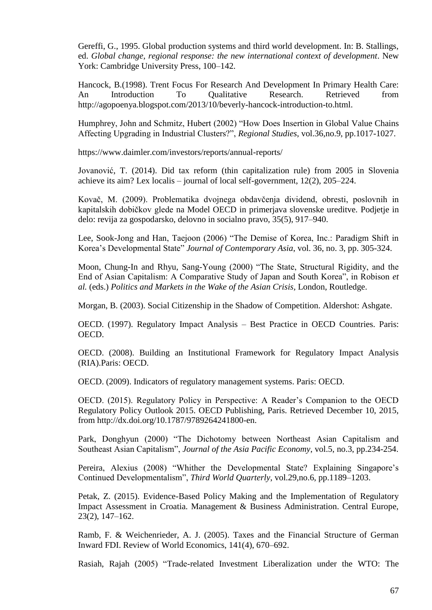Gereffi, G., 1995. Global production systems and third world development. In: B. Stallings, ed. *Global change, regional response: the new international context of development*. New York: Cambridge University Press, 100–142.

Hancock, B.(1998). Trent Focus For Research And Development In Primary Health Care: An Introduction To Qualitative Research. Retrieved from http://agopoenya.blogspot.com/2013/10/beverly-hancock-introduction-to.html.

Humphrey, John and Schmitz, Hubert (2002) "How Does Insertion in Global Value Chains Affecting Upgrading in Industrial Clusters?", *Regional Studies*, vol.36,no.9, pp.1017-1027.

https://www.daimler.com/investors/reports/annual-reports/

Jovanović, T. (2014). Did tax reform (thin capitalization rule) from 2005 in Slovenia achieve its aim? Lex localis – journal of local self-government,  $12(2)$ ,  $205-224$ .

Kovač, M. (2009). Problematika dvojnega obdavčenja dividend, obresti, poslovnih in kapitalskih dobičkov glede na Model OECD in primerjava slovenske ureditve. Podjetje in delo: revija za gospodarsko, delovno in socialno pravo, 35(5), 917–940.

Lee, Sook-Jong and Han, Taejoon (2006) "The Demise of Korea, Inc.: Paradigm Shift in Korea's Developmental State" *Journal of Contemporary Asia*, vol. 36, no. 3, pp. 305-324.

Moon, Chung-In and Rhyu, Sang-Young (2000) "The State, Structural Rigidity, and the End of Asian Capitalism: A Comparative Study of Japan and South Korea", in Robison *et al.* (eds.) *Politics and Markets in the Wake of the Asian Crisis,* London, Routledge.

Morgan, B. (2003). Social Citizenship in the Shadow of Competition. Aldershot: Ashgate.

OECD. (1997). Regulatory Impact Analysis – Best Practice in OECD Countries. Paris: OECD.

OECD. (2008). Building an Institutional Framework for Regulatory Impact Analysis (RIA).Paris: OECD.

OECD. (2009). Indicators of regulatory management systems. Paris: OECD.

OECD. (2015). Regulatory Policy in Perspective: A Reader's Companion to the OECD Regulatory Policy Outlook 2015. OECD Publishing, Paris. Retrieved December 10, 2015, from http://dx.doi.org/10.1787/9789264241800-en.

Park, Donghyun (2000) "The Dichotomy between Northeast Asian Capitalism and Southeast Asian Capitalism", *Journal of the Asia Pacific Economy*, vol.5, no.3, pp.234-254.

Pereira, Alexius (2008) "Whither the Developmental State? Explaining Singapore's Continued Developmentalism", *Third World Quarterly*, vol.29,no.6, pp.1189–1203.

Petak, Z. (2015). Evidence-Based Policy Making and the Implementation of Regulatory Impact Assessment in Croatia. Management & Business Administration. Central Europe, 23(2), 147–162.

Ramb, F. & Weichenrieder, A. J. (2005). Taxes and the Financial Structure of German Inward FDI. Review of World Economics, 141(4), 670–692.

Rasiah, Rajah (2005) "Trade-related Investment Liberalization under the WTO: The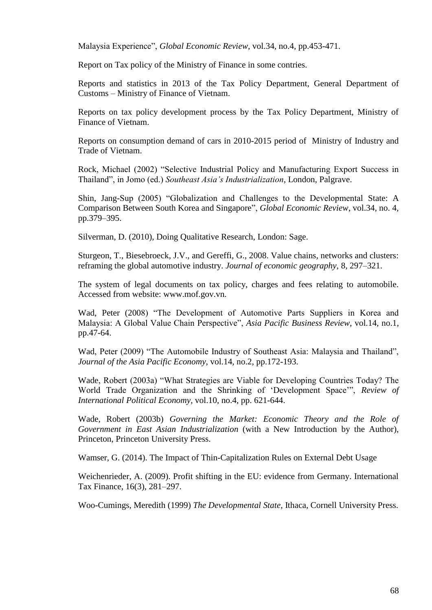Malaysia Experience", *Global Economic Review*, vol.34, no.4, pp.453-471.

Report on Tax policy of the Ministry of Finance in some contries.

Reports and statistics in 2013 of the Tax Policy Department, General Department of Customs – Ministry of Finance of Vietnam.

Reports on tax policy development process by the Tax Policy Department, Ministry of Finance of Vietnam.

Reports on consumption demand of cars in 2010-2015 period of Ministry of Industry and Trade of Vietnam.

Rock, Michael (2002) "Selective Industrial Policy and Manufacturing Export Success in Thailand", in Jomo (ed.) *Southeast Asia's Industrialization*, London, Palgrave.

Shin, Jang-Sup (2005) "Globalization and Challenges to the Developmental State: A Comparison Between South Korea and Singapore", *Global Economic Review*, vol.34, no. 4, pp.379–395.

Silverman, D. (2010), Doing Qualitative Research, London: Sage.

Sturgeon, T., Biesebroeck, J.V., and Gereffi, G., 2008. Value chains, networks and clusters: reframing the global automotive industry. *Journal of economic geography*, 8, 297–321.

The system of legal documents on tax policy, charges and fees relating to automobile. Accessed from website: [www.mof.gov.vn.](http://www.mof.gov.vn/)

Wad, Peter (2008) "The Development of Automotive Parts Suppliers in Korea and Malaysia: A Global Value Chain Perspective", *Asia Pacific Business Review*, vol.14, no.1, pp.47-64.

Wad, Peter (2009) "The Automobile Industry of Southeast Asia: Malaysia and Thailand", *Journal of the Asia Pacific Economy*, vol.14, no.2, pp.172-193.

Wade, Robert (2003a) "What Strategies are Viable for Developing Countries Today? The World Trade Organization and the Shrinking of 'Development Space'", *Review of International Political Economy*, vol.10, no.4, pp. 621-644.

Wade, Robert (2003b) *Governing the Market: Economic Theory and the Role of Government in East Asian Industrialization* (with a New Introduction by the Author), Princeton, Princeton University Press.

Wamser, G. (2014). The Impact of Thin-Capitalization Rules on External Debt Usage

Weichenrieder, A. (2009). Profit shifting in the EU: evidence from Germany. International Tax Finance, 16(3), 281–297.

Woo-Cumings, Meredith (1999) *The Developmental State*, Ithaca, Cornell University Press.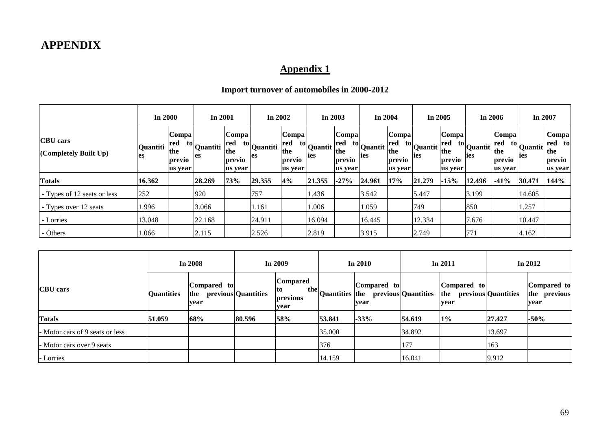# **APPENDIX**

# **Appendix 1**

# **Import turnover of automobiles in 2000-2012**

|                                          | <b>In 2000</b> |                                          | In 2001                       |                                                    | In $2002$                     |                                           | In 2003                                                          |                                          | In $2004$                                    |                                          | In $2005$                      |                                                    | In $2006$                     |                                          | In 2007                      |                                             |
|------------------------------------------|----------------|------------------------------------------|-------------------------------|----------------------------------------------------|-------------------------------|-------------------------------------------|------------------------------------------------------------------|------------------------------------------|----------------------------------------------|------------------------------------------|--------------------------------|----------------------------------------------------|-------------------------------|------------------------------------------|------------------------------|---------------------------------------------|
| <b>CBU</b> cars<br>(Completely Built Up) | Quantiti<br>es | Compa<br>red<br>the<br>previo<br>us year | <sup>to</sup> Quantiti<br>les | $\lfloor$ Compa<br>red<br>the<br>previo<br>us year | <sup>to</sup> Quantiti<br>les | Compa <br>red<br>the<br>previo<br>us year | $\begin{array}{c c} \hline \text{to} \end{array}$ Quantit<br>ies | Compa<br>red<br>the<br>previo<br>us year | $\mathbf{u}$ to Quantit $\mathbf{u}$<br>lies | Compa<br>red<br>the<br>previo<br>us year | $\mathbf{u}$ to Quantit<br>ies | $\lfloor$ Compa<br>red<br>the<br>previo<br>us year | $\frac{10}{2}$ Quantit<br>ies | Compa<br>red<br>the<br>previo<br>us year | <sup>to</sup> Quantit<br>ies | Compa<br>red to<br>the<br>previo<br>us year |
| <b>Totals</b>                            | 16.362         |                                          | 28.269                        | 73%                                                | 29.355                        | 4%                                        | 21.355                                                           | $-27%$                                   | 24.961                                       | 17%                                      | 21.279                         | $-15%$                                             | 12.496                        | $-41%$                                   | 30.471                       | 144%                                        |
| - Types of 12 seats or less              | 252            |                                          | 920                           |                                                    | 757                           |                                           | 1.436                                                            |                                          | 3.542                                        |                                          | 5.447                          |                                                    | 3.199                         |                                          | 14.605                       |                                             |
| - Types over 12 seats                    | 1.996          |                                          | 3.066                         |                                                    | 1.161                         |                                           | 1.006                                                            |                                          | 1.059                                        |                                          | 749                            |                                                    | 850                           |                                          | 1.257                        |                                             |
| - Lorries                                | 13.048         |                                          | 22.168                        |                                                    | 24.911                        |                                           | 16.094                                                           |                                          | 16.445                                       |                                          | 12.334                         |                                                    | 7.676                         |                                          | 10.447                       |                                             |
| - Others                                 | 1.066          |                                          | 2.115                         |                                                    | 2.526                         |                                           | 2.819                                                            |                                          | 3.915                                        |                                          | 2.749                          |                                                    | 771                           |                                          | 4.162                        |                                             |

|                                 |                                                 | In 2008 |                     | In 2009                                           |                | In 2010             |                     | In $2011$                  | In $2012$           |                                     |  |
|---------------------------------|-------------------------------------------------|---------|---------------------|---------------------------------------------------|----------------|---------------------|---------------------|----------------------------|---------------------|-------------------------------------|--|
| <b>CBU</b> cars                 | Compared to<br><b>Quantities</b><br>the<br>vear |         | previous Quantities | <b>Compared</b><br>the<br> to<br>previous<br>vear | Quantities the | Compared to<br>vear | previous Quantities | Compared to<br>the<br>vear | previous Quantities | Compared to<br>the previous<br>vear |  |
| <b>Totals</b>                   | 51.059                                          | 68%     | 80.596              | 58%                                               | 53.841         | $-33%$              | 54.619              | $1\%$                      | 27.427              | $-50%$                              |  |
| - Motor cars of 9 seats or less |                                                 |         |                     |                                                   | 35.000         |                     | 34.892              |                            | 13.697              |                                     |  |
| - Motor cars over 9 seats       |                                                 |         |                     |                                                   | 376            |                     | 177                 |                            | 163                 |                                     |  |
| - Lorries                       |                                                 |         |                     |                                                   | 14.159         |                     | 16.041              |                            | 9.912               |                                     |  |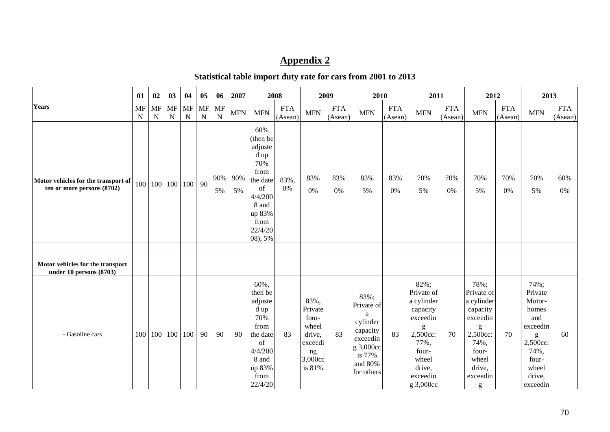# **Appendix 2**

## **Statistical table import duty rate for cars from 2001 to 2013**

|                                                                   | 01                | 02                                   | 03                | 04                | 05                | 06             | 2007       |                                                                                                                                 | 2008                  |                                                                                   | 2009                  | 2010                                                                                                          |                       | 2011                                                                                                                                   |                       | 2012                                                                                                                           |                       | 2013                                                                                                                                                                                                                                                                                                                                                                                                                                                                                                                                                |                       |
|-------------------------------------------------------------------|-------------------|--------------------------------------|-------------------|-------------------|-------------------|----------------|------------|---------------------------------------------------------------------------------------------------------------------------------|-----------------------|-----------------------------------------------------------------------------------|-----------------------|---------------------------------------------------------------------------------------------------------------|-----------------------|----------------------------------------------------------------------------------------------------------------------------------------|-----------------------|--------------------------------------------------------------------------------------------------------------------------------|-----------------------|-----------------------------------------------------------------------------------------------------------------------------------------------------------------------------------------------------------------------------------------------------------------------------------------------------------------------------------------------------------------------------------------------------------------------------------------------------------------------------------------------------------------------------------------------------|-----------------------|
| <b>Years</b>                                                      | MF<br>$\mathbf N$ | $\ensuremath{\text{MF}}\xspace$<br>N | MF<br>$\mathbf N$ | MF<br>$\mathbf N$ | MF<br>$\mathbf N$ | <b>MF</b><br>N | <b>MFN</b> | <b>MFN</b>                                                                                                                      | <b>FTA</b><br>(Asean) | <b>MFN</b>                                                                        | <b>FTA</b><br>(Asean) | <b>MFN</b>                                                                                                    | <b>FTA</b><br>(Asean) | <b>MFN</b>                                                                                                                             | <b>FTA</b><br>(Asean) | <b>MFN</b>                                                                                                                     | <b>FTA</b><br>(Asean) | <b>MFN</b>                                                                                                                                                                                                                                                                                                                                                                                                                                                                                                                                          | <b>FTA</b><br>(Asean) |
| Motor vehicles for the transport of<br>ten or more persons (8702) |                   | 100 100                              |                   | 100 100           | 90                | 90%<br>5%      | 90%<br>5%  | 60%<br>(then be<br>adjuste<br>d up<br>70%<br>from<br>the date<br>of<br>4/4/200<br>8 and<br>up 83%<br>from<br>22/4/20<br>08), 5% | 83%,<br>$0\%$         | 83%<br>0%                                                                         | 83%<br>0%             | 83%<br>5%                                                                                                     | 83%<br>0%             | 70%<br>5%                                                                                                                              | 70%<br>0%             | 70%<br>5%                                                                                                                      | 70%<br>0%             | 70%<br>5%                                                                                                                                                                                                                                                                                                                                                                                                                                                                                                                                           | 60%<br>0%             |
|                                                                   |                   |                                      |                   |                   |                   |                |            |                                                                                                                                 |                       |                                                                                   |                       |                                                                                                               |                       |                                                                                                                                        |                       |                                                                                                                                |                       |                                                                                                                                                                                                                                                                                                                                                                                                                                                                                                                                                     |                       |
| Motor vehicles for the transport<br>under 10 persons (8703)       |                   |                                      |                   |                   |                   |                |            |                                                                                                                                 |                       |                                                                                   |                       |                                                                                                               |                       |                                                                                                                                        |                       |                                                                                                                                |                       |                                                                                                                                                                                                                                                                                                                                                                                                                                                                                                                                                     |                       |
| - Gasoline cars                                                   |                   | 100 100                              |                   | 100 100           | 90                | 90             | 90         | 60%,<br>then be<br>adjuste<br>d up<br>70%<br>from<br>the date<br>of<br>4/4/200<br>8 and<br>up 83%<br>from<br>22/4/20            | 83                    | 83%,<br>Private<br>four-<br>wheel<br>drive.<br>exceedi<br>ng<br>3,000cc<br>is 81% | 83                    | 83%;<br>Private of<br>a<br>cylinder<br>capacity<br>exceedin<br>g 3,000cc<br>is $77%$<br>and 80%<br>for others | 83                    | 82%;<br>Private of<br>a cylinder<br>capacity<br>exceedin<br>g<br>2,500cc:<br>77%,<br>four-<br>wheel<br>drive,<br>exceedin<br>g 3,000cc | 70                    | 78%;<br>Private of<br>a cylinder<br>capacity<br>exceedin<br>g<br>2,500cc:<br>74%,<br>four-<br>wheel<br>drive,<br>exceedin<br>g | 70                    | 74%;<br>Private<br>Motor-<br>homes<br>and<br>exceedin<br>$\mathbf{g}% _{T}=\mathbf{g}_{T}=\mathbf{g}_{T}=\mathbf{g}_{T}=\mathbf{g}_{T}=\mathbf{g}_{T}=\mathbf{g}_{T}=\mathbf{g}_{T}=\mathbf{g}_{T}=\mathbf{g}_{T}=\mathbf{g}_{T}=\mathbf{g}_{T}=\mathbf{g}_{T}=\mathbf{g}_{T}=\mathbf{g}_{T}=\mathbf{g}_{T}=\mathbf{g}_{T}=\mathbf{g}_{T}=\mathbf{g}_{T}=\mathbf{g}_{T}=\mathbf{g}_{T}=\mathbf{g}_{T}=\mathbf{g}_{T}=\mathbf{g}_{T}=\mathbf{g}_{T}=\mathbf{g}_{T}=\mathbf{g}_{T}=\math$<br>2,500cc:<br>74%,<br>four-<br>wheel<br>drive,<br>exceedin | 60                    |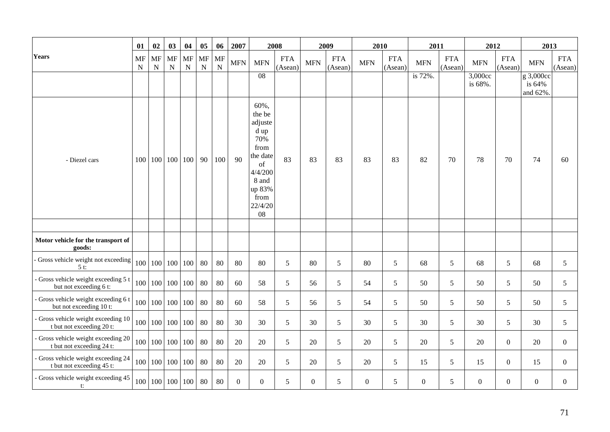|                                                                  | 01      | 02             | 03                      | 04                | 05                       | 06                     | 2007           |                                                                                                                           | 2008                  |              | 2009                  | 2010           |                       | 2011           |                       | 2012               |                       | 2013                            |                       |
|------------------------------------------------------------------|---------|----------------|-------------------------|-------------------|--------------------------|------------------------|----------------|---------------------------------------------------------------------------------------------------------------------------|-----------------------|--------------|-----------------------|----------------|-----------------------|----------------|-----------------------|--------------------|-----------------------|---------------------------------|-----------------------|
| <b>Years</b>                                                     | MF<br>N | <b>MF</b><br>N | MF<br>${\bf N}$         | MF<br>$\mathbf N$ | <b>MF</b><br>$\mathbf N$ | <b>MF</b><br>${\bf N}$ | <b>MFN</b>     | <b>MFN</b>                                                                                                                | <b>FTA</b><br>(Asean) | <b>MFN</b>   | <b>FTA</b><br>(Asean) | <b>MFN</b>     | <b>FTA</b><br>(Asean) | <b>MFN</b>     | <b>FTA</b><br>(Asean) | <b>MFN</b>         | <b>FTA</b><br>(Asean) | <b>MFN</b>                      | <b>FTA</b><br>(Asean) |
|                                                                  |         |                |                         |                   |                          |                        |                | 08                                                                                                                        |                       |              |                       |                |                       | is 72%.        |                       | 3,000cc<br>is 68%. |                       | g 3,000cc<br>is 64%<br>and 62%. |                       |
| - Diezel cars                                                    | 100     |                | 100 100 100             |                   | 90                       | 100                    | 90             | 60%,<br>the be<br>adjuste<br>d up<br>70%<br>from<br>the date<br>of<br>4/4/200<br>8 and<br>up 83%<br>from<br>22/4/20<br>08 | 83                    | 83           | 83                    | 83             | 83                    | 82             | 70                    | 78                 | 70                    | 74                              | 60                    |
|                                                                  |         |                |                         |                   |                          |                        |                |                                                                                                                           |                       |              |                       |                |                       |                |                       |                    |                       |                                 |                       |
| Motor vehicle for the transport of<br>goods:                     |         |                |                         |                   |                          |                        |                |                                                                                                                           |                       |              |                       |                |                       |                |                       |                    |                       |                                 |                       |
| Gross vehicle weight not exceeding<br>$5t$ :                     | 100     |                | 100 100 100             |                   | 80                       | 80                     | 80             | 80                                                                                                                        | 5                     | 80           | 5                     | 80             | 5                     | 68             | 5                     | 68                 | 5                     | 68                              | $5\overline{)}$       |
| Gross vehicle weight exceeding 5 t<br>but not exceeding 6 t:     | 100     |                | 100 100 100             |                   | 80                       | 80                     | 60             | 58                                                                                                                        | $5\overline{)}$       | 56           | $5\overline{)}$       | 54             | 5                     | 50             | 5                     | 50                 | $5\overline{)}$       | 50                              | 5 <sup>5</sup>        |
| - Gross vehicle weight exceeding 6 t<br>but not exceeding 10 t:  | 100     | 100            |                         | 100 100           | 80                       | 80                     | 60             | 58                                                                                                                        | $5\overline{)}$       | 56           | $5\overline{)}$       | 54             | $5\overline{)}$       | 50             | 5                     | 50                 | $5\overline{)}$       | 50                              | $5\overline{)}$       |
| - Gross vehicle weight exceeding 10<br>t but not exceeding 20 t: | 100     | 100            |                         | 100 100           | 80                       | 80                     | 30             | 30                                                                                                                        | 5 <sup>5</sup>        | 30           | 5 <sup>5</sup>        | 30             | 5                     | 30             | 5                     | 30                 | 5                     | 30                              | 5 <sup>5</sup>        |
| - Gross vehicle weight exceeding 20<br>t but not exceeding 24 t: | 100     | 100            |                         | 100 100           | 80                       | 80                     | 20             | 20                                                                                                                        | 5 <sup>5</sup>        | 20           | 5 <sup>5</sup>        | 20             | 5                     | 20             | 5                     | 20                 | $\overline{0}$        | 20                              | $\Omega$              |
| Gross vehicle weight exceeding 24<br>t but not exceeding 45 t:   | 100     | 100            |                         | 100 100           | 80                       | 80                     | 20             | 20                                                                                                                        | 5 <sup>5</sup>        | 20           | 5 <sup>5</sup>        | 20             | 5                     | 15             | 5                     | 15                 | $\overline{0}$        | 15                              | $\Omega$              |
| - Gross vehicle weight exceeding 45<br>t:                        | 100     |                | $100 \mid 100 \mid 100$ |                   | 80                       | 80                     | $\overline{0}$ | $\Omega$                                                                                                                  | 5 <sup>5</sup>        | $\mathbf{0}$ | $5\overline{)}$       | $\overline{0}$ | 5                     | $\overline{0}$ | 5                     | $\overline{0}$     | $\boldsymbol{0}$      | $\overline{0}$                  | $\Omega$              |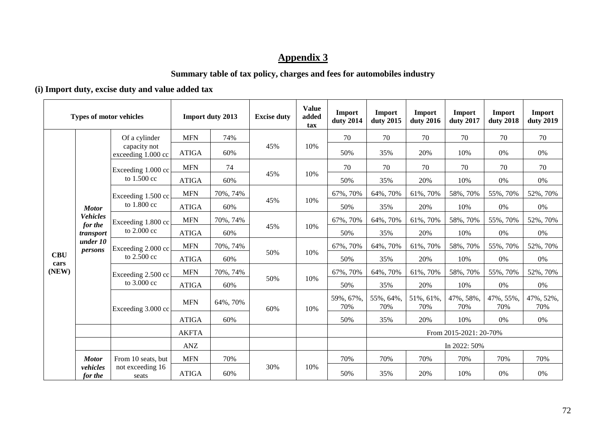# **Appendix 3**

## **Summary table of tax policy, charges and fees for automobiles industry**

## **(i) Import duty, excise duty and value added tax**

| <b>Types of motor vehicles</b> |                            |                                     |              | <b>Import duty 2013</b> | <b>Excise duty</b> | <b>Value</b><br>added<br>tax | Import<br>duty 2014 | Import<br>duty 2015 | Import<br>duty 2016    | <b>Import</b><br>duty 2017 | <b>Import</b><br>duty 2018 | Import<br>duty 2019 |  |
|--------------------------------|----------------------------|-------------------------------------|--------------|-------------------------|--------------------|------------------------------|---------------------|---------------------|------------------------|----------------------------|----------------------------|---------------------|--|
| <b>CBU</b><br>cars<br>(NEW)    |                            | Of a cylinder                       | <b>MFN</b>   | 74%                     |                    | 10%                          | 70                  | 70                  | 70                     | 70                         | 70                         | 70                  |  |
|                                |                            | capacity not<br>exceeding 1.000 cc  | <b>ATIGA</b> | 60%                     | 45%                |                              | 50%                 | 35%                 | 20%                    | 10%                        | 0%                         | 0%                  |  |
|                                |                            | Exceeding 1.000 cc<br>to 1.500 cc   | <b>MFN</b>   | 74                      |                    | 10%                          | 70                  | 70                  | 70                     | 70                         | 70                         | 70                  |  |
|                                |                            |                                     | <b>ATIGA</b> | 60%                     | 45%                |                              | 50%                 | 35%                 | 20%                    | 10%                        | 0%                         | 0%                  |  |
|                                |                            | Exceeding 1.500 cc<br>to 1.800 cc   | <b>MFN</b>   | 70%, 74%                | 45%                | 10%                          | 67%, 70%            | 64%, 70%            | 61%, 70%               | 58%, 70%                   | 55%, 70%                   | 52%, 70%            |  |
|                                | <b>Motor</b>               |                                     | <b>ATIGA</b> | 60%                     |                    |                              | 50%                 | 35%                 | 20%                    | 10%                        | 0%                         | 0%                  |  |
|                                | <b>Vehicles</b><br>for the | Exceeding 1.800 cc<br>to 2.000 cc   | <b>MFN</b>   | 70%, 74%                | 45%                | 10%                          | 67%, 70%            | 64%, 70%            | 61%, 70%               | 58%, 70%                   | 55%, 70%                   | 52%, 70%            |  |
|                                | transport                  |                                     | <b>ATIGA</b> | 60%                     |                    |                              | 50%                 | 35%                 | 20%                    | 10%                        | 0%                         | 0%                  |  |
|                                | under 10<br>persons        | Exceeding 2.000 cc<br>to $2.500$ cc | <b>MFN</b>   | 70%, 74%                | 50%                | 10%                          | 67%, 70%            | 64%, 70%            | 61%, 70%               | 58%, 70%                   | 55%, 70%                   | 52%, 70%            |  |
|                                |                            |                                     | <b>ATIGA</b> | 60%                     |                    |                              | 50%                 | 35%                 | 20%                    | 10%                        | 0%                         | 0%                  |  |
|                                |                            | Exceeding 2.500 cc<br>to $3.000$ cc | <b>MFN</b>   | 70%, 74%                | 50%                | 10%                          | 67%, 70%            | 64%, 70%            | 61%, 70%               | 58%, 70%                   | 55%, 70%                   | 52%, 70%            |  |
|                                |                            |                                     | <b>ATIGA</b> | 60%                     |                    |                              | 50%                 | 35%                 | 20%                    | 10%                        | 0%                         | 0%                  |  |
|                                |                            | Exceeding 3.000 cc                  | <b>MFN</b>   | 64%, 70%                | 60%                | 10%                          | 59%, 67%,<br>70%    | 55%, 64%,<br>70%    | 51%, 61%,<br>70%       | 47%, 58%,<br>70%           | 47%, 55%,<br>70%           | 47%, 52%,<br>70%    |  |
|                                |                            |                                     | <b>ATIGA</b> | 60%                     |                    |                              | 50%                 | 35%                 | 20%                    | 10%                        | 0%                         | 0%                  |  |
|                                |                            |                                     | <b>AKFTA</b> |                         |                    |                              |                     |                     | From 2015-2021: 20-70% |                            |                            |                     |  |
|                                |                            |                                     | ANZ          |                         |                    |                              |                     | In 2022: 50%        |                        |                            |                            |                     |  |
|                                | <b>Motor</b>               | From 10 seats, but                  | <b>MFN</b>   | 70%                     |                    | 10%                          | 70%                 | 70%                 | 70%                    | 70%                        | 70%                        | 70%                 |  |
|                                | vehicles<br>for the        | not exceeding 16<br>seats           | <b>ATIGA</b> | 60%                     | 30%                |                              | 50%                 | 35%                 | 20%                    | 10%                        | 0%                         | 0%                  |  |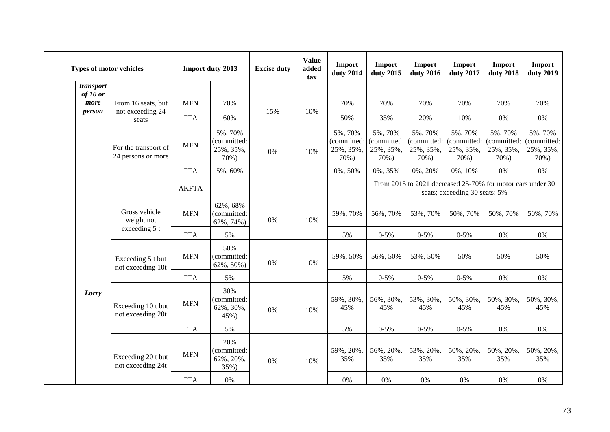|  |                                         | <b>Types of motor vehicles</b>                  |              | <b>Import duty 2013</b>                     | <b>Excise duty</b> | <b>Value</b><br>added<br>tax | Import<br>duty 2014                         | Import<br>duty 2015                         | Import<br>duty 2016                         | Import<br>duty 2017                         | Import<br>duty 2018                                        | Import<br>duty 2019                         |
|--|-----------------------------------------|-------------------------------------------------|--------------|---------------------------------------------|--------------------|------------------------------|---------------------------------------------|---------------------------------------------|---------------------------------------------|---------------------------------------------|------------------------------------------------------------|---------------------------------------------|
|  | transport<br>of 10 or<br>more<br>person |                                                 |              |                                             |                    |                              |                                             |                                             |                                             |                                             |                                                            |                                             |
|  |                                         | From 16 seats, but<br>not exceeding 24<br>seats | <b>MFN</b>   | 70%                                         |                    |                              | 70%                                         | 70%                                         | 70%                                         | 70%                                         | 70%                                                        | 70%                                         |
|  |                                         |                                                 | <b>FTA</b>   | 60%                                         | 15%                | 10%                          | 50%                                         | 35%                                         | 20%                                         | 10%                                         | 0%                                                         | $0\%$                                       |
|  |                                         | For the transport of<br>24 persons or more      | <b>MFN</b>   | 5%, 70%<br>(committed:<br>25%, 35%,<br>70%) | 0%                 | 10%                          | 5%, 70%<br>(committed:<br>25%, 35%,<br>70%) | 5%, 70%<br>(committed:<br>25%, 35%,<br>70%) | 5%, 70%<br>(committed:<br>25%, 35%,<br>70%) | 5%, 70%<br>(committed:<br>25%, 35%,<br>70%) | 5%, 70%<br>(committed:<br>25%, 35%,<br>70%)                | 5%, 70%<br>(committed:<br>25%, 35%,<br>70%) |
|  |                                         |                                                 | <b>FTA</b>   | 5%, 60%                                     |                    |                              | 0%, 50%                                     | 0%, 35%                                     | 0%, 20%                                     | 0%, 10%                                     | 0%                                                         | 0%                                          |
|  |                                         |                                                 | <b>AKFTA</b> |                                             |                    |                              |                                             |                                             |                                             | seats; exceeding 30 seats: 5%               | From 2015 to 2021 decreased 25-70% for motor cars under 30 |                                             |
|  |                                         | Gross vehicle<br>weight not                     | <b>MFN</b>   | 62%, 68%<br>(committed:<br>62%, 74%)        | 0%                 | 10%                          | 59%, 70%                                    | 56%, 70%                                    | 53%, 70%                                    | 50%, 70%                                    | 50%, 70%                                                   | 50%, 70%                                    |
|  |                                         | exceeding 5 t                                   | <b>FTA</b>   | 5%                                          |                    |                              | 5%                                          | $0 - 5%$                                    | $0 - 5\%$                                   | $0 - 5\%$                                   | 0%                                                         | 0%                                          |
|  |                                         | Exceeding 5 t but<br>not exceeding 10t          | <b>MFN</b>   | 50%<br>(committed:<br>62%, 50%)             | 0%                 | 10%                          | 59%, 50%                                    | 56%, 50%                                    | 53%, 50%                                    | 50%                                         | 50%                                                        | 50%                                         |
|  |                                         |                                                 | <b>FTA</b>   | 5%                                          |                    |                              | 5%                                          | $0 - 5\%$                                   | $0 - 5\%$                                   | $0 - 5\%$                                   | $0\%$                                                      | 0%                                          |
|  | Lorry                                   | Exceeding 10 t but<br>not exceeding 20t         | <b>MFN</b>   | 30%<br>(committed:<br>62%, 30%,<br>45%)     | 0%                 | 10%                          | 59%, 30%,<br>45%                            | 56%, 30%,<br>45%                            | 53%, 30%,<br>45%                            | 50%, 30%,<br>45%                            | 50%, 30%,<br>45%                                           | 50%, 30%,<br>45%                            |
|  |                                         |                                                 | <b>FTA</b>   | 5%                                          |                    |                              | 5%                                          | $0 - 5%$                                    | $0 - 5%$                                    | $0 - 5\%$                                   | 0%                                                         | 0%                                          |
|  |                                         | Exceeding 20 t but<br>not exceeding 24t         | <b>MFN</b>   | 20%<br>(committed:<br>62%, 20%,<br>35%)     | 0%                 | 10%                          | 59%, 20%,<br>35%                            | 56%, 20%,<br>35%                            | 53%, 20%,<br>35%                            | 50%, 20%,<br>35%                            | 50%, 20%,<br>35%                                           | 50%, 20%,<br>35%                            |
|  |                                         |                                                 | <b>FTA</b>   | 0%                                          |                    |                              | 0%                                          | 0%                                          | 0%                                          | $0\%$                                       | 0%                                                         | 0%                                          |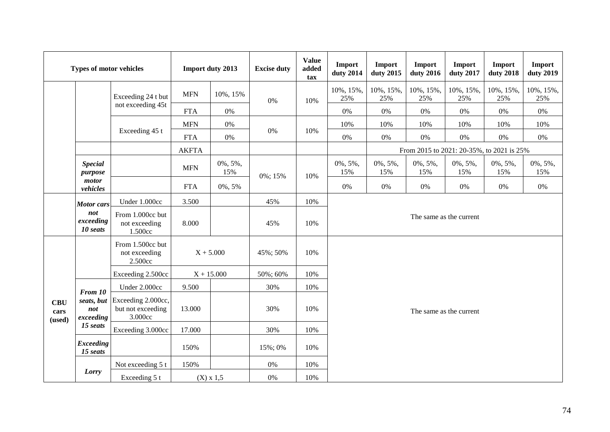| <b>Types of motor vehicles</b> |                                                   |                                                    | <b>Import duty 2013</b> |                    | <b>Excise duty</b> | <b>Value</b><br>added<br>tax | <b>Import</b><br>duty 2014 | Import<br>duty 2015 | Import<br>duty 2016 | <b>Import</b><br>duty 2017 | <b>Import</b><br>duty 2018                | <b>Import</b><br>duty 2019 |  |
|--------------------------------|---------------------------------------------------|----------------------------------------------------|-------------------------|--------------------|--------------------|------------------------------|----------------------------|---------------------|---------------------|----------------------------|-------------------------------------------|----------------------------|--|
|                                |                                                   | Exceeding 24 t but                                 | <b>MFN</b>              | 10%, 15%           | 0%                 | 10%                          | 10%, 15%,<br>25%           | 10%, 15%,<br>25%    | 10%, 15%,<br>25%    | 10%, 15%,<br>25%           | 10%, 15%,<br>25%                          | 10%, 15%,<br>25%           |  |
|                                |                                                   | not exceeding 45t                                  | <b>FTA</b>              | $0\%$              |                    |                              | $0\%$                      | $0\%$               | $0\%$               | $0\%$                      | 0%                                        | $0\%$                      |  |
|                                |                                                   |                                                    | <b>MFN</b>              | $0\%$              |                    |                              | 10%                        | 10%                 | 10%                 | 10%                        | 10%                                       | 10%                        |  |
|                                |                                                   | Exceeding 45 t                                     | <b>FTA</b>              | $0\%$              | $0\%$              | 10%                          | 0%                         | $0\%$               | $0\%$               | $0\%$                      | 0%                                        | $0\%$                      |  |
|                                |                                                   |                                                    | <b>AKFTA</b>            |                    |                    |                              |                            |                     |                     |                            | From 2015 to 2021: 20-35%, to 2021 is 25% |                            |  |
|                                | <b>Special</b><br>purpose<br>motor<br>vehicles    |                                                    | <b>MFN</b>              | $0\%, 5\%,$<br>15% | 0%; 15%            | 10%                          | $0\%, 5\%,$<br>15%         | $0\%, 5\%,$<br>15%  | $0\%, 5\%,$<br>15%  | $0\%, 5\%,$<br>15%         | $0\%, 5\%,$<br>15%                        | $0\%, 5\%,$<br>15%         |  |
|                                |                                                   |                                                    | <b>FTA</b>              | 0%, 5%             |                    |                              | 0%                         | 0%                  | $0\%$               | 0%                         | 0%                                        | 0%                         |  |
|                                | <b>Motor</b> cars<br>not<br>exceeding<br>10 seats | Under 1.000cc                                      | 3.500                   |                    | 45%                | 10%                          |                            |                     |                     |                            |                                           |                            |  |
|                                |                                                   | From 1.000cc but<br>not exceeding<br>1.500cc       | 8.000                   |                    | 45%                | 10%                          | The same as the current    |                     |                     |                            |                                           |                            |  |
|                                |                                                   | From 1.500cc but<br>not exceeding<br>2.500cc       | $X + 5.000$             |                    | 45%; 50%           | 10%                          |                            |                     |                     |                            |                                           |                            |  |
|                                |                                                   | Exceeding 2.500cc                                  | $X + 15.000$            |                    | 50%; 60%           | 10%                          |                            |                     |                     |                            |                                           |                            |  |
|                                | From 10<br>seats, but<br>not<br>exceeding         | Under 2.000cc                                      | 9.500                   |                    | 30%                | 10%                          | The same as the current    |                     |                     |                            |                                           |                            |  |
| <b>CBU</b><br>cars<br>(used)   |                                                   | Exceeding 2.000cc,<br>but not exceeding<br>3.000cc | 13.000                  |                    | 30%                | 10%                          |                            |                     |                     |                            |                                           |                            |  |
|                                | 15 seats                                          | Exceeding 3.000cc                                  | 17.000                  |                    | 30%                | 10%                          |                            |                     |                     |                            |                                           |                            |  |
|                                | <b>Exceeding</b><br>15 seats                      |                                                    | 150%                    |                    | 15%; 0%            | 10%                          |                            |                     |                     |                            |                                           |                            |  |
|                                | Lorry                                             | Not exceeding 5 t                                  | 150%                    |                    | 0%                 | 10%                          |                            |                     |                     |                            |                                           |                            |  |
|                                |                                                   | Exceeding 5 t                                      | $(X) \times 1,5$        |                    | 0%                 | 10%                          |                            |                     |                     |                            |                                           |                            |  |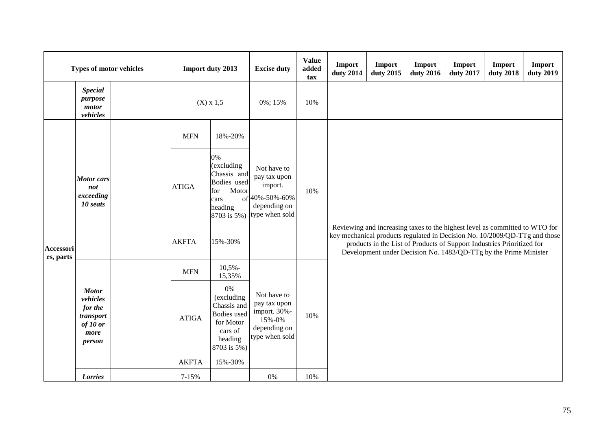| <b>Types of motor vehicles</b> |                                                                                |  |                       | <b>Import duty 2013</b>                                                                                 | <b>Excise duty</b>                                                                         | <b>Value</b><br>added<br>tax | Import<br>duty 2014                                                                                                                                                                                                                                                                                     | Import<br>duty 2015 | Import<br>duty 2016 | Import<br>duty 2017 | Import<br>duty 2018 | Import<br>duty 2019 |  |  |
|--------------------------------|--------------------------------------------------------------------------------|--|-----------------------|---------------------------------------------------------------------------------------------------------|--------------------------------------------------------------------------------------------|------------------------------|---------------------------------------------------------------------------------------------------------------------------------------------------------------------------------------------------------------------------------------------------------------------------------------------------------|---------------------|---------------------|---------------------|---------------------|---------------------|--|--|
|                                | <b>Special</b><br>purpose<br>motor<br>vehicles                                 |  |                       | $(X) \times 1,5$                                                                                        | 0%; 15%                                                                                    | 10%                          |                                                                                                                                                                                                                                                                                                         |                     |                     |                     |                     |                     |  |  |
|                                |                                                                                |  | <b>MFN</b>            | 18%-20%                                                                                                 |                                                                                            |                              |                                                                                                                                                                                                                                                                                                         |                     |                     |                     |                     |                     |  |  |
|                                | <b>Motor</b> cars<br>not<br>exceeding<br>10 seats                              |  | <b>ATIGA</b>          | 0%<br>(excluding<br>Chassis and<br>Bodies used<br>Motor<br>for<br>cars<br>heading<br>8703 is 5%)        | Not have to<br>pay tax upon<br>import.<br>of 40%-50%-60%<br>depending on<br>type when sold | 10%                          | Reviewing and increasing taxes to the highest level as committed to WTO for<br>key mechanical products regulated in Decision No. 10/2009/QD-TTg and those<br>products in the List of Products of Support Industries Prioritized for<br>Development under Decision No. 1483/QD-TTg by the Prime Minister |                     |                     |                     |                     |                     |  |  |
| Accessori<br>es, parts         |                                                                                |  | <b>AKFTA</b>          | 15%-30%                                                                                                 |                                                                                            |                              |                                                                                                                                                                                                                                                                                                         |                     |                     |                     |                     |                     |  |  |
|                                |                                                                                |  | <b>MFN</b>            | $10,5%$ -<br>15,35%                                                                                     |                                                                                            |                              |                                                                                                                                                                                                                                                                                                         |                     |                     |                     |                     |                     |  |  |
|                                | <b>Motor</b><br>vehicles<br>for the<br>transport<br>of 10 or<br>more<br>person |  | <b>ATIGA</b>          | 0%<br>(excluding<br>Chassis and<br><b>Bodies</b> used<br>for Motor<br>cars of<br>heading<br>8703 is 5%) | Not have to<br>pay tax upon<br>import. 30%-<br>15%-0%<br>depending on<br>type when sold    | 10%                          |                                                                                                                                                                                                                                                                                                         |                     |                     |                     |                     |                     |  |  |
|                                | Lorries                                                                        |  | <b>AKFTA</b><br>7-15% | 15%-30%                                                                                                 | 0%                                                                                         | 10%                          |                                                                                                                                                                                                                                                                                                         |                     |                     |                     |                     |                     |  |  |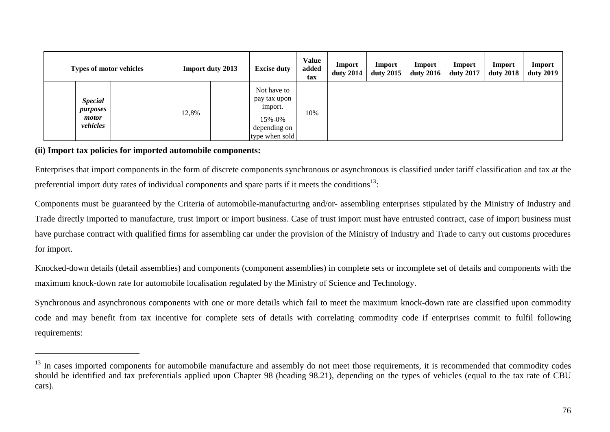| <b>Types of motor vehicles</b>                  |  |       | <b>Import duty 2013</b> | <b>Excise duty</b>                                                                 | <b>Value</b><br>added<br>tax | Import<br>duty $2014$ | Import<br>duty 2015 | Import<br>duty 2016 | Import<br>duty 2017 | Import<br><b>duty 2018</b> | <b>Import</b><br><b>duty 2019</b> |
|-------------------------------------------------|--|-------|-------------------------|------------------------------------------------------------------------------------|------------------------------|-----------------------|---------------------|---------------------|---------------------|----------------------------|-----------------------------------|
| <b>Special</b><br>purposes<br>motor<br>vehicles |  | 12,8% |                         | Not have to<br>pay tax upon<br>import.<br>15%-0%<br>depending on<br>type when sold | 10%                          |                       |                     |                     |                     |                            |                                   |

#### **(ii) Import tax policies for imported automobile components:**

 $\overline{a}$ 

Enterprises that import components in the form of discrete components synchronous or asynchronous is classified under tariff classification and tax at the preferential import duty rates of individual components and spare parts if it meets the conditions<sup>13</sup>:

Components must be guaranteed by the Criteria of automobile-manufacturing and/or- assembling enterprises stipulated by the Ministry of Industry and Trade directly imported to manufacture, trust import or import business. Case of trust import must have entrusted contract, case of import business must have purchase contract with qualified firms for assembling car under the provision of the Ministry of Industry and Trade to carry out customs procedures for import.

Knocked-down details (detail assemblies) and components (component assemblies) in complete sets or incomplete set of details and components with the maximum knock-down rate for automobile localisation regulated by the Ministry of Science and Technology.

Synchronous and asynchronous components with one or more details which fail to meet the maximum knock-down rate are classified upon commodity code and may benefit from tax incentive for complete sets of details with correlating commodity code if enterprises commit to fulfil following requirements:

<sup>&</sup>lt;sup>13</sup> In cases imported components for automobile manufacture and assembly do not meet those requirements, it is recommended that commodity codes should be identified and tax preferentials applied upon Chapter 98 (heading 98.21), depending on the types of vehicles (equal to the tax rate of CBU cars).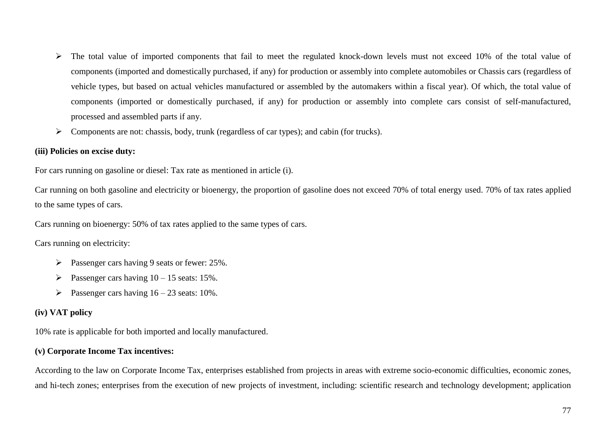- $\triangleright$  The total value of imported components that fail to meet the regulated knock-down levels must not exceed 10% of the total value of components (imported and domestically purchased, if any) for production or assembly into complete automobiles or Chassis cars (regardless of vehicle types, but based on actual vehicles manufactured or assembled by the automakers within a fiscal year). Of which, the total value of components (imported or domestically purchased, if any) for production or assembly into complete cars consist of self-manufactured, processed and assembled parts if any.
- $\triangleright$  Components are not: chassis, body, trunk (regardless of car types); and cabin (for trucks).

#### **(iii) Policies on excise duty:**

For cars running on gasoline or diesel: Tax rate as mentioned in article (i).

Car running on both gasoline and electricity or bioenergy, the proportion of gasoline does not exceed 70% of total energy used. 70% of tax rates applied to the same types of cars.

Cars running on bioenergy: 50% of tax rates applied to the same types of cars.

#### Cars running on electricity:

- $\triangleright$  Passenger cars having 9 seats or fewer: 25%.
- Passenger cars having  $10 15$  seats: 15%.
- Passenger cars having  $16 23$  seats: 10%.

#### **(iv) VAT policy**

10% rate is applicable for both imported and locally manufactured.

#### **(v) Corporate Income Tax incentives:**

According to the law on Corporate Income Tax, enterprises established from projects in areas with extreme socio-economic difficulties, economic zones, and hi-tech zones; enterprises from the execution of new projects of investment, including: scientific research and technology development; application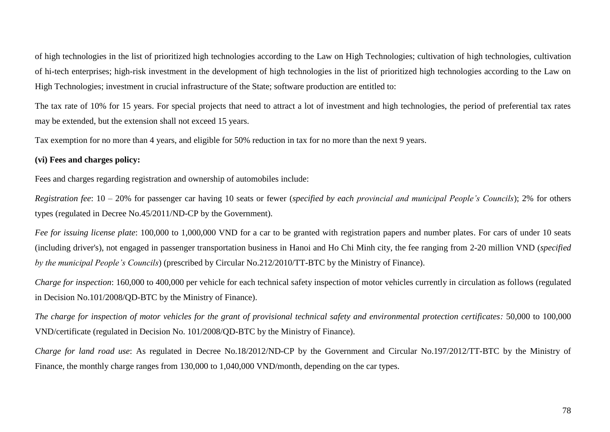of high technologies in the list of prioritized high technologies according to the Law on High Technologies; cultivation of high technologies, cultivation of hi-tech enterprises; high-risk investment in the development of high technologies in the list of prioritized high technologies according to the Law on High Technologies; investment in crucial infrastructure of the State; software production are entitled to:

The tax rate of 10% for 15 years. For special projects that need to attract a lot of investment and high technologies, the period of preferential tax rates may be extended, but the extension shall not exceed 15 years.

Tax exemption for no more than 4 years, and eligible for 50% reduction in tax for no more than the next 9 years.

### **(vi) Fees and charges policy:**

Fees and charges regarding registration and ownership of automobiles include:

*Registration fee*: 10 – 20% for passenger car having 10 seats or fewer (*specified by each provincial and municipal People's Councils*); 2% for others types (regulated in Decree No.45/2011/ND-CP by the Government).

*Fee for issuing license plate*: 100,000 to 1,000,000 VND for a car to be granted with registration papers and number plates. For cars of under 10 seats (including driver's), not engaged in passenger transportation business in Hanoi and Ho Chi Minh city, the fee ranging from 2-20 million VND (*specified by the municipal People's Councils*) (prescribed by Circular No.212/2010/TT-BTC by the Ministry of Finance).

*Charge for inspection*: 160,000 to 400,000 per vehicle for each technical safety inspection of motor vehicles currently in circulation as follows (regulated in Decision No.101/2008/QD-BTC by the Ministry of Finance).

*The charge for inspection of motor vehicles for the grant of provisional technical safety and environmental protection certificates:* 50,000 to 100,000 VND/certificate (regulated in Decision No. 101/2008/QD-BTC by the Ministry of Finance).

*Charge for land road use*: As regulated in Decree No.18/2012/ND-CP by the Government and Circular No.197/2012/TT-BTC by the Ministry of Finance, the monthly charge ranges from 130,000 to 1,040,000 VND/month, depending on the car types.